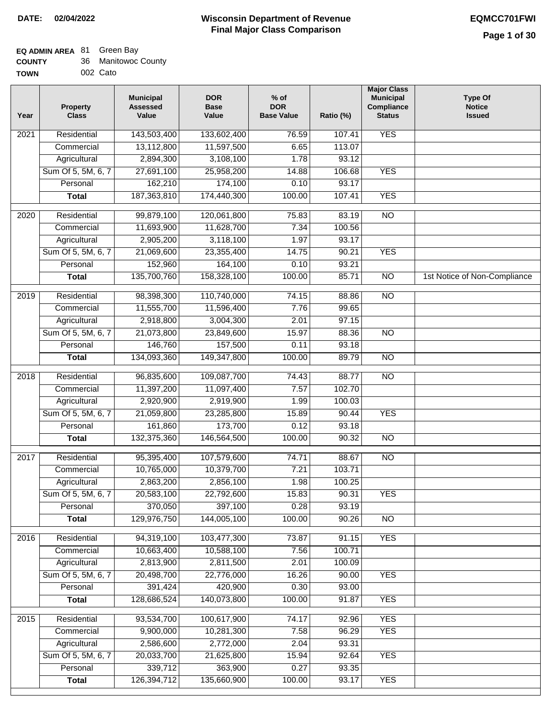| <b>COUNTY</b> | 36 Manitowoc County |
|---------------|---------------------|
| TOWN          | 002 Cato            |

| WN | 002 Cato |
|----|----------|
|    |          |

| Year              | <b>Property</b><br><b>Class</b> | <b>Municipal</b><br><b>Assessed</b><br>Value | <b>DOR</b><br><b>Base</b><br>Value | % of<br><b>DOR</b><br><b>Base Value</b> | Ratio (%) | <b>Major Class</b><br><b>Municipal</b><br>Compliance<br><b>Status</b> | <b>Type Of</b><br><b>Notice</b><br><b>Issued</b> |
|-------------------|---------------------------------|----------------------------------------------|------------------------------------|-----------------------------------------|-----------|-----------------------------------------------------------------------|--------------------------------------------------|
| $\overline{202}1$ | Residential                     | 143,503,400                                  | 133,602,400                        | 76.59                                   | 107.41    | <b>YES</b>                                                            |                                                  |
|                   | Commercial                      | 13,112,800                                   | 11,597,500                         | 6.65                                    | 113.07    |                                                                       |                                                  |
|                   | Agricultural                    | 2,894,300                                    | 3,108,100                          | 1.78                                    | 93.12     |                                                                       |                                                  |
|                   | Sum Of 5, 5M, 6, 7              | 27,691,100                                   | 25,958,200                         | 14.88                                   | 106.68    | <b>YES</b>                                                            |                                                  |
|                   | Personal                        | 162,210                                      | 174,100                            | 0.10                                    | 93.17     |                                                                       |                                                  |
|                   | <b>Total</b>                    | 187,363,810                                  | 174,440,300                        | 100.00                                  | 107.41    | <b>YES</b>                                                            |                                                  |
| $\overline{2020}$ | Residential                     | 99,879,100                                   | 120,061,800                        | 75.83                                   | 83.19     | $\overline{NO}$                                                       |                                                  |
|                   | Commercial                      | 11,693,900                                   | 11,628,700                         | 7.34                                    | 100.56    |                                                                       |                                                  |
|                   | Agricultural                    | 2,905,200                                    | 3,118,100                          | 1.97                                    | 93.17     |                                                                       |                                                  |
|                   | Sum Of 5, 5M, 6, 7              | 21,069,600                                   | 23,355,400                         | 14.75                                   | 90.21     | <b>YES</b>                                                            |                                                  |
|                   | Personal                        | 152,960                                      | 164,100                            | 0.10                                    | 93.21     |                                                                       |                                                  |
|                   | <b>Total</b>                    | 135,700,760                                  | 158,328,100                        | 100.00                                  | 85.71     | $\overline{NO}$                                                       | 1st Notice of Non-Compliance                     |
| 2019              | Residential                     | 98,398,300                                   | 110,740,000                        | 74.15                                   | 88.86     | $\overline{N}$                                                        |                                                  |
|                   | Commercial                      | 11,555,700                                   | 11,596,400                         | 7.76                                    | 99.65     |                                                                       |                                                  |
|                   | Agricultural                    | 2,918,800                                    | 3,004,300                          | 2.01                                    | 97.15     |                                                                       |                                                  |
|                   | Sum Of 5, 5M, 6, 7              | 21,073,800                                   | 23,849,600                         | 15.97                                   | 88.36     | $\overline{NO}$                                                       |                                                  |
|                   | Personal                        | 146,760                                      | 157,500                            | 0.11                                    | 93.18     |                                                                       |                                                  |
|                   | <b>Total</b>                    | 134,093,360                                  | 149,347,800                        | 100.00                                  | 89.79     | $\overline{NO}$                                                       |                                                  |
|                   | Residential                     | 96,835,600                                   | 109,087,700                        |                                         | 88.77     | $\overline{NO}$                                                       |                                                  |
| 2018              | Commercial                      | 11,397,200                                   | 11,097,400                         | 74.43<br>7.57                           | 102.70    |                                                                       |                                                  |
|                   | Agricultural                    | 2,920,900                                    | 2,919,900                          | 1.99                                    | 100.03    |                                                                       |                                                  |
|                   | Sum Of 5, 5M, 6, 7              | 21,059,800                                   | 23,285,800                         | 15.89                                   | 90.44     | <b>YES</b>                                                            |                                                  |
|                   | Personal                        | 161,860                                      | 173,700                            | 0.12                                    | 93.18     |                                                                       |                                                  |
|                   | <b>Total</b>                    | 132,375,360                                  | 146,564,500                        | 100.00                                  | 90.32     | <b>NO</b>                                                             |                                                  |
|                   |                                 |                                              |                                    |                                         |           |                                                                       |                                                  |
| 2017              | Residential                     | 95,395,400                                   | 107,579,600                        | 74.71                                   | 88.67     | $\overline{NO}$                                                       |                                                  |
|                   | Commercial                      | 10,765,000                                   | 10,379,700                         | 7.21                                    | 103.71    |                                                                       |                                                  |
|                   | Agricultural                    | 2,863,200                                    | 2,856,100                          | 1.98                                    | 100.25    |                                                                       |                                                  |
|                   | Sum Of 5, 5M, 6, 7              | 20,583,100                                   | 22,792,600                         | 15.83                                   | 90.31     | <b>YES</b>                                                            |                                                  |
|                   | Personal                        | 370,050                                      | 397,100                            | 0.28                                    | 93.19     |                                                                       |                                                  |
|                   | <b>Total</b>                    | 129,976,750                                  | 144,005,100                        | 100.00                                  | 90.26     | <b>NO</b>                                                             |                                                  |
| 2016              | Residential                     | 94,319,100                                   | 103,477,300                        | 73.87                                   | 91.15     | <b>YES</b>                                                            |                                                  |
|                   | Commercial                      | 10,663,400                                   | 10,588,100                         | 7.56                                    | 100.71    |                                                                       |                                                  |
|                   | Agricultural                    | 2,813,900                                    | 2,811,500                          | 2.01                                    | 100.09    |                                                                       |                                                  |
|                   | Sum Of 5, 5M, 6, 7              | 20,498,700                                   | 22,776,000                         | 16.26                                   | 90.00     | <b>YES</b>                                                            |                                                  |
|                   | Personal                        | 391,424                                      | 420,900                            | 0.30                                    | 93.00     |                                                                       |                                                  |
|                   | <b>Total</b>                    | 128,686,524                                  | 140,073,800                        | 100.00                                  | 91.87     | <b>YES</b>                                                            |                                                  |
| 2015              | Residential                     | 93,534,700                                   | 100,617,900                        | 74.17                                   | 92.96     | <b>YES</b>                                                            |                                                  |
|                   | Commercial                      | 9,900,000                                    | 10,281,300                         | 7.58                                    | 96.29     | <b>YES</b>                                                            |                                                  |
|                   | Agricultural                    | 2,586,600                                    | 2,772,000                          | 2.04                                    | 93.31     |                                                                       |                                                  |
|                   | Sum Of 5, 5M, 6, 7              | 20,033,700                                   | 21,625,800                         | 15.94                                   | 92.64     | <b>YES</b>                                                            |                                                  |
|                   | Personal                        | 339,712                                      | 363,900                            | 0.27                                    | 93.35     |                                                                       |                                                  |
|                   | <b>Total</b>                    | 126,394,712                                  | 135,660,900                        | 100.00                                  | 93.17     | <b>YES</b>                                                            |                                                  |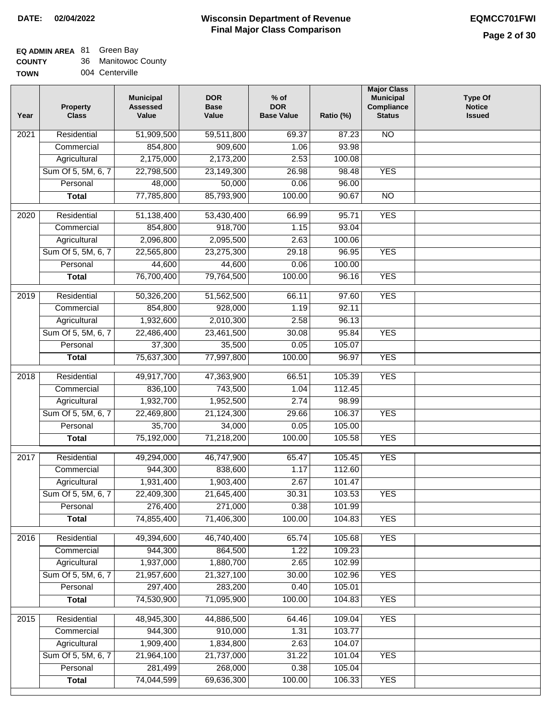#### **Wisconsin Department of Revenue Final Major Class Comparison DATE: 02/04/2022 EQMCC701FWI**

# **EQ ADMIN AREA** 81 Green Bay

| <b>COUNTY</b> | 36 Manitowoc County |
|---------------|---------------------|
| <b>TOWN</b>   | 004 Centerville     |

| Year              | <b>Property</b><br><b>Class</b> | <b>Municipal</b><br><b>Assessed</b><br>Value | <b>DOR</b><br><b>Base</b><br>Value | $%$ of<br><b>DOR</b><br><b>Base Value</b> | Ratio (%) | <b>Major Class</b><br><b>Municipal</b><br>Compliance<br><b>Status</b> | <b>Type Of</b><br><b>Notice</b><br><b>Issued</b> |
|-------------------|---------------------------------|----------------------------------------------|------------------------------------|-------------------------------------------|-----------|-----------------------------------------------------------------------|--------------------------------------------------|
| $\overline{20}21$ | Residential                     | 51,909,500                                   | 59,511,800                         | 69.37                                     | 87.23     | $\overline{NO}$                                                       |                                                  |
|                   | Commercial                      | 854,800                                      | 909,600                            | 1.06                                      | 93.98     |                                                                       |                                                  |
|                   | Agricultural                    | 2,175,000                                    | 2,173,200                          | 2.53                                      | 100.08    |                                                                       |                                                  |
|                   | Sum Of 5, 5M, 6, 7              | 22,798,500                                   | 23,149,300                         | 26.98                                     | 98.48     | <b>YES</b>                                                            |                                                  |
|                   | Personal                        | 48,000                                       | 50,000                             | 0.06                                      | 96.00     |                                                                       |                                                  |
|                   | <b>Total</b>                    | 77,785,800                                   | 85,793,900                         | 100.00                                    | 90.67     | $\overline{NO}$                                                       |                                                  |
| 2020              | Residential                     | 51,138,400                                   | 53,430,400                         | 66.99                                     | 95.71     | <b>YES</b>                                                            |                                                  |
|                   | Commercial                      | 854,800                                      | 918,700                            | 1.15                                      | 93.04     |                                                                       |                                                  |
|                   | Agricultural                    | 2,096,800                                    | 2,095,500                          | 2.63                                      | 100.06    |                                                                       |                                                  |
|                   | Sum Of 5, 5M, 6, 7              | 22,565,800                                   | 23,275,300                         | 29.18                                     | 96.95     | <b>YES</b>                                                            |                                                  |
|                   | Personal                        | 44,600                                       | 44,600                             | 0.06                                      | 100.00    |                                                                       |                                                  |
|                   | <b>Total</b>                    | 76,700,400                                   | 79,764,500                         | 100.00                                    | 96.16     | <b>YES</b>                                                            |                                                  |
| $\frac{1}{2019}$  | Residential                     | 50,326,200                                   | 51,562,500                         | 66.11                                     | 97.60     | <b>YES</b>                                                            |                                                  |
|                   | Commercial                      | 854,800                                      | 928,000                            | 1.19                                      | 92.11     |                                                                       |                                                  |
|                   | Agricultural                    | 1,932,600                                    | 2,010,300                          | 2.58                                      | 96.13     |                                                                       |                                                  |
|                   | Sum Of 5, 5M, 6, 7              | 22,486,400                                   | 23,461,500                         | 30.08                                     | 95.84     | <b>YES</b>                                                            |                                                  |
|                   | Personal                        | 37,300                                       | 35,500                             | 0.05                                      | 105.07    |                                                                       |                                                  |
|                   | <b>Total</b>                    | 75,637,300                                   | 77,997,800                         | 100.00                                    | 96.97     | <b>YES</b>                                                            |                                                  |
| 2018              | Residential                     | 49,917,700                                   | 47,363,900                         | 66.51                                     | 105.39    | <b>YES</b>                                                            |                                                  |
|                   | Commercial                      | 836,100                                      | 743,500                            | 1.04                                      | 112.45    |                                                                       |                                                  |
|                   | Agricultural                    | 1,932,700                                    | 1,952,500                          | 2.74                                      | 98.99     |                                                                       |                                                  |
|                   | Sum Of 5, 5M, 6, 7              | 22,469,800                                   | 21,124,300                         | 29.66                                     | 106.37    | <b>YES</b>                                                            |                                                  |
|                   | Personal                        | 35,700                                       | 34,000                             | 0.05                                      | 105.00    |                                                                       |                                                  |
|                   | <b>Total</b>                    | 75,192,000                                   | 71,218,200                         | 100.00                                    | 105.58    | <b>YES</b>                                                            |                                                  |
| 2017              | Residential                     | 49,294,000                                   | 46,747,900                         | 65.47                                     | 105.45    | <b>YES</b>                                                            |                                                  |
|                   | Commercial                      | 944,300                                      | 838,600                            | 1.17                                      | 112.60    |                                                                       |                                                  |
|                   | Agricultural                    | 1,931,400                                    | 1,903,400                          | 2.67                                      | 101.47    |                                                                       |                                                  |
|                   | Sum Of 5, 5M, 6, 7              | 22,409,300                                   | 21,645,400                         | 30.31                                     | 103.53    | YES                                                                   |                                                  |
|                   | Personal                        | 276,400                                      | 271,000                            | 0.38                                      | 101.99    |                                                                       |                                                  |
|                   | <b>Total</b>                    | 74,855,400                                   | 71,406,300                         | 100.00                                    | 104.83    | <b>YES</b>                                                            |                                                  |
| 2016              | Residential                     | 49,394,600                                   | 46,740,400                         | 65.74                                     | 105.68    | <b>YES</b>                                                            |                                                  |
|                   | Commercial                      | 944,300                                      | 864,500                            | 1.22                                      | 109.23    |                                                                       |                                                  |
|                   | Agricultural                    | 1,937,000                                    | 1,880,700                          | 2.65                                      | 102.99    |                                                                       |                                                  |
|                   | Sum Of 5, 5M, 6, 7              | 21,957,600                                   | 21,327,100                         | 30.00                                     | 102.96    | <b>YES</b>                                                            |                                                  |
|                   | Personal                        | 297,400                                      | 283,200                            | 0.40                                      | 105.01    |                                                                       |                                                  |
|                   | <b>Total</b>                    | 74,530,900                                   | 71,095,900                         | 100.00                                    | 104.83    | <b>YES</b>                                                            |                                                  |
|                   |                                 |                                              |                                    |                                           |           |                                                                       |                                                  |
| 2015              | Residential                     | 48,945,300                                   | 44,886,500                         | 64.46                                     | 109.04    | <b>YES</b>                                                            |                                                  |
|                   | Commercial                      | 944,300                                      | 910,000                            | 1.31                                      | 103.77    |                                                                       |                                                  |
|                   | Agricultural                    | 1,909,400                                    | 1,834,800                          | 2.63                                      | 104.07    |                                                                       |                                                  |
|                   | Sum Of 5, 5M, 6, 7              | 21,964,100                                   | 21,737,000                         | 31.22                                     | 101.04    | <b>YES</b>                                                            |                                                  |
|                   | Personal                        | 281,499                                      | 268,000                            | 0.38                                      | 105.04    |                                                                       |                                                  |
|                   | <b>Total</b>                    | 74,044,599                                   | 69,636,300                         | 100.00                                    | 106.33    | <b>YES</b>                                                            |                                                  |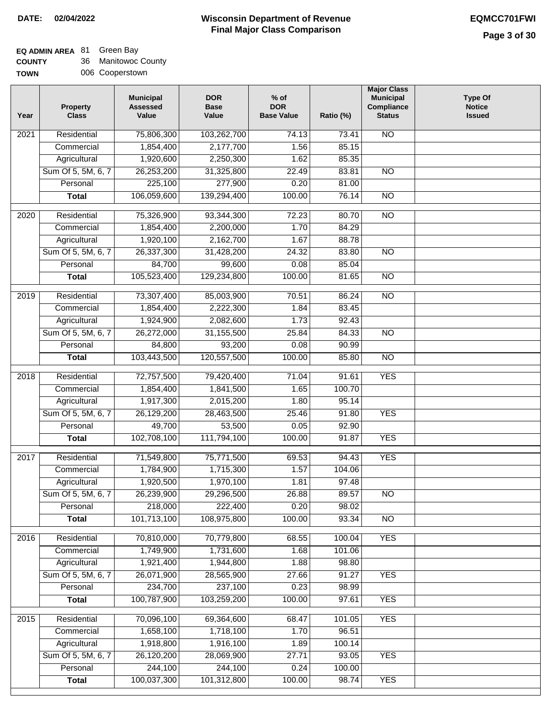#### **Wisconsin Department of Revenue Final Major Class Comparison DATE: 02/04/2022 EQMCC701FWI**

# **EQ ADMIN AREA** 81 Green Bay

| <b>COUNTY</b> | Manitowoc County |
|---------------|------------------|
|               |                  |

| ------- |                 |
|---------|-----------------|
| TOWN    | 006 Cooperstown |

| Year             | <b>Property</b><br><b>Class</b> | <b>Municipal</b><br><b>Assessed</b><br>Value | <b>DOR</b><br><b>Base</b><br>Value | $%$ of<br><b>DOR</b><br><b>Base Value</b> | Ratio (%) | <b>Major Class</b><br><b>Municipal</b><br>Compliance<br><b>Status</b> | <b>Type Of</b><br><b>Notice</b><br><b>Issued</b> |
|------------------|---------------------------------|----------------------------------------------|------------------------------------|-------------------------------------------|-----------|-----------------------------------------------------------------------|--------------------------------------------------|
| 2021             | Residential                     | 75,806,300                                   | 103,262,700                        | 74.13                                     | 73.41     | <b>NO</b>                                                             |                                                  |
|                  | Commercial                      | 1,854,400                                    | 2,177,700                          | 1.56                                      | 85.15     |                                                                       |                                                  |
|                  | Agricultural                    | 1,920,600                                    | 2,250,300                          | 1.62                                      | 85.35     |                                                                       |                                                  |
|                  | Sum Of 5, 5M, 6, 7              | 26,253,200                                   | 31,325,800                         | 22.49                                     | 83.81     | $\overline{NO}$                                                       |                                                  |
|                  | Personal                        | 225,100                                      | 277,900                            | 0.20                                      | 81.00     |                                                                       |                                                  |
|                  | <b>Total</b>                    | 106,059,600                                  | 139,294,400                        | 100.00                                    | 76.14     | $\overline{NO}$                                                       |                                                  |
| $\frac{1}{2020}$ | Residential                     | 75,326,900                                   | 93,344,300                         | 72.23                                     | 80.70     | $\overline{NO}$                                                       |                                                  |
|                  | Commercial                      | 1,854,400                                    | 2,200,000                          | 1.70                                      | 84.29     |                                                                       |                                                  |
|                  | Agricultural                    | 1,920,100                                    | 2,162,700                          | 1.67                                      | 88.78     |                                                                       |                                                  |
|                  | Sum Of 5, 5M, 6, 7              | 26,337,300                                   | 31,428,200                         | 24.32                                     | 83.80     | <b>NO</b>                                                             |                                                  |
|                  | Personal                        | 84,700                                       | 99,600                             | 0.08                                      | 85.04     |                                                                       |                                                  |
|                  | <b>Total</b>                    | 105,523,400                                  | 129,234,800                        | 100.00                                    | 81.65     | <b>NO</b>                                                             |                                                  |
|                  |                                 |                                              |                                    |                                           |           |                                                                       |                                                  |
| $\frac{1}{2019}$ | Residential                     | 73,307,400                                   | 85,003,900                         | 70.51                                     | 86.24     | $\overline{NO}$                                                       |                                                  |
|                  | Commercial                      | 1,854,400                                    | 2,222,300                          | 1.84                                      | 83.45     |                                                                       |                                                  |
|                  | Agricultural                    | 1,924,900                                    | 2,082,600                          | 1.73                                      | 92.43     |                                                                       |                                                  |
|                  | Sum Of 5, 5M, 6, 7              | 26,272,000                                   | 31,155,500                         | 25.84                                     | 84.33     | $\overline{NO}$                                                       |                                                  |
|                  | Personal                        | 84,800                                       | 93,200                             | 0.08                                      | 90.99     |                                                                       |                                                  |
|                  | <b>Total</b>                    | 103,443,500                                  | 120,557,500                        | 100.00                                    | 85.80     | $\overline{NO}$                                                       |                                                  |
| 2018             | Residential                     | 72,757,500                                   | 79,420,400                         | 71.04                                     | 91.61     | <b>YES</b>                                                            |                                                  |
|                  | Commercial                      | 1,854,400                                    | 1,841,500                          | 1.65                                      | 100.70    |                                                                       |                                                  |
|                  | Agricultural                    | 1,917,300                                    | 2,015,200                          | 1.80                                      | 95.14     |                                                                       |                                                  |
|                  | Sum Of 5, 5M, 6, 7              | 26,129,200                                   | 28,463,500                         | 25.46                                     | 91.80     | <b>YES</b>                                                            |                                                  |
|                  | Personal                        | 49,700                                       | 53,500                             | 0.05                                      | 92.90     |                                                                       |                                                  |
|                  | <b>Total</b>                    | 102,708,100                                  | 111,794,100                        | 100.00                                    | 91.87     | <b>YES</b>                                                            |                                                  |
| 2017             | Residential                     | 71,549,800                                   | 75,771,500                         | 69.53                                     | 94.43     | <b>YES</b>                                                            |                                                  |
|                  | Commercial                      | 1,784,900                                    | 1,715,300                          | 1.57                                      | 104.06    |                                                                       |                                                  |
|                  | Agricultural                    | 1,920,500                                    | 1,970,100                          | 1.81                                      | 97.48     |                                                                       |                                                  |
|                  | Sum Of 5, 5M, 6, 7              | 26,239,900                                   | 29,296,500                         | 26.88                                     | 89.57     | $\overline{NO}$                                                       |                                                  |
|                  | Personal                        | 218,000                                      | 222,400                            | 0.20                                      | 98.02     |                                                                       |                                                  |
|                  | <b>Total</b>                    | 101,713,100                                  | 108,975,800                        | 100.00                                    | 93.34     | $\overline{NO}$                                                       |                                                  |
| 2016             | Residential                     | 70,810,000                                   | 70,779,800                         | 68.55                                     | 100.04    | <b>YES</b>                                                            |                                                  |
|                  | Commercial                      | 1,749,900                                    | 1,731,600                          | 1.68                                      | 101.06    |                                                                       |                                                  |
|                  | Agricultural                    | 1,921,400                                    | 1,944,800                          | 1.88                                      | 98.80     |                                                                       |                                                  |
|                  | Sum Of 5, 5M, 6, 7              | 26,071,900                                   | 28,565,900                         | 27.66                                     | 91.27     | <b>YES</b>                                                            |                                                  |
|                  | Personal                        | 234,700                                      | 237,100                            | 0.23                                      | 98.99     |                                                                       |                                                  |
|                  | <b>Total</b>                    | 100,787,900                                  | 103,259,200                        | 100.00                                    | 97.61     | <b>YES</b>                                                            |                                                  |
| 2015             | Residential                     | 70,096,100                                   | 69,364,600                         | 68.47                                     | 101.05    | <b>YES</b>                                                            |                                                  |
|                  | Commercial                      | 1,658,100                                    | 1,718,100                          | 1.70                                      | 96.51     |                                                                       |                                                  |
|                  | Agricultural                    | 1,918,800                                    | 1,916,100                          | 1.89                                      | 100.14    |                                                                       |                                                  |
|                  | Sum Of 5, 5M, 6, 7              | 26,120,200                                   | 28,069,900                         | 27.71                                     | 93.05     | <b>YES</b>                                                            |                                                  |
|                  | Personal                        | 244,100                                      | 244,100                            | 0.24                                      | 100.00    |                                                                       |                                                  |
|                  | <b>Total</b>                    | 100,037,300                                  | 101,312,800                        | 100.00                                    | 98.74     | <b>YES</b>                                                            |                                                  |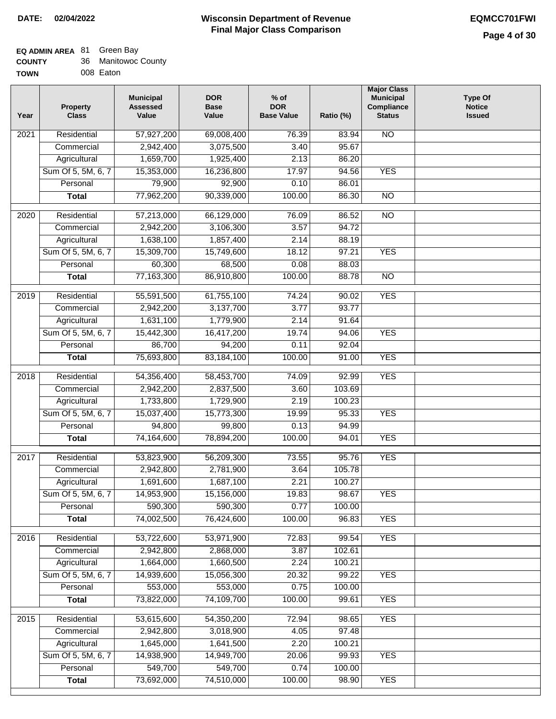#### **Wisconsin Department of Revenue Final Major Class Comparison DATE: 02/04/2022 EQMCC701FWI**

┓

#### **EQ ADMIN AREA** 81 Green Bay

| <b>COUNTY</b> | 36 Manitowoc County |
|---------------|---------------------|
| TOWN          | 008 Eaton           |

| Year              | <b>Property</b><br><b>Class</b> | <b>Municipal</b><br><b>Assessed</b><br>Value | <b>DOR</b><br><b>Base</b><br>Value | $%$ of<br><b>DOR</b><br><b>Base Value</b> | Ratio (%) | <b>Major Class</b><br><b>Municipal</b><br>Compliance<br><b>Status</b> | <b>Type Of</b><br><b>Notice</b><br><b>Issued</b> |
|-------------------|---------------------------------|----------------------------------------------|------------------------------------|-------------------------------------------|-----------|-----------------------------------------------------------------------|--------------------------------------------------|
| 2021              | Residential                     | 57,927,200                                   | 69,008,400                         | 76.39                                     | 83.94     | <b>NO</b>                                                             |                                                  |
|                   | Commercial                      | 2,942,400                                    | 3,075,500                          | 3.40                                      | 95.67     |                                                                       |                                                  |
|                   | Agricultural                    | 1,659,700                                    | 1,925,400                          | 2.13                                      | 86.20     |                                                                       |                                                  |
|                   | Sum Of 5, 5M, 6, 7              | 15,353,000                                   | 16,236,800                         | 17.97                                     | 94.56     | <b>YES</b>                                                            |                                                  |
|                   | Personal                        | 79,900                                       | 92,900                             | 0.10                                      | 86.01     |                                                                       |                                                  |
|                   | <b>Total</b>                    | 77,962,200                                   | 90,339,000                         | 100.00                                    | 86.30     | $\overline{NO}$                                                       |                                                  |
| $\overline{2020}$ | Residential                     | 57,213,000                                   | 66,129,000                         | 76.09                                     | 86.52     | $\overline{10}$                                                       |                                                  |
|                   | Commercial                      | 2,942,200                                    | 3,106,300                          | 3.57                                      | 94.72     |                                                                       |                                                  |
|                   | Agricultural                    | 1,638,100                                    | 1,857,400                          | 2.14                                      | 88.19     |                                                                       |                                                  |
|                   | Sum Of 5, 5M, 6, 7              | 15,309,700                                   | 15,749,600                         | 18.12                                     | 97.21     | <b>YES</b>                                                            |                                                  |
|                   | Personal                        | 60,300                                       | 68,500                             | 0.08                                      | 88.03     |                                                                       |                                                  |
|                   | <b>Total</b>                    | 77,163,300                                   | 86,910,800                         | 100.00                                    | 88.78     | <b>NO</b>                                                             |                                                  |
|                   |                                 |                                              |                                    |                                           |           |                                                                       |                                                  |
| $\frac{1}{2019}$  | Residential                     | 55,591,500                                   | 61,755,100                         | 74.24                                     | 90.02     | <b>YES</b>                                                            |                                                  |
|                   | Commercial                      | 2,942,200                                    | 3,137,700                          | 3.77                                      | 93.77     |                                                                       |                                                  |
|                   | Agricultural                    | 1,631,100                                    | 1,779,900                          | 2.14                                      | 91.64     |                                                                       |                                                  |
|                   | Sum Of 5, 5M, 6, 7              | 15,442,300                                   | 16,417,200                         | 19.74                                     | 94.06     | <b>YES</b>                                                            |                                                  |
|                   | Personal                        | 86,700                                       | 94,200                             | 0.11                                      | 92.04     |                                                                       |                                                  |
|                   | <b>Total</b>                    | 75,693,800                                   | 83,184,100                         | 100.00                                    | 91.00     | <b>YES</b>                                                            |                                                  |
| 2018              | Residential                     | 54,356,400                                   | 58,453,700                         | 74.09                                     | 92.99     | <b>YES</b>                                                            |                                                  |
|                   | Commercial                      | 2,942,200                                    | 2,837,500                          | 3.60                                      | 103.69    |                                                                       |                                                  |
|                   | Agricultural                    | 1,733,800                                    | 1,729,900                          | 2.19                                      | 100.23    |                                                                       |                                                  |
|                   | Sum Of 5, 5M, 6, 7              | 15,037,400                                   | 15,773,300                         | 19.99                                     | 95.33     | <b>YES</b>                                                            |                                                  |
|                   | Personal                        | 94,800                                       | 99,800                             | 0.13                                      | 94.99     |                                                                       |                                                  |
|                   | <b>Total</b>                    | 74,164,600                                   | 78,894,200                         | 100.00                                    | 94.01     | <b>YES</b>                                                            |                                                  |
| 2017              | Residential                     | 53,823,900                                   | 56,209,300                         | 73.55                                     | 95.76     | <b>YES</b>                                                            |                                                  |
|                   | Commercial                      | 2,942,800                                    | 2,781,900                          | 3.64                                      | 105.78    |                                                                       |                                                  |
|                   | Agricultural                    | 1,691,600                                    | 1,687,100                          | 2.21                                      | 100.27    |                                                                       |                                                  |
|                   | Sum Of 5, 5M, 6, 7              | 14,953,900                                   | 15,156,000                         | 19.83                                     | 98.67     | <b>YES</b>                                                            |                                                  |
|                   | Personal                        | 590,300                                      | 590,300                            | 0.77                                      | 100.00    |                                                                       |                                                  |
|                   | <b>Total</b>                    | 74,002,500                                   | 76,424,600                         | 100.00                                    | 96.83     | <b>YES</b>                                                            |                                                  |
| 2016              | Residential                     | 53,722,600                                   | 53,971,900                         | 72.83                                     | 99.54     | <b>YES</b>                                                            |                                                  |
|                   | Commercial                      | 2,942,800                                    | 2,868,000                          | 3.87                                      | 102.61    |                                                                       |                                                  |
|                   | Agricultural                    | 1,664,000                                    | 1,660,500                          | 2.24                                      | 100.21    |                                                                       |                                                  |
|                   | Sum Of 5, 5M, 6, 7              | 14,939,600                                   | 15,056,300                         | 20.32                                     | 99.22     | <b>YES</b>                                                            |                                                  |
|                   | Personal                        | 553,000                                      | 553,000                            | 0.75                                      | 100.00    |                                                                       |                                                  |
|                   | <b>Total</b>                    | 73,822,000                                   | 74,109,700                         | 100.00                                    | 99.61     | <b>YES</b>                                                            |                                                  |
| 2015              | Residential                     | 53,615,600                                   | 54,350,200                         | 72.94                                     | 98.65     | <b>YES</b>                                                            |                                                  |
|                   | Commercial                      | 2,942,800                                    | 3,018,900                          | 4.05                                      | 97.48     |                                                                       |                                                  |
|                   | Agricultural                    | 1,645,000                                    | 1,641,500                          | 2.20                                      | 100.21    |                                                                       |                                                  |
|                   | Sum Of 5, 5M, 6, 7              | 14,938,900                                   | 14,949,700                         | 20.06                                     | 99.93     | <b>YES</b>                                                            |                                                  |
|                   | Personal                        | 549,700                                      | 549,700                            | 0.74                                      | 100.00    |                                                                       |                                                  |
|                   | <b>Total</b>                    | 73,692,000                                   | 74,510,000                         | 100.00                                    | 98.90     | <b>YES</b>                                                            |                                                  |
|                   |                                 |                                              |                                    |                                           |           |                                                                       |                                                  |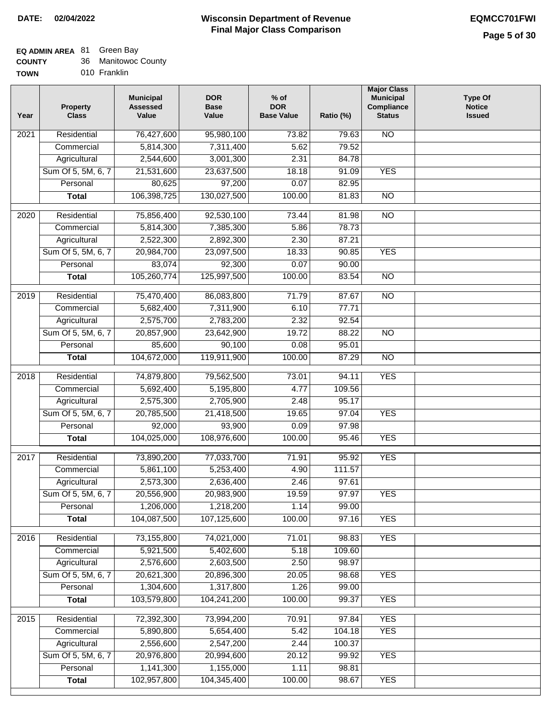### **EQ ADMIN AREA** 81 Green Bay

| <b>COUNTY</b> |  | 36 Manitowoc County |  |
|---------------|--|---------------------|--|
|---------------|--|---------------------|--|

**TOWN** 010 Franklin

| Year              | <b>Property</b><br><b>Class</b> | <b>Municipal</b><br><b>Assessed</b><br>Value | <b>DOR</b><br><b>Base</b><br>Value | $%$ of<br><b>DOR</b><br><b>Base Value</b> | Ratio (%) | <b>Major Class</b><br><b>Municipal</b><br>Compliance<br><b>Status</b> | <b>Type Of</b><br><b>Notice</b><br><b>Issued</b> |
|-------------------|---------------------------------|----------------------------------------------|------------------------------------|-------------------------------------------|-----------|-----------------------------------------------------------------------|--------------------------------------------------|
| 2021              | Residential                     | 76,427,600                                   | 95,980,100                         | 73.82                                     | 79.63     | $\overline{NO}$                                                       |                                                  |
|                   | Commercial                      | 5,814,300                                    | 7,311,400                          | 5.62                                      | 79.52     |                                                                       |                                                  |
|                   | Agricultural                    | 2,544,600                                    | 3,001,300                          | 2.31                                      | 84.78     |                                                                       |                                                  |
|                   | Sum Of 5, 5M, 6, 7              | 21,531,600                                   | 23,637,500                         | 18.18                                     | 91.09     | <b>YES</b>                                                            |                                                  |
|                   | Personal                        | 80,625                                       | 97,200                             | 0.07                                      | 82.95     |                                                                       |                                                  |
|                   | <b>Total</b>                    | 106,398,725                                  | 130,027,500                        | 100.00                                    | 81.83     | $\overline{NO}$                                                       |                                                  |
| $\overline{2020}$ | Residential                     | 75,856,400                                   | 92,530,100                         | 73.44                                     | 81.98     | $\overline{NO}$                                                       |                                                  |
|                   | Commercial                      | 5,814,300                                    | 7,385,300                          | 5.86                                      | 78.73     |                                                                       |                                                  |
|                   | Agricultural                    | 2,522,300                                    | 2,892,300                          | 2.30                                      | 87.21     |                                                                       |                                                  |
|                   | Sum Of 5, 5M, 6, 7              | 20,984,700                                   | 23,097,500                         | 18.33                                     | 90.85     | <b>YES</b>                                                            |                                                  |
|                   | Personal                        | 83,074                                       | 92,300                             | 0.07                                      | 90.00     |                                                                       |                                                  |
|                   | <b>Total</b>                    | 105,260,774                                  | 125,997,500                        | 100.00                                    | 83.54     | $\overline{NO}$                                                       |                                                  |
|                   |                                 |                                              |                                    |                                           |           |                                                                       |                                                  |
| $\frac{1}{2019}$  | Residential                     | 75,470,400                                   | 86,083,800                         | 71.79                                     | 87.67     | $\overline{NO}$                                                       |                                                  |
|                   | Commercial                      | 5,682,400                                    | 7,311,900                          | 6.10                                      | 77.71     |                                                                       |                                                  |
|                   | Agricultural                    | 2,575,700                                    | 2,783,200                          | 2.32                                      | 92.54     |                                                                       |                                                  |
|                   | Sum Of 5, 5M, 6, 7              | 20,857,900                                   | 23,642,900                         | 19.72                                     | 88.22     | $\overline{NO}$                                                       |                                                  |
|                   | Personal                        | 85,600                                       | 90,100                             | 0.08                                      | 95.01     |                                                                       |                                                  |
|                   | <b>Total</b>                    | 104,672,000                                  | 119,911,900                        | 100.00                                    | 87.29     | $\overline{NO}$                                                       |                                                  |
| 2018              | Residential                     | 74,879,800                                   | 79,562,500                         | 73.01                                     | 94.11     | <b>YES</b>                                                            |                                                  |
|                   | Commercial                      | 5,692,400                                    | 5,195,800                          | 4.77                                      | 109.56    |                                                                       |                                                  |
|                   | Agricultural                    | 2,575,300                                    | 2,705,900                          | 2.48                                      | 95.17     |                                                                       |                                                  |
|                   | Sum Of 5, 5M, 6, 7              | 20,785,500                                   | 21,418,500                         | 19.65                                     | 97.04     | <b>YES</b>                                                            |                                                  |
|                   | Personal                        | 92,000                                       | 93,900                             | 0.09                                      | 97.98     |                                                                       |                                                  |
|                   | <b>Total</b>                    | 104,025,000                                  | 108,976,600                        | 100.00                                    | 95.46     | <b>YES</b>                                                            |                                                  |
| 2017              | Residential                     | 73,890,200                                   | 77,033,700                         | 71.91                                     | 95.92     | <b>YES</b>                                                            |                                                  |
|                   | Commercial                      | 5,861,100                                    | 5,253,400                          | 4.90                                      | 111.57    |                                                                       |                                                  |
|                   | Agricultural                    | 2,573,300                                    | 2,636,400                          | 2.46                                      | 97.61     |                                                                       |                                                  |
|                   | Sum Of 5, 5M, 6, 7              | 20,556,900                                   | 20,983,900                         | 19.59                                     | 97.97     | <b>YES</b>                                                            |                                                  |
|                   | Personal                        | 1,206,000                                    | 1,218,200                          | 1.14                                      | 99.00     |                                                                       |                                                  |
|                   | <b>Total</b>                    | 104,087,500                                  | 107,125,600                        | 100.00                                    | 97.16     | <b>YES</b>                                                            |                                                  |
| 2016              | Residential                     | 73,155,800                                   | 74,021,000                         | 71.01                                     | 98.83     | <b>YES</b>                                                            |                                                  |
|                   | Commercial                      | 5,921,500                                    | 5,402,600                          | 5.18                                      | 109.60    |                                                                       |                                                  |
|                   | Agricultural                    | 2,576,600                                    | 2,603,500                          | 2.50                                      | 98.97     |                                                                       |                                                  |
|                   | Sum Of 5, 5M, 6, 7              | 20,621,300                                   | 20,896,300                         | 20.05                                     | 98.68     | <b>YES</b>                                                            |                                                  |
|                   | Personal                        | 1,304,600                                    | 1,317,800                          | 1.26                                      | 99.00     |                                                                       |                                                  |
|                   | <b>Total</b>                    | 103,579,800                                  | 104,241,200                        | 100.00                                    | 99.37     | <b>YES</b>                                                            |                                                  |
|                   |                                 |                                              |                                    |                                           |           |                                                                       |                                                  |
| 2015              | Residential                     | 72,392,300                                   | 73,994,200                         | 70.91                                     | 97.84     | <b>YES</b>                                                            |                                                  |
|                   | Commercial                      | 5,890,800                                    | 5,654,400                          | 5.42                                      | 104.18    | <b>YES</b>                                                            |                                                  |
|                   | Agricultural                    | 2,556,600                                    | 2,547,200                          | 2.44                                      | 100.37    |                                                                       |                                                  |
|                   | Sum Of 5, 5M, 6, 7              | 20,976,800                                   | 20,994,600                         | 20.12                                     | 99.92     | <b>YES</b>                                                            |                                                  |
|                   | Personal                        | 1,141,300                                    | 1,155,000                          | 1.11                                      | 98.81     |                                                                       |                                                  |
|                   | <b>Total</b>                    | 102,957,800                                  | 104,345,400                        | 100.00                                    | 98.67     | <b>YES</b>                                                            |                                                  |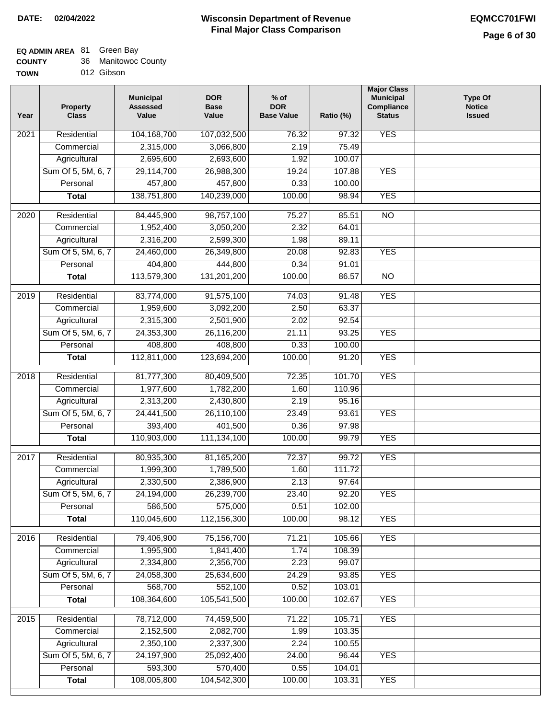### **EQ ADMIN AREA** 81 Green Bay

| <b>COUNTY</b> |  | 36 Manitowoc County |  |
|---------------|--|---------------------|--|
|---------------|--|---------------------|--|

**TOWN** 012 Gibson

| Year              | <b>Property</b><br><b>Class</b> | <b>Municipal</b><br><b>Assessed</b><br>Value | <b>DOR</b><br><b>Base</b><br>Value | $%$ of<br><b>DOR</b><br><b>Base Value</b> | Ratio (%) | <b>Major Class</b><br><b>Municipal</b><br>Compliance<br><b>Status</b> | <b>Type Of</b><br><b>Notice</b><br><b>Issued</b> |
|-------------------|---------------------------------|----------------------------------------------|------------------------------------|-------------------------------------------|-----------|-----------------------------------------------------------------------|--------------------------------------------------|
| $\overline{202}1$ | Residential                     | 104,168,700                                  | 107,032,500                        | 76.32                                     | 97.32     | <b>YES</b>                                                            |                                                  |
|                   | Commercial                      | 2,315,000                                    | 3,066,800                          | 2.19                                      | 75.49     |                                                                       |                                                  |
|                   | Agricultural                    | 2,695,600                                    | 2,693,600                          | 1.92                                      | 100.07    |                                                                       |                                                  |
|                   | Sum Of 5, 5M, 6, 7              | 29,114,700                                   | 26,988,300                         | 19.24                                     | 107.88    | <b>YES</b>                                                            |                                                  |
|                   | Personal                        | 457,800                                      | 457,800                            | 0.33                                      | 100.00    |                                                                       |                                                  |
|                   | <b>Total</b>                    | 138,751,800                                  | 140,239,000                        | 100.00                                    | 98.94     | <b>YES</b>                                                            |                                                  |
| $\overline{2020}$ | Residential                     | 84,445,900                                   | 98,757,100                         | 75.27                                     | 85.51     | $\overline{10}$                                                       |                                                  |
|                   | Commercial                      | 1,952,400                                    | 3,050,200                          | 2.32                                      | 64.01     |                                                                       |                                                  |
|                   | Agricultural                    | 2,316,200                                    | 2,599,300                          | 1.98                                      | 89.11     |                                                                       |                                                  |
|                   | Sum Of 5, 5M, 6, 7              | 24,460,000                                   | 26,349,800                         | 20.08                                     | 92.83     | <b>YES</b>                                                            |                                                  |
|                   | Personal                        | 404,800                                      | 444,800                            | 0.34                                      | 91.01     |                                                                       |                                                  |
|                   | <b>Total</b>                    | 113,579,300                                  | 131,201,200                        | 100.00                                    | 86.57     | $\overline{NO}$                                                       |                                                  |
| 2019              | Residential                     | 83,774,000                                   | 91,575,100                         | 74.03                                     | 91.48     | <b>YES</b>                                                            |                                                  |
|                   | Commercial                      | 1,959,600                                    | 3,092,200                          | 2.50                                      | 63.37     |                                                                       |                                                  |
|                   | Agricultural                    | 2,315,300                                    | 2,501,900                          | 2.02                                      | 92.54     |                                                                       |                                                  |
|                   | Sum Of 5, 5M, 6, 7              | 24,353,300                                   | 26,116,200                         | 21.11                                     | 93.25     | <b>YES</b>                                                            |                                                  |
|                   | Personal                        | 408,800                                      | 408,800                            | 0.33                                      | 100.00    |                                                                       |                                                  |
|                   | <b>Total</b>                    | 112,811,000                                  | 123,694,200                        | 100.00                                    | 91.20     | <b>YES</b>                                                            |                                                  |
| 2018              | Residential                     | 81,777,300                                   | 80,409,500                         | 72.35                                     | 101.70    | <b>YES</b>                                                            |                                                  |
|                   | Commercial                      | 1,977,600                                    | 1,782,200                          | 1.60                                      | 110.96    |                                                                       |                                                  |
|                   | Agricultural                    | 2,313,200                                    | 2,430,800                          | 2.19                                      | 95.16     |                                                                       |                                                  |
|                   | Sum Of 5, 5M, 6, 7              | 24,441,500                                   | 26,110,100                         | 23.49                                     | 93.61     | <b>YES</b>                                                            |                                                  |
|                   | Personal                        | 393,400                                      | 401,500                            | 0.36                                      | 97.98     |                                                                       |                                                  |
|                   | <b>Total</b>                    | 110,903,000                                  | 111,134,100                        | 100.00                                    | 99.79     | <b>YES</b>                                                            |                                                  |
| 2017              | Residential                     | 80,935,300                                   | 81,165,200                         | 72.37                                     | 99.72     | <b>YES</b>                                                            |                                                  |
|                   | Commercial                      | 1,999,300                                    | 1,789,500                          | 1.60                                      | 111.72    |                                                                       |                                                  |
|                   | Agricultural                    | 2,330,500                                    | 2,386,900                          | 2.13                                      | 97.64     |                                                                       |                                                  |
|                   | Sum Of 5, 5M, 6, 7              | 24,194,000                                   | 26,239,700                         | 23.40                                     | 92.20     | <b>YES</b>                                                            |                                                  |
|                   | Personal                        | 586,500                                      | 575,000                            | 0.51                                      | 102.00    |                                                                       |                                                  |
|                   | <b>Total</b>                    | 110,045,600                                  | 112,156,300                        | 100.00                                    | 98.12     | <b>YES</b>                                                            |                                                  |
|                   |                                 |                                              |                                    |                                           |           |                                                                       |                                                  |
| 2016              | Residential                     | 79,406,900                                   | 75,156,700                         | 71.21                                     | 105.66    | <b>YES</b>                                                            |                                                  |
|                   | Commercial                      | 1,995,900                                    | 1,841,400                          | 1.74                                      | 108.39    |                                                                       |                                                  |
|                   | Agricultural                    | 2,334,800                                    | 2,356,700                          | 2.23                                      | 99.07     |                                                                       |                                                  |
|                   | Sum Of 5, 5M, 6, 7              | 24,058,300                                   | 25,634,600                         | 24.29                                     | 93.85     | <b>YES</b>                                                            |                                                  |
|                   | Personal                        | 568,700                                      | 552,100                            | 0.52                                      | 103.01    |                                                                       |                                                  |
|                   | <b>Total</b>                    | 108,364,600                                  | 105,541,500                        | 100.00                                    | 102.67    | <b>YES</b>                                                            |                                                  |
| 2015              | Residential                     | 78,712,000                                   | 74,459,500                         | 71.22                                     | 105.71    | <b>YES</b>                                                            |                                                  |
|                   | Commercial                      | 2,152,500                                    | 2,082,700                          | 1.99                                      | 103.35    |                                                                       |                                                  |
|                   | Agricultural                    | 2,350,100                                    | 2,337,300                          | 2.24                                      | 100.55    |                                                                       |                                                  |
|                   | Sum Of 5, 5M, 6, 7              | 24,197,900                                   | 25,092,400                         | 24.00                                     | 96.44     | <b>YES</b>                                                            |                                                  |
|                   | Personal                        | 593,300                                      | 570,400                            | 0.55                                      | 104.01    |                                                                       |                                                  |
|                   | <b>Total</b>                    | 108,005,800                                  | 104,542,300                        | 100.00                                    | 103.31    | <b>YES</b>                                                            |                                                  |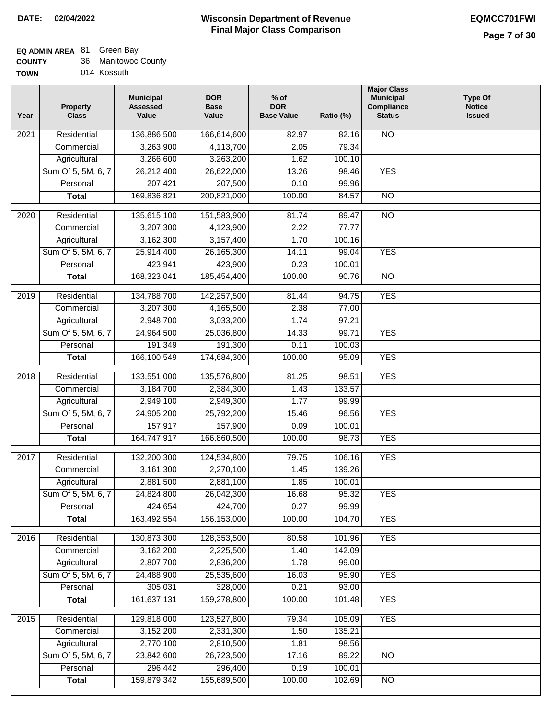### **EQ ADMIN AREA** 81 Green Bay

| <b>COUNTY</b> | 36 Manitowoc County |
|---------------|---------------------|
|---------------|---------------------|

**TOWN** 014 Kossuth

| Year | <b>Property</b><br><b>Class</b> | <b>Municipal</b><br><b>Assessed</b><br>Value | <b>DOR</b><br><b>Base</b><br>Value | $%$ of<br><b>DOR</b><br><b>Base Value</b> | Ratio (%) | <b>Major Class</b><br><b>Municipal</b><br>Compliance<br><b>Status</b> | <b>Type Of</b><br><b>Notice</b><br><b>Issued</b> |
|------|---------------------------------|----------------------------------------------|------------------------------------|-------------------------------------------|-----------|-----------------------------------------------------------------------|--------------------------------------------------|
| 2021 | Residential                     | 136,886,500                                  | 166,614,600                        | 82.97                                     | 82.16     | N <sub>O</sub>                                                        |                                                  |
|      | Commercial                      | 3,263,900                                    | 4,113,700                          | 2.05                                      | 79.34     |                                                                       |                                                  |
|      | Agricultural                    | 3,266,600                                    | 3,263,200                          | 1.62                                      | 100.10    |                                                                       |                                                  |
|      | Sum Of 5, 5M, 6, 7              | 26,212,400                                   | 26,622,000                         | 13.26                                     | 98.46     | <b>YES</b>                                                            |                                                  |
|      | Personal                        | 207,421                                      | 207,500                            | 0.10                                      | 99.96     |                                                                       |                                                  |
|      | <b>Total</b>                    | 169,836,821                                  | 200,821,000                        | 100.00                                    | 84.57     | $\overline{NO}$                                                       |                                                  |
| 2020 | Residential                     | 135,615,100                                  | 151,583,900                        | 81.74                                     | 89.47     | $\overline{NO}$                                                       |                                                  |
|      | Commercial                      | 3,207,300                                    | 4,123,900                          | 2.22                                      | 77.77     |                                                                       |                                                  |
|      | Agricultural                    | 3,162,300                                    | 3,157,400                          | 1.70                                      | 100.16    |                                                                       |                                                  |
|      | Sum Of 5, 5M, 6, 7              | 25,914,400                                   | 26, 165, 300                       | 14.11                                     | 99.04     | <b>YES</b>                                                            |                                                  |
|      | Personal                        | 423,941                                      | 423,900                            | 0.23                                      | 100.01    |                                                                       |                                                  |
|      | <b>Total</b>                    | 168,323,041                                  | 185,454,400                        | 100.00                                    | 90.76     | <b>NO</b>                                                             |                                                  |
| 2019 | Residential                     | 134,788,700                                  | 142,257,500                        | 81.44                                     | 94.75     | <b>YES</b>                                                            |                                                  |
|      | Commercial                      | 3,207,300                                    | 4,165,500                          | 2.38                                      | 77.00     |                                                                       |                                                  |
|      | Agricultural                    | 2,948,700                                    | 3,033,200                          | 1.74                                      | 97.21     |                                                                       |                                                  |
|      | Sum Of 5, 5M, 6, 7              | 24,964,500                                   | 25,036,800                         | 14.33                                     | 99.71     | <b>YES</b>                                                            |                                                  |
|      | Personal                        | 191,349                                      | 191,300                            | 0.11                                      | 100.03    |                                                                       |                                                  |
|      | <b>Total</b>                    | 166,100,549                                  | 174,684,300                        | 100.00                                    | 95.09     | <b>YES</b>                                                            |                                                  |
| 2018 | Residential                     | 133,551,000                                  | 135,576,800                        | 81.25                                     | 98.51     | <b>YES</b>                                                            |                                                  |
|      | Commercial                      | 3,184,700                                    | 2,384,300                          | 1.43                                      | 133.57    |                                                                       |                                                  |
|      | Agricultural                    | 2,949,100                                    | 2,949,300                          | 1.77                                      | 99.99     |                                                                       |                                                  |
|      | Sum Of 5, 5M, 6, 7              | 24,905,200                                   | 25,792,200                         | 15.46                                     | 96.56     | <b>YES</b>                                                            |                                                  |
|      | Personal                        | 157,917                                      | 157,900                            | 0.09                                      | 100.01    |                                                                       |                                                  |
|      | <b>Total</b>                    | 164,747,917                                  | 166,860,500                        | 100.00                                    | 98.73     | <b>YES</b>                                                            |                                                  |
| 2017 | Residential                     | 132,200,300                                  | 124,534,800                        | 79.75                                     | 106.16    | <b>YES</b>                                                            |                                                  |
|      | Commercial                      | 3,161,300                                    | 2,270,100                          | 1.45                                      | 139.26    |                                                                       |                                                  |
|      | Agricultural                    | 2,881,500                                    | 2,881,100                          | 1.85                                      | 100.01    |                                                                       |                                                  |
|      | Sum Of 5, 5M, 6, 7              | 24,824,800                                   | 26,042,300                         | 16.68                                     | 95.32     | <b>YES</b>                                                            |                                                  |
|      | Personal                        | 424,654                                      | 424,700                            | 0.27                                      | 99.99     |                                                                       |                                                  |
|      | <b>Total</b>                    | 163,492,554                                  | 156, 153, 000                      | 100.00                                    | 104.70    | <b>YES</b>                                                            |                                                  |
| 2016 | Residential                     | 130,873,300                                  | 128,353,500                        | 80.58                                     | 101.96    | <b>YES</b>                                                            |                                                  |
|      | Commercial                      | 3,162,200                                    | 2,225,500                          | 1.40                                      | 142.09    |                                                                       |                                                  |
|      | Agricultural                    | 2,807,700                                    | 2,836,200                          | 1.78                                      | 99.00     |                                                                       |                                                  |
|      | Sum Of 5, 5M, 6, 7              | 24,488,900                                   | 25,535,600                         | 16.03                                     | 95.90     | <b>YES</b>                                                            |                                                  |
|      | Personal                        | 305,031                                      | 328,000                            | 0.21                                      | 93.00     |                                                                       |                                                  |
|      | <b>Total</b>                    | 161,637,131                                  | 159,278,800                        | 100.00                                    | 101.48    | <b>YES</b>                                                            |                                                  |
| 2015 | Residential                     | 129,818,000                                  | 123,527,800                        | 79.34                                     | 105.09    | <b>YES</b>                                                            |                                                  |
|      | Commercial                      | 3,152,200                                    | 2,331,300                          | 1.50                                      | 135.21    |                                                                       |                                                  |
|      | Agricultural                    | 2,770,100                                    | 2,810,500                          | 1.81                                      | 98.56     |                                                                       |                                                  |
|      | Sum Of 5, 5M, 6, 7              | 23,842,600                                   | 26,723,500                         | 17.16                                     | 89.22     | N <sub>O</sub>                                                        |                                                  |
|      | Personal                        | 296,442                                      | 296,400                            | 0.19                                      | 100.01    |                                                                       |                                                  |
|      | <b>Total</b>                    | 159,879,342                                  | 155,689,500                        | 100.00                                    | 102.69    | N <sub>O</sub>                                                        |                                                  |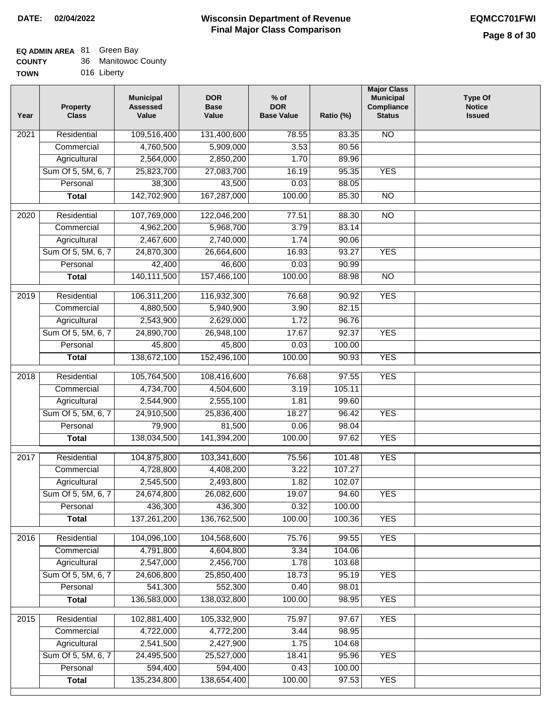| <b>COUNTY</b> | 36 Manitowoc County |
|---------------|---------------------|
| TOWN          | 016 Liberty         |

| N | 016 Liberty |
|---|-------------|
|   |             |

| Year              | <b>Property</b><br><b>Class</b> | <b>Municipal</b><br><b>Assessed</b><br>Value | <b>DOR</b><br><b>Base</b><br>Value | % of<br><b>DOR</b><br><b>Base Value</b> | Ratio (%) | <b>Major Class</b><br><b>Municipal</b><br>Compliance<br><b>Status</b> | <b>Type Of</b><br><b>Notice</b><br><b>Issued</b> |
|-------------------|---------------------------------|----------------------------------------------|------------------------------------|-----------------------------------------|-----------|-----------------------------------------------------------------------|--------------------------------------------------|
| $\overline{202}1$ | Residential                     | 109,516,400                                  | 131,400,600                        | 78.55                                   | 83.35     | <b>NO</b>                                                             |                                                  |
|                   | Commercial                      | 4,760,500                                    | 5,909,000                          | 3.53                                    | 80.56     |                                                                       |                                                  |
|                   | Agricultural                    | 2,564,000                                    | 2,850,200                          | 1.70                                    | 89.96     |                                                                       |                                                  |
|                   | Sum Of 5, 5M, 6, 7              | 25,823,700                                   | 27,083,700                         | 16.19                                   | 95.35     | <b>YES</b>                                                            |                                                  |
|                   | Personal                        | 38,300                                       | 43,500                             | 0.03                                    | 88.05     |                                                                       |                                                  |
|                   | <b>Total</b>                    | 142,702,900                                  | 167,287,000                        | 100.00                                  | 85.30     | $\overline{NO}$                                                       |                                                  |
| $\overline{2020}$ | Residential                     | 107,769,000                                  | 122,046,200                        | 77.51                                   | 88.30     | $\overline{NO}$                                                       |                                                  |
|                   | Commercial                      | 4,962,200                                    | 5,968,700                          | 3.79                                    | 83.14     |                                                                       |                                                  |
|                   | Agricultural                    | 2,467,600                                    | 2,740,000                          | 1.74                                    | 90.06     |                                                                       |                                                  |
|                   | Sum Of 5, 5M, 6, 7              | 24,870,300                                   | 26,664,600                         | 16.93                                   | 93.27     | <b>YES</b>                                                            |                                                  |
|                   | Personal                        | 42,400                                       | 46,600                             | 0.03                                    | 90.99     |                                                                       |                                                  |
|                   | <b>Total</b>                    | 140,111,500                                  | 157,466,100                        | 100.00                                  | 88.98     | $\overline{NO}$                                                       |                                                  |
| 2019              | Residential                     | 106,311,200                                  | 116,932,300                        | 76.68                                   | 90.92     | <b>YES</b>                                                            |                                                  |
|                   | Commercial                      | 4,880,500                                    | 5,940,900                          | 3.90                                    | 82.15     |                                                                       |                                                  |
|                   | Agricultural                    | 2,543,900                                    | 2,629,000                          | 1.72                                    | 96.76     |                                                                       |                                                  |
|                   | Sum Of 5, 5M, 6, 7              | 24,890,700                                   | 26,948,100                         | 17.67                                   | 92.37     | <b>YES</b>                                                            |                                                  |
|                   | Personal                        | 45,800                                       | 45,800                             | 0.03                                    | 100.00    |                                                                       |                                                  |
|                   | <b>Total</b>                    | 138,672,100                                  | 152,496,100                        | 100.00                                  | 90.93     | <b>YES</b>                                                            |                                                  |
| 2018              | Residential                     | 105,764,500                                  | 108,416,600                        | 76.68                                   | 97.55     | <b>YES</b>                                                            |                                                  |
|                   | Commercial                      | 4,734,700                                    | 4,504,600                          | 3.19                                    | 105.11    |                                                                       |                                                  |
|                   | Agricultural                    | 2,544,900                                    | 2,555,100                          | 1.81                                    | 99.60     |                                                                       |                                                  |
|                   | Sum Of 5, 5M, 6, 7              | 24,910,500                                   | 25,836,400                         | 18.27                                   | 96.42     | <b>YES</b>                                                            |                                                  |
|                   | Personal                        | 79,900                                       | 81,500                             | 0.06                                    | 98.04     |                                                                       |                                                  |
|                   | <b>Total</b>                    | 138,034,500                                  | 141,394,200                        | 100.00                                  | 97.62     | <b>YES</b>                                                            |                                                  |
| $\overline{2017}$ | Residential                     | 104,875,800                                  | 103,341,600                        | 75.56                                   | 101.48    | <b>YES</b>                                                            |                                                  |
|                   | Commercial                      | 4,728,800                                    | 4,408,200                          | 3.22                                    | 107.27    |                                                                       |                                                  |
|                   | Agricultural                    | 2,545,500                                    | 2,493,800                          | 1.82                                    | 102.07    |                                                                       |                                                  |
|                   | Sum Of 5, 5M, 6, 7              | 24,674,800                                   | 26,082,600                         | 19.07                                   | 94.60     | <b>YES</b>                                                            |                                                  |
|                   | Personal                        | 436,300                                      | 436,300                            | 0.32                                    | 100.00    |                                                                       |                                                  |
|                   | <b>Total</b>                    | 137,261,200                                  | 136,762,500                        | 100.00                                  | 100.36    | <b>YES</b>                                                            |                                                  |
| 2016              | Residential                     | 104,096,100                                  | 104,568,600                        | 75.76                                   | 99.55     | <b>YES</b>                                                            |                                                  |
|                   | Commercial                      | 4,791,800                                    | 4,604,800                          | 3.34                                    | 104.06    |                                                                       |                                                  |
|                   | Agricultural                    | 2,547,000                                    | 2,456,700                          | 1.78                                    | 103.68    |                                                                       |                                                  |
|                   | Sum Of 5, 5M, 6, 7              | 24,606,800                                   | 25,850,400                         | 18.73                                   | 95.19     | <b>YES</b>                                                            |                                                  |
|                   | Personal                        | 541,300                                      | 552,300                            | 0.40                                    | 98.01     |                                                                       |                                                  |
|                   | <b>Total</b>                    | 136,583,000                                  | 138,032,800                        | 100.00                                  | 98.95     | <b>YES</b>                                                            |                                                  |
| 2015              | Residential                     | 102,881,400                                  | 105,332,900                        | 75.97                                   | 97.67     | <b>YES</b>                                                            |                                                  |
|                   | Commercial                      | 4,722,000                                    | 4,772,200                          | 3.44                                    | 98.95     |                                                                       |                                                  |
|                   | Agricultural                    | 2,541,500                                    | 2,427,900                          | 1.75                                    | 104.68    |                                                                       |                                                  |
|                   | Sum Of 5, 5M, 6, 7              | 24,495,500                                   | 25,527,000                         | 18.41                                   | 95.96     | <b>YES</b>                                                            |                                                  |
|                   | Personal                        | 594,400                                      | 594,400                            | 0.43                                    | 100.00    |                                                                       |                                                  |
|                   | <b>Total</b>                    | 135,234,800                                  | 138,654,400                        | 100.00                                  | 97.53     | <b>YES</b>                                                            |                                                  |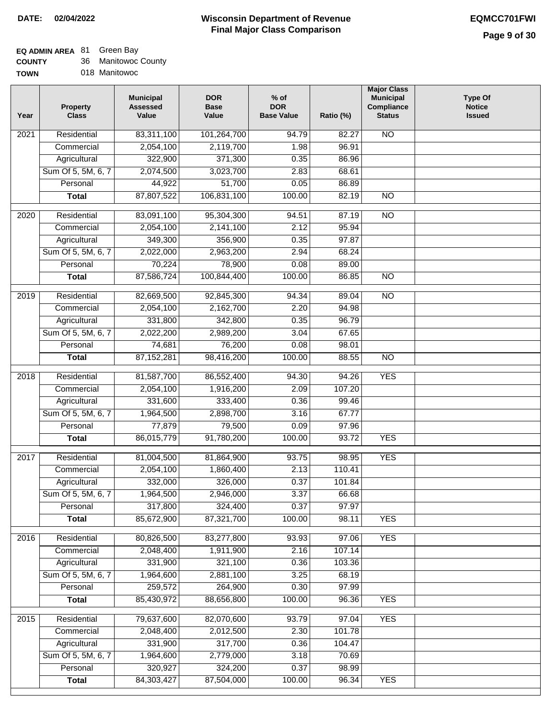### **EQ ADMIN AREA** 81 Green Bay

| <b>COUNTY</b> | 36 Manitowoc County |
|---------------|---------------------|
| <b>TOWN</b>   | 018 Manitowoc       |

| Year | <b>Property</b><br><b>Class</b> | <b>Municipal</b><br><b>Assessed</b><br>Value | <b>DOR</b><br><b>Base</b><br>Value | $%$ of<br><b>DOR</b><br><b>Base Value</b> | Ratio (%) | <b>Major Class</b><br><b>Municipal</b><br>Compliance<br><b>Status</b> | <b>Type Of</b><br><b>Notice</b><br><b>Issued</b> |
|------|---------------------------------|----------------------------------------------|------------------------------------|-------------------------------------------|-----------|-----------------------------------------------------------------------|--------------------------------------------------|
| 2021 | Residential                     | 83,311,100                                   | 101,264,700                        | 94.79                                     | 82.27     | <b>NO</b>                                                             |                                                  |
|      | Commercial                      | 2,054,100                                    | 2,119,700                          | 1.98                                      | 96.91     |                                                                       |                                                  |
|      | Agricultural                    | 322,900                                      | 371,300                            | 0.35                                      | 86.96     |                                                                       |                                                  |
|      | Sum Of 5, 5M, 6, 7              | 2,074,500                                    | 3,023,700                          | 2.83                                      | 68.61     |                                                                       |                                                  |
|      | Personal                        | 44,922                                       | 51,700                             | 0.05                                      | 86.89     |                                                                       |                                                  |
|      | <b>Total</b>                    | 87,807,522                                   | 106,831,100                        | 100.00                                    | 82.19     | $\overline{NO}$                                                       |                                                  |
| 2020 | Residential                     | 83,091,100                                   | 95,304,300                         | 94.51                                     | 87.19     | $\overline{NO}$                                                       |                                                  |
|      | Commercial                      | 2,054,100                                    | 2,141,100                          | 2.12                                      | 95.94     |                                                                       |                                                  |
|      | Agricultural                    | 349,300                                      | 356,900                            | 0.35                                      | 97.87     |                                                                       |                                                  |
|      | Sum Of 5, 5M, 6, 7              | 2,022,000                                    | 2,963,200                          | 2.94                                      | 68.24     |                                                                       |                                                  |
|      | Personal                        | 70,224                                       | 78,900                             | 0.08                                      | 89.00     |                                                                       |                                                  |
|      | <b>Total</b>                    | 87,586,724                                   | 100,844,400                        | 100.00                                    | 86.85     | $\overline{NO}$                                                       |                                                  |
| 2019 | Residential                     | 82,669,500                                   | 92,845,300                         | 94.34                                     | 89.04     | $\overline{NO}$                                                       |                                                  |
|      | Commercial                      | 2,054,100                                    | 2,162,700                          | 2.20                                      | 94.98     |                                                                       |                                                  |
|      | Agricultural                    | 331,800                                      | 342,800                            | 0.35                                      | 96.79     |                                                                       |                                                  |
|      | Sum Of 5, 5M, 6, 7              | 2,022,200                                    | 2,989,200                          | 3.04                                      | 67.65     |                                                                       |                                                  |
|      | Personal                        | 74,681                                       | 76,200                             | 0.08                                      | 98.01     |                                                                       |                                                  |
|      | <b>Total</b>                    | 87, 152, 281                                 | 98,416,200                         | 100.00                                    | 88.55     | $\overline{NO}$                                                       |                                                  |
| 2018 | Residential                     | 81,587,700                                   | 86,552,400                         | 94.30                                     | 94.26     | <b>YES</b>                                                            |                                                  |
|      | Commercial                      | 2,054,100                                    | 1,916,200                          | 2.09                                      | 107.20    |                                                                       |                                                  |
|      | Agricultural                    | 331,600                                      | 333,400                            | 0.36                                      | 99.46     |                                                                       |                                                  |
|      | Sum Of 5, 5M, 6, 7              | 1,964,500                                    | 2,898,700                          | 3.16                                      | 67.77     |                                                                       |                                                  |
|      | Personal                        | 77,879                                       | 79,500                             | 0.09                                      | 97.96     |                                                                       |                                                  |
|      | <b>Total</b>                    | 86,015,779                                   | 91,780,200                         | 100.00                                    | 93.72     | <b>YES</b>                                                            |                                                  |
| 2017 | Residential                     | 81,004,500                                   | 81,864,900                         | 93.75                                     | 98.95     | <b>YES</b>                                                            |                                                  |
|      | Commercial                      | 2,054,100                                    | 1,860,400                          | 2.13                                      | 110.41    |                                                                       |                                                  |
|      | Agricultural                    | 332,000                                      | 326,000                            | 0.37                                      | 101.84    |                                                                       |                                                  |
|      | Sum Of 5, 5M, 6, 7              | 1,964,500                                    | 2,946,000                          | 3.37                                      | 66.68     |                                                                       |                                                  |
|      | Personal                        | 317,800                                      | 324,400                            | 0.37                                      | 97.97     |                                                                       |                                                  |
|      | <b>Total</b>                    | 85,672,900                                   | 87,321,700                         | 100.00                                    | 98.11     | <b>YES</b>                                                            |                                                  |
| 2016 | Residential                     | 80,826,500                                   | 83,277,800                         | 93.93                                     | 97.06     | <b>YES</b>                                                            |                                                  |
|      | Commercial                      | 2,048,400                                    | 1,911,900                          | 2.16                                      | 107.14    |                                                                       |                                                  |
|      | Agricultural                    | 331,900                                      | 321,100                            | 0.36                                      | 103.36    |                                                                       |                                                  |
|      | Sum Of 5, 5M, 6, 7              | 1,964,600                                    | 2,881,100                          | 3.25                                      | 68.19     |                                                                       |                                                  |
|      | Personal                        | 259,572                                      | 264,900                            | 0.30                                      | 97.99     |                                                                       |                                                  |
|      | <b>Total</b>                    | 85,430,972                                   | 88,656,800                         | 100.00                                    | 96.36     | <b>YES</b>                                                            |                                                  |
| 2015 | Residential                     | 79,637,600                                   | 82,070,600                         | 93.79                                     | 97.04     | <b>YES</b>                                                            |                                                  |
|      | Commercial                      | 2,048,400                                    | 2,012,500                          | 2.30                                      | 101.78    |                                                                       |                                                  |
|      | Agricultural                    | 331,900                                      | 317,700                            | 0.36                                      | 104.47    |                                                                       |                                                  |
|      | Sum Of 5, 5M, 6, 7              | 1,964,600                                    | 2,779,000                          | 3.18                                      | 70.69     |                                                                       |                                                  |
|      | Personal                        | 320,927                                      | 324,200                            | 0.37                                      | 98.99     |                                                                       |                                                  |
|      | <b>Total</b>                    | 84,303,427                                   | 87,504,000                         | 100.00                                    | 96.34     | <b>YES</b>                                                            |                                                  |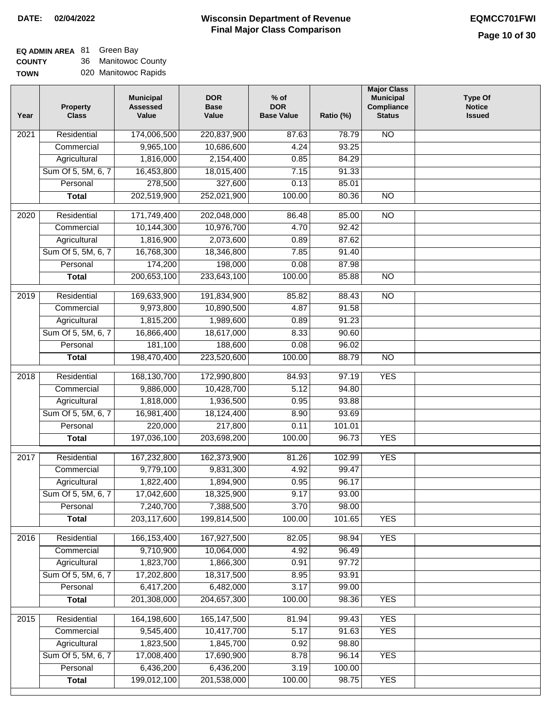# **EQ ADMIN AREA** 81 Green Bay

**COUNTY TOWN** 36 Manitowoc County 020 Manitowoc Rapids

| 174,006,500<br><b>NO</b><br>Residential<br>220,837,900<br>87.63<br>78.79<br>2021<br>10,686,600<br>4.24<br>93.25<br>Commercial<br>9,965,100<br>1,816,000<br>Agricultural<br>2,154,400<br>0.85<br>84.29<br>Sum Of 5, 5M, 6, 7<br>16,453,800<br>18,015,400<br>7.15<br>91.33<br>278,500<br>327,600<br>Personal<br>0.13<br>85.01<br>202,519,900<br>252,021,900<br>100.00<br>80.36<br>$\overline{NO}$<br><b>Total</b><br>$\overline{2020}$<br>Residential<br>171,749,400<br>202,048,000<br>85.00<br>$\overline{10}$<br>86.48<br>10,144,300<br>10,976,700<br>4.70<br>92.42<br>Commercial<br>1,816,900<br>Agricultural<br>2,073,600<br>0.89<br>87.62<br>Sum Of 5, 5M, 6, 7<br>16,768,300<br>91.40<br>18,346,800<br>7.85<br>174,200<br>Personal<br>198,000<br>0.08<br>87.98<br>200,653,100<br>$\overline{NO}$<br><b>Total</b><br>233,643,100<br>100.00<br>85.88<br>$\overline{NO}$<br>2019<br>Residential<br>169,633,900<br>191,834,900<br>85.82<br>88.43<br>Commercial<br>9,973,800<br>10,890,500<br>4.87<br>91.58<br>1,815,200<br>1,989,600<br>91.23<br>Agricultural<br>0.89<br>Sum Of 5, 5M, 6, 7<br>16,866,400<br>18,617,000<br>8.33<br>90.60<br>181,100<br>Personal<br>188,600<br>0.08<br>96.02<br>198,470,400<br>223,520,600<br>100.00<br>88.79<br>$\overline{NO}$<br><b>Total</b><br>168,130,700<br>172,990,800<br><b>YES</b><br>2018<br>Residential<br>84.93<br>97.19<br>5.12<br>Commercial<br>9,886,000<br>10,428,700<br>94.80<br>1,818,000<br>1,936,500<br>0.95<br>93.88<br>Agricultural<br>Sum Of 5, 5M, 6, 7<br>16,981,400<br>18,124,400<br>8.90<br>93.69<br>220,000<br>217,800<br>0.11<br>101.01<br>Personal<br><b>YES</b><br>197,036,100<br>203,698,200<br>100.00<br>96.73<br><b>Total</b><br><b>YES</b><br>Residential<br>167,232,800<br>162,373,900<br>81.26<br>102.99<br>2017<br>9,779,100<br>9,831,300<br>4.92<br>99.47<br>Commercial<br>1,822,400<br>1,894,900<br>0.95<br>96.17<br>Agricultural<br>Sum Of 5, 5M, 6, 7<br>17,042,600<br>18,325,900<br>9.17<br>93.00<br>7,240,700<br>3.70<br>98.00<br>Personal<br>7,388,500<br>203,117,600<br>199,814,500<br>100.00<br>101.65<br><b>YES</b><br><b>Total</b><br>2016<br>Residential<br>166, 153, 400<br>167,927,500<br>82.05<br>98.94<br><b>YES</b><br>9,710,900<br>Commercial<br>10,064,000<br>4.92<br>96.49<br>1,823,700<br>1,866,300<br>0.91<br>97.72<br>Agricultural<br>17,202,800<br>Sum Of 5, 5M, 6, 7<br>18,317,500<br>8.95<br>93.91<br>6,417,200<br>Personal<br>6,482,000<br>3.17<br>99.00<br>201,308,000<br>204,657,300<br>100.00<br>98.36<br><b>YES</b><br><b>Total</b><br>164,198,600<br>165, 147, 500<br><b>YES</b><br>2015<br>Residential<br>81.94<br>99.43<br>9,545,400<br>5.17<br><b>YES</b><br>10,417,700<br>91.63<br>Commercial<br>Agricultural<br>1,823,500<br>1,845,700<br>98.80<br>0.92<br>Sum Of 5, 5M, 6, 7<br>17,008,400<br>17,690,900<br>8.78<br>96.14<br><b>YES</b><br>6,436,200<br>6,436,200<br>3.19<br>Personal<br>100.00<br>199,012,100<br>100.00<br><b>YES</b><br>201,538,000<br>98.75<br><b>Total</b> | Year | <b>Property</b><br><b>Class</b> | <b>Municipal</b><br><b>Assessed</b><br>Value | <b>DOR</b><br><b>Base</b><br>Value | $%$ of<br><b>DOR</b><br><b>Base Value</b> | Ratio (%) | <b>Major Class</b><br><b>Municipal</b><br>Compliance<br><b>Status</b> | <b>Type Of</b><br><b>Notice</b><br><b>Issued</b> |
|--------------------------------------------------------------------------------------------------------------------------------------------------------------------------------------------------------------------------------------------------------------------------------------------------------------------------------------------------------------------------------------------------------------------------------------------------------------------------------------------------------------------------------------------------------------------------------------------------------------------------------------------------------------------------------------------------------------------------------------------------------------------------------------------------------------------------------------------------------------------------------------------------------------------------------------------------------------------------------------------------------------------------------------------------------------------------------------------------------------------------------------------------------------------------------------------------------------------------------------------------------------------------------------------------------------------------------------------------------------------------------------------------------------------------------------------------------------------------------------------------------------------------------------------------------------------------------------------------------------------------------------------------------------------------------------------------------------------------------------------------------------------------------------------------------------------------------------------------------------------------------------------------------------------------------------------------------------------------------------------------------------------------------------------------------------------------------------------------------------------------------------------------------------------------------------------------------------------------------------------------------------------------------------------------------------------------------------------------------------------------------------------------------------------------------------------------------------------------------------------------------------------------------------------------------------------------------------------------------------------------------------------------------------------------------------------------------------------------------------------------------------------------------------------------------------------------------------------------------------------------------------------------------------------------------------------------------------------------------------------|------|---------------------------------|----------------------------------------------|------------------------------------|-------------------------------------------|-----------|-----------------------------------------------------------------------|--------------------------------------------------|
|                                                                                                                                                                                                                                                                                                                                                                                                                                                                                                                                                                                                                                                                                                                                                                                                                                                                                                                                                                                                                                                                                                                                                                                                                                                                                                                                                                                                                                                                                                                                                                                                                                                                                                                                                                                                                                                                                                                                                                                                                                                                                                                                                                                                                                                                                                                                                                                                                                                                                                                                                                                                                                                                                                                                                                                                                                                                                                                                                                                            |      |                                 |                                              |                                    |                                           |           |                                                                       |                                                  |
|                                                                                                                                                                                                                                                                                                                                                                                                                                                                                                                                                                                                                                                                                                                                                                                                                                                                                                                                                                                                                                                                                                                                                                                                                                                                                                                                                                                                                                                                                                                                                                                                                                                                                                                                                                                                                                                                                                                                                                                                                                                                                                                                                                                                                                                                                                                                                                                                                                                                                                                                                                                                                                                                                                                                                                                                                                                                                                                                                                                            |      |                                 |                                              |                                    |                                           |           |                                                                       |                                                  |
|                                                                                                                                                                                                                                                                                                                                                                                                                                                                                                                                                                                                                                                                                                                                                                                                                                                                                                                                                                                                                                                                                                                                                                                                                                                                                                                                                                                                                                                                                                                                                                                                                                                                                                                                                                                                                                                                                                                                                                                                                                                                                                                                                                                                                                                                                                                                                                                                                                                                                                                                                                                                                                                                                                                                                                                                                                                                                                                                                                                            |      |                                 |                                              |                                    |                                           |           |                                                                       |                                                  |
|                                                                                                                                                                                                                                                                                                                                                                                                                                                                                                                                                                                                                                                                                                                                                                                                                                                                                                                                                                                                                                                                                                                                                                                                                                                                                                                                                                                                                                                                                                                                                                                                                                                                                                                                                                                                                                                                                                                                                                                                                                                                                                                                                                                                                                                                                                                                                                                                                                                                                                                                                                                                                                                                                                                                                                                                                                                                                                                                                                                            |      |                                 |                                              |                                    |                                           |           |                                                                       |                                                  |
|                                                                                                                                                                                                                                                                                                                                                                                                                                                                                                                                                                                                                                                                                                                                                                                                                                                                                                                                                                                                                                                                                                                                                                                                                                                                                                                                                                                                                                                                                                                                                                                                                                                                                                                                                                                                                                                                                                                                                                                                                                                                                                                                                                                                                                                                                                                                                                                                                                                                                                                                                                                                                                                                                                                                                                                                                                                                                                                                                                                            |      |                                 |                                              |                                    |                                           |           |                                                                       |                                                  |
|                                                                                                                                                                                                                                                                                                                                                                                                                                                                                                                                                                                                                                                                                                                                                                                                                                                                                                                                                                                                                                                                                                                                                                                                                                                                                                                                                                                                                                                                                                                                                                                                                                                                                                                                                                                                                                                                                                                                                                                                                                                                                                                                                                                                                                                                                                                                                                                                                                                                                                                                                                                                                                                                                                                                                                                                                                                                                                                                                                                            |      |                                 |                                              |                                    |                                           |           |                                                                       |                                                  |
|                                                                                                                                                                                                                                                                                                                                                                                                                                                                                                                                                                                                                                                                                                                                                                                                                                                                                                                                                                                                                                                                                                                                                                                                                                                                                                                                                                                                                                                                                                                                                                                                                                                                                                                                                                                                                                                                                                                                                                                                                                                                                                                                                                                                                                                                                                                                                                                                                                                                                                                                                                                                                                                                                                                                                                                                                                                                                                                                                                                            |      |                                 |                                              |                                    |                                           |           |                                                                       |                                                  |
|                                                                                                                                                                                                                                                                                                                                                                                                                                                                                                                                                                                                                                                                                                                                                                                                                                                                                                                                                                                                                                                                                                                                                                                                                                                                                                                                                                                                                                                                                                                                                                                                                                                                                                                                                                                                                                                                                                                                                                                                                                                                                                                                                                                                                                                                                                                                                                                                                                                                                                                                                                                                                                                                                                                                                                                                                                                                                                                                                                                            |      |                                 |                                              |                                    |                                           |           |                                                                       |                                                  |
|                                                                                                                                                                                                                                                                                                                                                                                                                                                                                                                                                                                                                                                                                                                                                                                                                                                                                                                                                                                                                                                                                                                                                                                                                                                                                                                                                                                                                                                                                                                                                                                                                                                                                                                                                                                                                                                                                                                                                                                                                                                                                                                                                                                                                                                                                                                                                                                                                                                                                                                                                                                                                                                                                                                                                                                                                                                                                                                                                                                            |      |                                 |                                              |                                    |                                           |           |                                                                       |                                                  |
|                                                                                                                                                                                                                                                                                                                                                                                                                                                                                                                                                                                                                                                                                                                                                                                                                                                                                                                                                                                                                                                                                                                                                                                                                                                                                                                                                                                                                                                                                                                                                                                                                                                                                                                                                                                                                                                                                                                                                                                                                                                                                                                                                                                                                                                                                                                                                                                                                                                                                                                                                                                                                                                                                                                                                                                                                                                                                                                                                                                            |      |                                 |                                              |                                    |                                           |           |                                                                       |                                                  |
|                                                                                                                                                                                                                                                                                                                                                                                                                                                                                                                                                                                                                                                                                                                                                                                                                                                                                                                                                                                                                                                                                                                                                                                                                                                                                                                                                                                                                                                                                                                                                                                                                                                                                                                                                                                                                                                                                                                                                                                                                                                                                                                                                                                                                                                                                                                                                                                                                                                                                                                                                                                                                                                                                                                                                                                                                                                                                                                                                                                            |      |                                 |                                              |                                    |                                           |           |                                                                       |                                                  |
|                                                                                                                                                                                                                                                                                                                                                                                                                                                                                                                                                                                                                                                                                                                                                                                                                                                                                                                                                                                                                                                                                                                                                                                                                                                                                                                                                                                                                                                                                                                                                                                                                                                                                                                                                                                                                                                                                                                                                                                                                                                                                                                                                                                                                                                                                                                                                                                                                                                                                                                                                                                                                                                                                                                                                                                                                                                                                                                                                                                            |      |                                 |                                              |                                    |                                           |           |                                                                       |                                                  |
|                                                                                                                                                                                                                                                                                                                                                                                                                                                                                                                                                                                                                                                                                                                                                                                                                                                                                                                                                                                                                                                                                                                                                                                                                                                                                                                                                                                                                                                                                                                                                                                                                                                                                                                                                                                                                                                                                                                                                                                                                                                                                                                                                                                                                                                                                                                                                                                                                                                                                                                                                                                                                                                                                                                                                                                                                                                                                                                                                                                            |      |                                 |                                              |                                    |                                           |           |                                                                       |                                                  |
|                                                                                                                                                                                                                                                                                                                                                                                                                                                                                                                                                                                                                                                                                                                                                                                                                                                                                                                                                                                                                                                                                                                                                                                                                                                                                                                                                                                                                                                                                                                                                                                                                                                                                                                                                                                                                                                                                                                                                                                                                                                                                                                                                                                                                                                                                                                                                                                                                                                                                                                                                                                                                                                                                                                                                                                                                                                                                                                                                                                            |      |                                 |                                              |                                    |                                           |           |                                                                       |                                                  |
|                                                                                                                                                                                                                                                                                                                                                                                                                                                                                                                                                                                                                                                                                                                                                                                                                                                                                                                                                                                                                                                                                                                                                                                                                                                                                                                                                                                                                                                                                                                                                                                                                                                                                                                                                                                                                                                                                                                                                                                                                                                                                                                                                                                                                                                                                                                                                                                                                                                                                                                                                                                                                                                                                                                                                                                                                                                                                                                                                                                            |      |                                 |                                              |                                    |                                           |           |                                                                       |                                                  |
|                                                                                                                                                                                                                                                                                                                                                                                                                                                                                                                                                                                                                                                                                                                                                                                                                                                                                                                                                                                                                                                                                                                                                                                                                                                                                                                                                                                                                                                                                                                                                                                                                                                                                                                                                                                                                                                                                                                                                                                                                                                                                                                                                                                                                                                                                                                                                                                                                                                                                                                                                                                                                                                                                                                                                                                                                                                                                                                                                                                            |      |                                 |                                              |                                    |                                           |           |                                                                       |                                                  |
|                                                                                                                                                                                                                                                                                                                                                                                                                                                                                                                                                                                                                                                                                                                                                                                                                                                                                                                                                                                                                                                                                                                                                                                                                                                                                                                                                                                                                                                                                                                                                                                                                                                                                                                                                                                                                                                                                                                                                                                                                                                                                                                                                                                                                                                                                                                                                                                                                                                                                                                                                                                                                                                                                                                                                                                                                                                                                                                                                                                            |      |                                 |                                              |                                    |                                           |           |                                                                       |                                                  |
|                                                                                                                                                                                                                                                                                                                                                                                                                                                                                                                                                                                                                                                                                                                                                                                                                                                                                                                                                                                                                                                                                                                                                                                                                                                                                                                                                                                                                                                                                                                                                                                                                                                                                                                                                                                                                                                                                                                                                                                                                                                                                                                                                                                                                                                                                                                                                                                                                                                                                                                                                                                                                                                                                                                                                                                                                                                                                                                                                                                            |      |                                 |                                              |                                    |                                           |           |                                                                       |                                                  |
|                                                                                                                                                                                                                                                                                                                                                                                                                                                                                                                                                                                                                                                                                                                                                                                                                                                                                                                                                                                                                                                                                                                                                                                                                                                                                                                                                                                                                                                                                                                                                                                                                                                                                                                                                                                                                                                                                                                                                                                                                                                                                                                                                                                                                                                                                                                                                                                                                                                                                                                                                                                                                                                                                                                                                                                                                                                                                                                                                                                            |      |                                 |                                              |                                    |                                           |           |                                                                       |                                                  |
|                                                                                                                                                                                                                                                                                                                                                                                                                                                                                                                                                                                                                                                                                                                                                                                                                                                                                                                                                                                                                                                                                                                                                                                                                                                                                                                                                                                                                                                                                                                                                                                                                                                                                                                                                                                                                                                                                                                                                                                                                                                                                                                                                                                                                                                                                                                                                                                                                                                                                                                                                                                                                                                                                                                                                                                                                                                                                                                                                                                            |      |                                 |                                              |                                    |                                           |           |                                                                       |                                                  |
|                                                                                                                                                                                                                                                                                                                                                                                                                                                                                                                                                                                                                                                                                                                                                                                                                                                                                                                                                                                                                                                                                                                                                                                                                                                                                                                                                                                                                                                                                                                                                                                                                                                                                                                                                                                                                                                                                                                                                                                                                                                                                                                                                                                                                                                                                                                                                                                                                                                                                                                                                                                                                                                                                                                                                                                                                                                                                                                                                                                            |      |                                 |                                              |                                    |                                           |           |                                                                       |                                                  |
|                                                                                                                                                                                                                                                                                                                                                                                                                                                                                                                                                                                                                                                                                                                                                                                                                                                                                                                                                                                                                                                                                                                                                                                                                                                                                                                                                                                                                                                                                                                                                                                                                                                                                                                                                                                                                                                                                                                                                                                                                                                                                                                                                                                                                                                                                                                                                                                                                                                                                                                                                                                                                                                                                                                                                                                                                                                                                                                                                                                            |      |                                 |                                              |                                    |                                           |           |                                                                       |                                                  |
|                                                                                                                                                                                                                                                                                                                                                                                                                                                                                                                                                                                                                                                                                                                                                                                                                                                                                                                                                                                                                                                                                                                                                                                                                                                                                                                                                                                                                                                                                                                                                                                                                                                                                                                                                                                                                                                                                                                                                                                                                                                                                                                                                                                                                                                                                                                                                                                                                                                                                                                                                                                                                                                                                                                                                                                                                                                                                                                                                                                            |      |                                 |                                              |                                    |                                           |           |                                                                       |                                                  |
|                                                                                                                                                                                                                                                                                                                                                                                                                                                                                                                                                                                                                                                                                                                                                                                                                                                                                                                                                                                                                                                                                                                                                                                                                                                                                                                                                                                                                                                                                                                                                                                                                                                                                                                                                                                                                                                                                                                                                                                                                                                                                                                                                                                                                                                                                                                                                                                                                                                                                                                                                                                                                                                                                                                                                                                                                                                                                                                                                                                            |      |                                 |                                              |                                    |                                           |           |                                                                       |                                                  |
|                                                                                                                                                                                                                                                                                                                                                                                                                                                                                                                                                                                                                                                                                                                                                                                                                                                                                                                                                                                                                                                                                                                                                                                                                                                                                                                                                                                                                                                                                                                                                                                                                                                                                                                                                                                                                                                                                                                                                                                                                                                                                                                                                                                                                                                                                                                                                                                                                                                                                                                                                                                                                                                                                                                                                                                                                                                                                                                                                                                            |      |                                 |                                              |                                    |                                           |           |                                                                       |                                                  |
|                                                                                                                                                                                                                                                                                                                                                                                                                                                                                                                                                                                                                                                                                                                                                                                                                                                                                                                                                                                                                                                                                                                                                                                                                                                                                                                                                                                                                                                                                                                                                                                                                                                                                                                                                                                                                                                                                                                                                                                                                                                                                                                                                                                                                                                                                                                                                                                                                                                                                                                                                                                                                                                                                                                                                                                                                                                                                                                                                                                            |      |                                 |                                              |                                    |                                           |           |                                                                       |                                                  |
|                                                                                                                                                                                                                                                                                                                                                                                                                                                                                                                                                                                                                                                                                                                                                                                                                                                                                                                                                                                                                                                                                                                                                                                                                                                                                                                                                                                                                                                                                                                                                                                                                                                                                                                                                                                                                                                                                                                                                                                                                                                                                                                                                                                                                                                                                                                                                                                                                                                                                                                                                                                                                                                                                                                                                                                                                                                                                                                                                                                            |      |                                 |                                              |                                    |                                           |           |                                                                       |                                                  |
|                                                                                                                                                                                                                                                                                                                                                                                                                                                                                                                                                                                                                                                                                                                                                                                                                                                                                                                                                                                                                                                                                                                                                                                                                                                                                                                                                                                                                                                                                                                                                                                                                                                                                                                                                                                                                                                                                                                                                                                                                                                                                                                                                                                                                                                                                                                                                                                                                                                                                                                                                                                                                                                                                                                                                                                                                                                                                                                                                                                            |      |                                 |                                              |                                    |                                           |           |                                                                       |                                                  |
|                                                                                                                                                                                                                                                                                                                                                                                                                                                                                                                                                                                                                                                                                                                                                                                                                                                                                                                                                                                                                                                                                                                                                                                                                                                                                                                                                                                                                                                                                                                                                                                                                                                                                                                                                                                                                                                                                                                                                                                                                                                                                                                                                                                                                                                                                                                                                                                                                                                                                                                                                                                                                                                                                                                                                                                                                                                                                                                                                                                            |      |                                 |                                              |                                    |                                           |           |                                                                       |                                                  |
|                                                                                                                                                                                                                                                                                                                                                                                                                                                                                                                                                                                                                                                                                                                                                                                                                                                                                                                                                                                                                                                                                                                                                                                                                                                                                                                                                                                                                                                                                                                                                                                                                                                                                                                                                                                                                                                                                                                                                                                                                                                                                                                                                                                                                                                                                                                                                                                                                                                                                                                                                                                                                                                                                                                                                                                                                                                                                                                                                                                            |      |                                 |                                              |                                    |                                           |           |                                                                       |                                                  |
|                                                                                                                                                                                                                                                                                                                                                                                                                                                                                                                                                                                                                                                                                                                                                                                                                                                                                                                                                                                                                                                                                                                                                                                                                                                                                                                                                                                                                                                                                                                                                                                                                                                                                                                                                                                                                                                                                                                                                                                                                                                                                                                                                                                                                                                                                                                                                                                                                                                                                                                                                                                                                                                                                                                                                                                                                                                                                                                                                                                            |      |                                 |                                              |                                    |                                           |           |                                                                       |                                                  |
|                                                                                                                                                                                                                                                                                                                                                                                                                                                                                                                                                                                                                                                                                                                                                                                                                                                                                                                                                                                                                                                                                                                                                                                                                                                                                                                                                                                                                                                                                                                                                                                                                                                                                                                                                                                                                                                                                                                                                                                                                                                                                                                                                                                                                                                                                                                                                                                                                                                                                                                                                                                                                                                                                                                                                                                                                                                                                                                                                                                            |      |                                 |                                              |                                    |                                           |           |                                                                       |                                                  |
|                                                                                                                                                                                                                                                                                                                                                                                                                                                                                                                                                                                                                                                                                                                                                                                                                                                                                                                                                                                                                                                                                                                                                                                                                                                                                                                                                                                                                                                                                                                                                                                                                                                                                                                                                                                                                                                                                                                                                                                                                                                                                                                                                                                                                                                                                                                                                                                                                                                                                                                                                                                                                                                                                                                                                                                                                                                                                                                                                                                            |      |                                 |                                              |                                    |                                           |           |                                                                       |                                                  |
|                                                                                                                                                                                                                                                                                                                                                                                                                                                                                                                                                                                                                                                                                                                                                                                                                                                                                                                                                                                                                                                                                                                                                                                                                                                                                                                                                                                                                                                                                                                                                                                                                                                                                                                                                                                                                                                                                                                                                                                                                                                                                                                                                                                                                                                                                                                                                                                                                                                                                                                                                                                                                                                                                                                                                                                                                                                                                                                                                                                            |      |                                 |                                              |                                    |                                           |           |                                                                       |                                                  |
|                                                                                                                                                                                                                                                                                                                                                                                                                                                                                                                                                                                                                                                                                                                                                                                                                                                                                                                                                                                                                                                                                                                                                                                                                                                                                                                                                                                                                                                                                                                                                                                                                                                                                                                                                                                                                                                                                                                                                                                                                                                                                                                                                                                                                                                                                                                                                                                                                                                                                                                                                                                                                                                                                                                                                                                                                                                                                                                                                                                            |      |                                 |                                              |                                    |                                           |           |                                                                       |                                                  |
|                                                                                                                                                                                                                                                                                                                                                                                                                                                                                                                                                                                                                                                                                                                                                                                                                                                                                                                                                                                                                                                                                                                                                                                                                                                                                                                                                                                                                                                                                                                                                                                                                                                                                                                                                                                                                                                                                                                                                                                                                                                                                                                                                                                                                                                                                                                                                                                                                                                                                                                                                                                                                                                                                                                                                                                                                                                                                                                                                                                            |      |                                 |                                              |                                    |                                           |           |                                                                       |                                                  |
|                                                                                                                                                                                                                                                                                                                                                                                                                                                                                                                                                                                                                                                                                                                                                                                                                                                                                                                                                                                                                                                                                                                                                                                                                                                                                                                                                                                                                                                                                                                                                                                                                                                                                                                                                                                                                                                                                                                                                                                                                                                                                                                                                                                                                                                                                                                                                                                                                                                                                                                                                                                                                                                                                                                                                                                                                                                                                                                                                                                            |      |                                 |                                              |                                    |                                           |           |                                                                       |                                                  |
|                                                                                                                                                                                                                                                                                                                                                                                                                                                                                                                                                                                                                                                                                                                                                                                                                                                                                                                                                                                                                                                                                                                                                                                                                                                                                                                                                                                                                                                                                                                                                                                                                                                                                                                                                                                                                                                                                                                                                                                                                                                                                                                                                                                                                                                                                                                                                                                                                                                                                                                                                                                                                                                                                                                                                                                                                                                                                                                                                                                            |      |                                 |                                              |                                    |                                           |           |                                                                       |                                                  |
|                                                                                                                                                                                                                                                                                                                                                                                                                                                                                                                                                                                                                                                                                                                                                                                                                                                                                                                                                                                                                                                                                                                                                                                                                                                                                                                                                                                                                                                                                                                                                                                                                                                                                                                                                                                                                                                                                                                                                                                                                                                                                                                                                                                                                                                                                                                                                                                                                                                                                                                                                                                                                                                                                                                                                                                                                                                                                                                                                                                            |      |                                 |                                              |                                    |                                           |           |                                                                       |                                                  |
|                                                                                                                                                                                                                                                                                                                                                                                                                                                                                                                                                                                                                                                                                                                                                                                                                                                                                                                                                                                                                                                                                                                                                                                                                                                                                                                                                                                                                                                                                                                                                                                                                                                                                                                                                                                                                                                                                                                                                                                                                                                                                                                                                                                                                                                                                                                                                                                                                                                                                                                                                                                                                                                                                                                                                                                                                                                                                                                                                                                            |      |                                 |                                              |                                    |                                           |           |                                                                       |                                                  |
|                                                                                                                                                                                                                                                                                                                                                                                                                                                                                                                                                                                                                                                                                                                                                                                                                                                                                                                                                                                                                                                                                                                                                                                                                                                                                                                                                                                                                                                                                                                                                                                                                                                                                                                                                                                                                                                                                                                                                                                                                                                                                                                                                                                                                                                                                                                                                                                                                                                                                                                                                                                                                                                                                                                                                                                                                                                                                                                                                                                            |      |                                 |                                              |                                    |                                           |           |                                                                       |                                                  |
|                                                                                                                                                                                                                                                                                                                                                                                                                                                                                                                                                                                                                                                                                                                                                                                                                                                                                                                                                                                                                                                                                                                                                                                                                                                                                                                                                                                                                                                                                                                                                                                                                                                                                                                                                                                                                                                                                                                                                                                                                                                                                                                                                                                                                                                                                                                                                                                                                                                                                                                                                                                                                                                                                                                                                                                                                                                                                                                                                                                            |      |                                 |                                              |                                    |                                           |           |                                                                       |                                                  |
|                                                                                                                                                                                                                                                                                                                                                                                                                                                                                                                                                                                                                                                                                                                                                                                                                                                                                                                                                                                                                                                                                                                                                                                                                                                                                                                                                                                                                                                                                                                                                                                                                                                                                                                                                                                                                                                                                                                                                                                                                                                                                                                                                                                                                                                                                                                                                                                                                                                                                                                                                                                                                                                                                                                                                                                                                                                                                                                                                                                            |      |                                 |                                              |                                    |                                           |           |                                                                       |                                                  |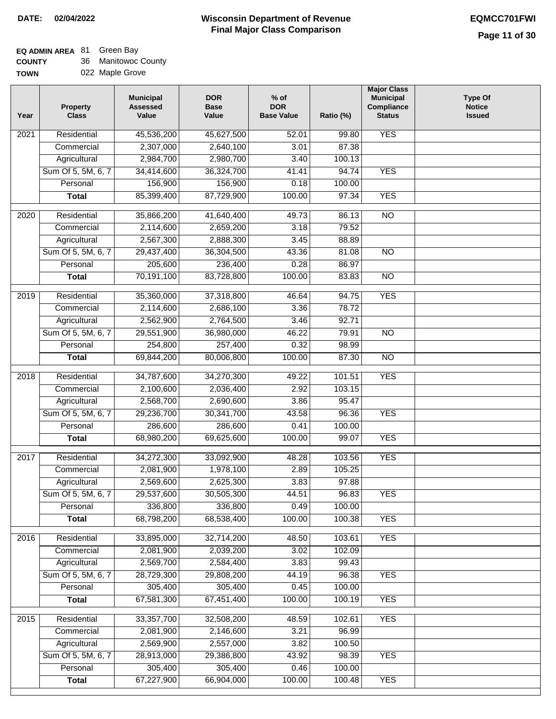#### **Wisconsin Department of Revenue Final Major Class Comparison DATE: 02/04/2022 EQMCC701FWI**

# **EQ ADMIN AREA** 81 Green Bay

| <b>COUNTY</b> | 36 Manitowoc County |
|---------------|---------------------|
| <b>TOWN</b>   | 022 Maple Grove     |

| ٧Ν | 022 Maple Grove |
|----|-----------------|
|----|-----------------|

| Year              | <b>Property</b><br><b>Class</b> | <b>Municipal</b><br><b>Assessed</b><br>Value | <b>DOR</b><br><b>Base</b><br>Value | $%$ of<br><b>DOR</b><br><b>Base Value</b> | Ratio (%) | <b>Major Class</b><br><b>Municipal</b><br>Compliance<br><b>Status</b> | <b>Type Of</b><br><b>Notice</b><br><b>Issued</b> |
|-------------------|---------------------------------|----------------------------------------------|------------------------------------|-------------------------------------------|-----------|-----------------------------------------------------------------------|--------------------------------------------------|
| 2021              | Residential                     | 45,536,200                                   | 45,627,500                         | 52.01                                     | 99.80     | <b>YES</b>                                                            |                                                  |
|                   | Commercial                      | 2,307,000                                    | 2,640,100                          | 3.01                                      | 87.38     |                                                                       |                                                  |
|                   | Agricultural                    | 2,984,700                                    | 2,980,700                          | 3.40                                      | 100.13    |                                                                       |                                                  |
|                   | Sum Of 5, 5M, 6, 7              | 34,414,600                                   | 36,324,700                         | 41.41                                     | 94.74     | <b>YES</b>                                                            |                                                  |
|                   | Personal                        | 156,900                                      | 156,900                            | 0.18                                      | 100.00    |                                                                       |                                                  |
|                   | <b>Total</b>                    | 85,399,400                                   | 87,729,900                         | 100.00                                    | 97.34     | <b>YES</b>                                                            |                                                  |
| $\overline{2020}$ | Residential                     | 35,866,200                                   | 41,640,400                         | 49.73                                     | 86.13     | $\overline{NO}$                                                       |                                                  |
|                   | Commercial                      | 2,114,600                                    | 2,659,200                          | 3.18                                      | 79.52     |                                                                       |                                                  |
|                   | Agricultural                    | 2,567,300                                    | 2,888,300                          | 3.45                                      | 88.89     |                                                                       |                                                  |
|                   | Sum Of 5, 5M, 6, 7              | 29,437,400                                   | 36,304,500                         | 43.36                                     | 81.08     | $\overline{NO}$                                                       |                                                  |
|                   | Personal                        | 205,600                                      | 236,400                            | 0.28                                      | 86.97     |                                                                       |                                                  |
|                   | <b>Total</b>                    | 70,191,100                                   | 83,728,800                         | 100.00                                    | 83.83     | <b>NO</b>                                                             |                                                  |
| $\frac{2019}{ }$  | Residential                     | 35,360,000                                   | 37,318,800                         | 46.64                                     | 94.75     | <b>YES</b>                                                            |                                                  |
|                   | Commercial                      | 2,114,600                                    | 2,686,100                          | 3.36                                      | 78.72     |                                                                       |                                                  |
|                   | Agricultural                    | 2,562,900                                    | 2,764,500                          | 3.46                                      | 92.71     |                                                                       |                                                  |
|                   | Sum Of 5, 5M, 6, 7              | 29,551,900                                   | 36,980,000                         | 46.22                                     | 79.91     | $\overline{NO}$                                                       |                                                  |
|                   | Personal                        | 254,800                                      | 257,400                            | 0.32                                      | 98.99     |                                                                       |                                                  |
|                   | <b>Total</b>                    | 69,844,200                                   | 80,006,800                         | 100.00                                    | 87.30     | $\overline{NO}$                                                       |                                                  |
|                   |                                 |                                              |                                    |                                           |           |                                                                       |                                                  |
| $\overline{2018}$ | Residential                     | 34,787,600                                   | 34,270,300                         | 49.22                                     | 101.51    | <b>YES</b>                                                            |                                                  |
|                   | Commercial                      | 2,100,600                                    | 2,036,400                          | 2.92                                      | 103.15    |                                                                       |                                                  |
|                   | Agricultural                    | 2,568,700                                    | 2,690,600                          | 3.86                                      | 95.47     |                                                                       |                                                  |
|                   | Sum Of 5, 5M, 6, 7              | 29,236,700                                   | 30,341,700                         | 43.58                                     | 96.36     | <b>YES</b>                                                            |                                                  |
|                   | Personal                        | 286,600                                      | 286,600                            | 0.41                                      | 100.00    |                                                                       |                                                  |
|                   | <b>Total</b>                    | 68,980,200                                   | 69,625,600                         | 100.00                                    | 99.07     | <b>YES</b>                                                            |                                                  |
| 2017              | Residential                     | 34,272,300                                   | 33,092,900                         | 48.28                                     | 103.56    | <b>YES</b>                                                            |                                                  |
|                   | Commercial                      | 2,081,900                                    | 1,978,100                          | 2.89                                      | 105.25    |                                                                       |                                                  |
|                   | Agricultural                    | 2,569,600                                    | 2,625,300                          | 3.83                                      | 97.88     |                                                                       |                                                  |
|                   | Sum Of 5, 5M, 6, 7              | 29,537,600                                   | 30,505,300                         | 44.51                                     | 96.83     | <b>YES</b>                                                            |                                                  |
|                   | Personal                        | 336,800                                      | 336,800                            | 0.49                                      | 100.00    |                                                                       |                                                  |
|                   | <b>Total</b>                    | 68,798,200                                   | 68,538,400                         | 100.00                                    | 100.38    | <b>YES</b>                                                            |                                                  |
| 2016              | Residential                     | 33,895,000                                   | 32,714,200                         | 48.50                                     | 103.61    | <b>YES</b>                                                            |                                                  |
|                   | Commercial                      | 2,081,900                                    | 2,039,200                          | 3.02                                      | 102.09    |                                                                       |                                                  |
|                   | Agricultural                    | 2,569,700                                    | 2,584,400                          | 3.83                                      | 99.43     |                                                                       |                                                  |
|                   | Sum Of 5, 5M, 6, 7              | 28,729,300                                   | 29,808,200                         | 44.19                                     | 96.38     | <b>YES</b>                                                            |                                                  |
|                   | Personal                        | 305,400                                      | 305,400                            | 0.45                                      | 100.00    |                                                                       |                                                  |
|                   | <b>Total</b>                    | 67,581,300                                   | 67,451,400                         | 100.00                                    | 100.19    | <b>YES</b>                                                            |                                                  |
| 2015              | Residential                     | 33,357,700                                   | 32,508,200                         | 48.59                                     | 102.61    | <b>YES</b>                                                            |                                                  |
|                   | Commercial                      | 2,081,900                                    | 2,146,600                          | 3.21                                      | 96.99     |                                                                       |                                                  |
|                   | Agricultural                    | 2,569,900                                    | 2,557,000                          | 3.82                                      | 100.50    |                                                                       |                                                  |
|                   | Sum Of 5, 5M, 6, 7              | 28,913,000                                   | 29,386,800                         | 43.92                                     | 98.39     | <b>YES</b>                                                            |                                                  |
|                   | Personal                        | 305,400                                      | 305,400                            | 0.46                                      | 100.00    |                                                                       |                                                  |
|                   | <b>Total</b>                    | 67,227,900                                   | 66,904,000                         | 100.00                                    | 100.48    | <b>YES</b>                                                            |                                                  |
|                   |                                 |                                              |                                    |                                           |           |                                                                       |                                                  |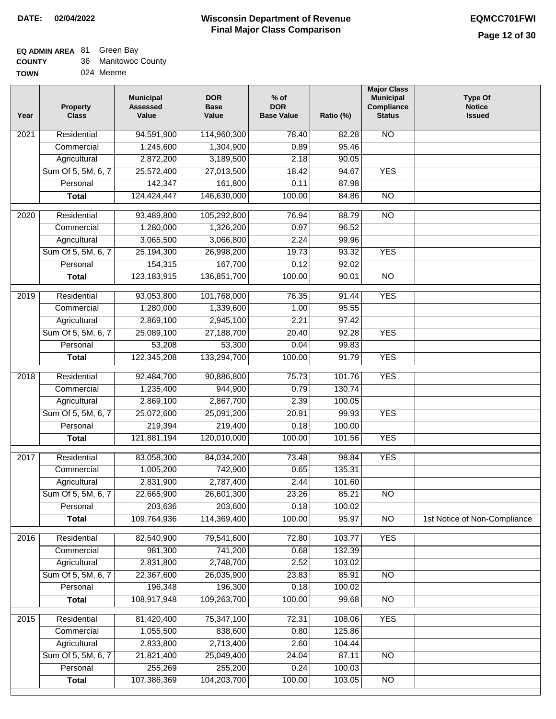## **EQ ADMIN AREA** 81 Green Bay

| <b>COUNTY</b> | 36 Manitowoc County |
|---------------|---------------------|
|---------------|---------------------|

**TOWN** 024 Meeme

| Year              | <b>Property</b><br><b>Class</b> | <b>Municipal</b><br><b>Assessed</b><br>Value | <b>DOR</b><br><b>Base</b><br>Value | % of<br><b>DOR</b><br><b>Base Value</b> | Ratio (%) | <b>Major Class</b><br><b>Municipal</b><br>Compliance<br><b>Status</b> | <b>Type Of</b><br><b>Notice</b><br><b>Issued</b> |
|-------------------|---------------------------------|----------------------------------------------|------------------------------------|-----------------------------------------|-----------|-----------------------------------------------------------------------|--------------------------------------------------|
| $\overline{202}1$ | Residential                     | 94,591,900                                   | 114,960,300                        | 78.40                                   | 82.28     | <b>NO</b>                                                             |                                                  |
|                   | Commercial                      | 1,245,600                                    | 1,304,900                          | 0.89                                    | 95.46     |                                                                       |                                                  |
|                   | Agricultural                    | 2,872,200                                    | 3,189,500                          | 2.18                                    | 90.05     |                                                                       |                                                  |
|                   | Sum Of 5, 5M, 6, 7              | 25,572,400                                   | 27,013,500                         | 18.42                                   | 94.67     | <b>YES</b>                                                            |                                                  |
|                   | Personal                        | 142,347                                      | 161,800                            | 0.11                                    | 87.98     |                                                                       |                                                  |
|                   | <b>Total</b>                    | 124,424,447                                  | 146,630,000                        | 100.00                                  | 84.86     | $\overline{NO}$                                                       |                                                  |
| $\overline{2020}$ | Residential                     | 93,489,800                                   | 105,292,800                        | 76.94                                   | 88.79     | $\overline{NO}$                                                       |                                                  |
|                   | Commercial                      | 1,280,000                                    | 1,326,200                          | 0.97                                    | 96.52     |                                                                       |                                                  |
|                   | Agricultural                    | 3,065,500                                    | 3,066,800                          | 2.24                                    | 99.96     |                                                                       |                                                  |
|                   | Sum Of 5, 5M, 6, 7              | 25,194,300                                   | 26,998,200                         | 19.73                                   | 93.32     | <b>YES</b>                                                            |                                                  |
|                   | Personal                        | 154,315                                      | 167,700                            | 0.12                                    | 92.02     |                                                                       |                                                  |
|                   | <b>Total</b>                    | 123, 183, 915                                | 136,851,700                        | 100.00                                  | 90.01     | $\overline{NO}$                                                       |                                                  |
| 2019              | Residential                     | 93,053,800                                   | 101,768,000                        | 76.35                                   | 91.44     | <b>YES</b>                                                            |                                                  |
|                   | Commercial                      | 1,280,000                                    | 1,339,600                          | 1.00                                    | 95.55     |                                                                       |                                                  |
|                   | Agricultural                    | 2,869,100                                    | 2,945,100                          | 2.21                                    | 97.42     |                                                                       |                                                  |
|                   | Sum Of 5, 5M, 6, 7              | 25,089,100                                   | 27,188,700                         | 20.40                                   | 92.28     | <b>YES</b>                                                            |                                                  |
|                   | Personal                        | 53,208                                       | 53,300                             | 0.04                                    | 99.83     |                                                                       |                                                  |
|                   | <b>Total</b>                    | 122,345,208                                  | 133,294,700                        | 100.00                                  | 91.79     | <b>YES</b>                                                            |                                                  |
|                   |                                 |                                              |                                    |                                         |           |                                                                       |                                                  |
| 2018              | Residential                     | 92,484,700                                   | 90,886,800                         | 75.73                                   | 101.76    | <b>YES</b>                                                            |                                                  |
|                   | Commercial                      | 1,235,400                                    | 944,900                            | 0.79                                    | 130.74    |                                                                       |                                                  |
|                   | Agricultural                    | 2,869,100                                    | 2,867,700                          | 2.39                                    | 100.05    |                                                                       |                                                  |
|                   | Sum Of 5, 5M, 6, 7              | 25,072,600                                   | 25,091,200                         | 20.91                                   | 99.93     | <b>YES</b>                                                            |                                                  |
|                   | Personal                        | 219,394                                      | 219,400                            | 0.18                                    | 100.00    |                                                                       |                                                  |
|                   | <b>Total</b>                    | 121,881,194                                  | 120,010,000                        | 100.00                                  | 101.56    | <b>YES</b>                                                            |                                                  |
| $\overline{2017}$ | Residential                     | 83,058,300                                   | 84,034,200                         | 73.48                                   | 98.84     | <b>YES</b>                                                            |                                                  |
|                   | Commercial                      | 1,005,200                                    | 742,900                            | 0.65                                    | 135.31    |                                                                       |                                                  |
|                   | Agricultural                    | 2,831,900                                    | 2,787,400                          | 2.44                                    | 101.60    |                                                                       |                                                  |
|                   | Sum Of 5, 5M, 6, 7              | 22,665,900                                   | 26,601,300                         | 23.26                                   | 85.21     | <b>NO</b>                                                             |                                                  |
|                   | Personal                        | 203,636                                      | 203,600                            | 0.18                                    | 100.02    |                                                                       |                                                  |
|                   | <b>Total</b>                    | 109,764,936                                  | 114,369,400                        | 100.00                                  | 95.97     | <b>NO</b>                                                             | 1st Notice of Non-Compliance                     |
| 2016              | Residential                     | 82,540,900                                   | 79,541,600                         | 72.80                                   | 103.77    | <b>YES</b>                                                            |                                                  |
|                   | Commercial                      | 981,300                                      | 741,200                            | 0.68                                    | 132.39    |                                                                       |                                                  |
|                   | Agricultural                    | 2,831,800                                    | 2,748,700                          | 2.52                                    | 103.02    |                                                                       |                                                  |
|                   | Sum Of 5, 5M, 6, 7              | 22,367,600                                   | 26,035,900                         | 23.83                                   | 85.91     | N <sub>O</sub>                                                        |                                                  |
|                   | Personal                        | 196,348                                      | 196,300                            | 0.18                                    | 100.02    |                                                                       |                                                  |
|                   | <b>Total</b>                    | 108,917,948                                  | 109,263,700                        | 100.00                                  | 99.68     | $\overline{NO}$                                                       |                                                  |
| 2015              | Residential                     | 81,420,400                                   | 75,347,100                         | 72.31                                   | 108.06    | <b>YES</b>                                                            |                                                  |
|                   | Commercial                      | 1,055,500                                    | 838,600                            | 0.80                                    | 125.86    |                                                                       |                                                  |
|                   | Agricultural                    | 2,833,800                                    | 2,713,400                          | 2.60                                    | 104.44    |                                                                       |                                                  |
|                   | Sum Of 5, 5M, 6, 7              | 21,821,400                                   | 25,049,400                         | 24.04                                   | 87.11     | <b>NO</b>                                                             |                                                  |
|                   | Personal                        | 255,269                                      | 255,200                            | 0.24                                    | 100.03    |                                                                       |                                                  |
|                   | <b>Total</b>                    | 107,386,369                                  | 104,203,700                        | 100.00                                  | 103.05    | N <sub>O</sub>                                                        |                                                  |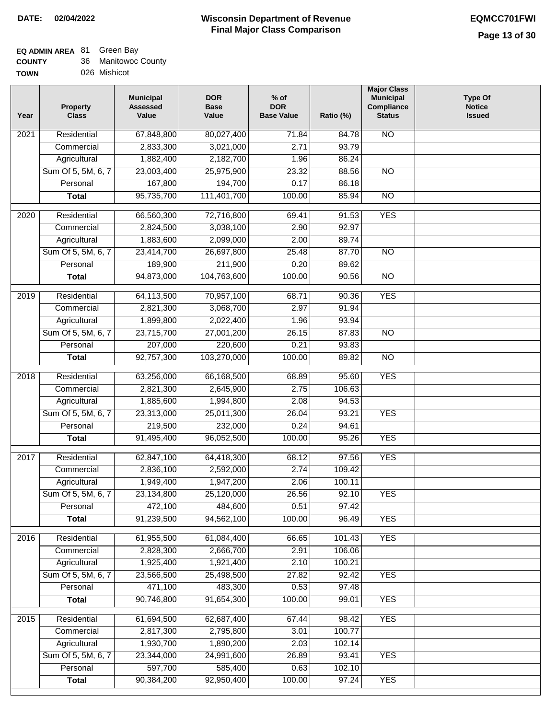| <b>COUNTY</b> | 36 Manitowoc County |
|---------------|---------------------|
| <b>TOWN</b>   | 026 Mishicot        |

| Year              | <b>Property</b><br><b>Class</b> | <b>Municipal</b><br><b>Assessed</b><br>Value | <b>DOR</b><br><b>Base</b><br>Value | $%$ of<br><b>DOR</b><br><b>Base Value</b> | Ratio (%) | <b>Major Class</b><br><b>Municipal</b><br>Compliance<br><b>Status</b> | <b>Type Of</b><br><b>Notice</b><br><b>Issued</b> |
|-------------------|---------------------------------|----------------------------------------------|------------------------------------|-------------------------------------------|-----------|-----------------------------------------------------------------------|--------------------------------------------------|
| $\overline{202}1$ | Residential                     | 67,848,800                                   | 80,027,400                         | 71.84                                     | 84.78     | $\overline{NO}$                                                       |                                                  |
|                   | Commercial                      | 2,833,300                                    | 3,021,000                          | 2.71                                      | 93.79     |                                                                       |                                                  |
|                   | Agricultural                    | 1,882,400                                    | 2,182,700                          | 1.96                                      | 86.24     |                                                                       |                                                  |
|                   | Sum Of 5, 5M, 6, 7              | 23,003,400                                   | 25,975,900                         | 23.32                                     | 88.56     | $\overline{NO}$                                                       |                                                  |
|                   | Personal                        | 167,800                                      | 194,700                            | 0.17                                      | 86.18     |                                                                       |                                                  |
|                   | <b>Total</b>                    | 95,735,700                                   | 111,401,700                        | 100.00                                    | 85.94     | $\overline{NO}$                                                       |                                                  |
|                   |                                 |                                              |                                    |                                           |           |                                                                       |                                                  |
| 2020              | Residential                     | 66,560,300                                   | 72,716,800                         | 69.41                                     | 91.53     | <b>YES</b>                                                            |                                                  |
|                   | Commercial                      | 2,824,500                                    | 3,038,100                          | 2.90                                      | 92.97     |                                                                       |                                                  |
|                   | Agricultural                    | 1,883,600                                    | 2,099,000                          | 2.00                                      | 89.74     |                                                                       |                                                  |
|                   | Sum Of 5, 5M, 6, 7              | 23,414,700                                   | 26,697,800                         | 25.48                                     | 87.70     | <b>NO</b>                                                             |                                                  |
|                   | Personal                        | 189,900                                      | 211,900                            | 0.20                                      | 89.62     |                                                                       |                                                  |
|                   | <b>Total</b>                    | 94,873,000                                   | 104,763,600                        | 100.00                                    | 90.56     | $\overline{NO}$                                                       |                                                  |
| 2019              | Residential                     | 64,113,500                                   | 70,957,100                         | 68.71                                     | 90.36     | <b>YES</b>                                                            |                                                  |
|                   | Commercial                      | 2,821,300                                    | 3,068,700                          | 2.97                                      | 91.94     |                                                                       |                                                  |
|                   | Agricultural                    | 1,899,800                                    | 2,022,400                          | 1.96                                      | 93.94     |                                                                       |                                                  |
|                   | Sum Of 5, 5M, 6, 7              | 23,715,700                                   | 27,001,200                         | 26.15                                     | 87.83     | $\overline{NO}$                                                       |                                                  |
|                   | Personal                        | 207,000                                      | 220,600                            | 0.21                                      | 93.83     |                                                                       |                                                  |
|                   | <b>Total</b>                    | 92,757,300                                   | 103,270,000                        | 100.00                                    | 89.82     | $\overline{NO}$                                                       |                                                  |
| 2018              | Residential                     | 63,256,000                                   | 66,168,500                         | 68.89                                     | 95.60     | <b>YES</b>                                                            |                                                  |
|                   | Commercial                      | 2,821,300                                    | 2,645,900                          | 2.75                                      | 106.63    |                                                                       |                                                  |
|                   | Agricultural                    | 1,885,600                                    | 1,994,800                          | 2.08                                      | 94.53     |                                                                       |                                                  |
|                   | Sum Of 5, 5M, 6, 7              | 23,313,000                                   | 25,011,300                         | 26.04                                     | 93.21     | <b>YES</b>                                                            |                                                  |
|                   | Personal                        | 219,500                                      | 232,000                            | 0.24                                      | 94.61     |                                                                       |                                                  |
|                   | <b>Total</b>                    | 91,495,400                                   | 96,052,500                         | 100.00                                    | 95.26     | <b>YES</b>                                                            |                                                  |
| 2017              | Residential                     | 62,847,100                                   | 64,418,300                         | 68.12                                     | 97.56     | <b>YES</b>                                                            |                                                  |
|                   | Commercial                      | 2,836,100                                    | 2,592,000                          | 2.74                                      | 109.42    |                                                                       |                                                  |
|                   | Agricultural                    | 1,949,400                                    | 1,947,200                          | 2.06                                      | 100.11    |                                                                       |                                                  |
|                   | Sum Of 5, 5M, 6, 7              | 23,134,800                                   | 25,120,000                         | 26.56                                     | 92.10     | <b>YES</b>                                                            |                                                  |
|                   | Personal                        | 472,100                                      | 484,600                            | 0.51                                      | 97.42     |                                                                       |                                                  |
|                   | <b>Total</b>                    | 91,239,500                                   | 94,562,100                         | 100.00                                    | 96.49     | <b>YES</b>                                                            |                                                  |
| $\overline{2016}$ | Residential                     | 61,955,500                                   | 61,084,400                         | 66.65                                     | 101.43    | <b>YES</b>                                                            |                                                  |
|                   | Commercial                      | 2,828,300                                    | 2,666,700                          | 2.91                                      | 106.06    |                                                                       |                                                  |
|                   | Agricultural                    | 1,925,400                                    | 1,921,400                          | 2.10                                      | 100.21    |                                                                       |                                                  |
|                   | Sum Of 5, 5M, 6, 7              | 23,566,500                                   | 25,498,500                         | 27.82                                     | 92.42     | <b>YES</b>                                                            |                                                  |
|                   | Personal                        | 471,100                                      | 483,300                            | 0.53                                      | 97.48     |                                                                       |                                                  |
|                   | <b>Total</b>                    | 90,746,800                                   | 91,654,300                         | 100.00                                    | 99.01     | <b>YES</b>                                                            |                                                  |
| 2015              | Residential                     | 61,694,500                                   | 62,687,400                         | 67.44                                     | 98.42     | <b>YES</b>                                                            |                                                  |
|                   | Commercial                      | 2,817,300                                    | 2,795,800                          | 3.01                                      | 100.77    |                                                                       |                                                  |
|                   | Agricultural                    | 1,930,700                                    | 1,890,200                          | 2.03                                      | 102.14    |                                                                       |                                                  |
|                   | Sum Of 5, 5M, 6, 7              | 23,344,000                                   | 24,991,600                         | 26.89                                     | 93.41     | <b>YES</b>                                                            |                                                  |
|                   | Personal                        | 597,700                                      | 585,400                            | 0.63                                      | 102.10    |                                                                       |                                                  |
|                   | <b>Total</b>                    | 90,384,200                                   | 92,950,400                         | 100.00                                    | 97.24     | <b>YES</b>                                                            |                                                  |
|                   |                                 |                                              |                                    |                                           |           |                                                                       |                                                  |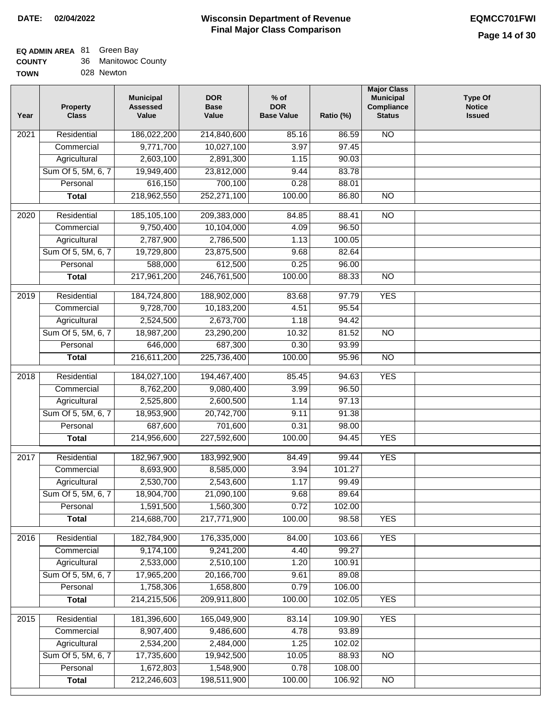# **EQ ADMIN AREA** 81 Green Bay

| <b>COUNTY</b> | Manitowoc County |
|---------------|------------------|
|---------------|------------------|

**TOWN** 028 Newton

| Year              | <b>Property</b><br><b>Class</b> | <b>Municipal</b><br><b>Assessed</b><br>Value | <b>DOR</b><br><b>Base</b><br>Value | % of<br><b>DOR</b><br><b>Base Value</b> | Ratio (%) | <b>Major Class</b><br><b>Municipal</b><br>Compliance<br><b>Status</b> | <b>Type Of</b><br><b>Notice</b><br><b>Issued</b> |
|-------------------|---------------------------------|----------------------------------------------|------------------------------------|-----------------------------------------|-----------|-----------------------------------------------------------------------|--------------------------------------------------|
| $\overline{202}1$ | Residential                     | 186,022,200                                  | 214,840,600                        | 85.16                                   | 86.59     | <b>NO</b>                                                             |                                                  |
|                   | Commercial                      | 9,771,700                                    | 10,027,100                         | 3.97                                    | 97.45     |                                                                       |                                                  |
|                   | Agricultural                    | 2,603,100                                    | 2,891,300                          | 1.15                                    | 90.03     |                                                                       |                                                  |
|                   | Sum Of 5, 5M, 6, 7              | 19,949,400                                   | 23,812,000                         | 9.44                                    | 83.78     |                                                                       |                                                  |
|                   | Personal                        | 616,150                                      | 700,100                            | 0.28                                    | 88.01     |                                                                       |                                                  |
|                   | <b>Total</b>                    | 218,962,550                                  | 252,271,100                        | 100.00                                  | 86.80     | $\overline{NO}$                                                       |                                                  |
| $\overline{2020}$ | Residential                     | 185, 105, 100                                | 209,383,000                        | 84.85                                   | 88.41     | $\overline{N}$                                                        |                                                  |
|                   | Commercial                      | 9,750,400                                    | 10,104,000                         | 4.09                                    | 96.50     |                                                                       |                                                  |
|                   | Agricultural                    | 2,787,900                                    | 2,786,500                          | 1.13                                    | 100.05    |                                                                       |                                                  |
|                   | Sum Of 5, 5M, 6, 7              | 19,729,800                                   | 23,875,500                         | 9.68                                    | 82.64     |                                                                       |                                                  |
|                   | Personal                        | 588,000                                      | 612,500                            | 0.25                                    | 96.00     |                                                                       |                                                  |
|                   | <b>Total</b>                    | 217,961,200                                  | 246,761,500                        | 100.00                                  | 88.33     | $\overline{NO}$                                                       |                                                  |
| 2019              | Residential                     | 184,724,800                                  | 188,902,000                        | 83.68                                   | 97.79     | <b>YES</b>                                                            |                                                  |
|                   | Commercial                      | 9,728,700                                    | 10,183,200                         | 4.51                                    | 95.54     |                                                                       |                                                  |
|                   | Agricultural                    | 2,524,500                                    | 2,673,700                          | 1.18                                    | 94.42     |                                                                       |                                                  |
|                   | Sum Of 5, 5M, 6, 7              | 18,987,200                                   | 23,290,200                         | 10.32                                   | 81.52     | $\overline{NO}$                                                       |                                                  |
|                   | Personal                        | 646,000                                      | 687,300                            | 0.30                                    | 93.99     |                                                                       |                                                  |
|                   | <b>Total</b>                    | 216,611,200                                  | 225,736,400                        | 100.00                                  | 95.96     | $\overline{NO}$                                                       |                                                  |
| 2018              | Residential                     | 184,027,100                                  | 194,467,400                        | 85.45                                   | 94.63     | <b>YES</b>                                                            |                                                  |
|                   | Commercial                      | 8,762,200                                    | 9,080,400                          | 3.99                                    | 96.50     |                                                                       |                                                  |
|                   | Agricultural                    | 2,525,800                                    | 2,600,500                          | 1.14                                    | 97.13     |                                                                       |                                                  |
|                   | Sum Of 5, 5M, 6, 7              | 18,953,900                                   | 20,742,700                         | 9.11                                    | 91.38     |                                                                       |                                                  |
|                   | Personal                        | 687,600                                      | 701,600                            | 0.31                                    | 98.00     |                                                                       |                                                  |
|                   | <b>Total</b>                    | 214,956,600                                  | 227,592,600                        | 100.00                                  | 94.45     | <b>YES</b>                                                            |                                                  |
| $\overline{2017}$ | Residential                     | 182,967,900                                  | 183,992,900                        | 84.49                                   | 99.44     | <b>YES</b>                                                            |                                                  |
|                   | Commercial                      | 8,693,900                                    | 8,585,000                          | 3.94                                    | 101.27    |                                                                       |                                                  |
|                   | Agricultural                    | 2,530,700                                    | 2,543,600                          | 1.17                                    | 99.49     |                                                                       |                                                  |
|                   | Sum Of 5, 5M, 6, 7              | 18,904,700                                   | 21,090,100                         | 9.68                                    | 89.64     |                                                                       |                                                  |
|                   | Personal                        | 1,591,500                                    | 1,560,300                          | 0.72                                    | 102.00    |                                                                       |                                                  |
|                   | <b>Total</b>                    | 214,688,700                                  | 217,771,900                        | 100.00                                  | 98.58     | <b>YES</b>                                                            |                                                  |
| 2016              | Residential                     | 182,784,900                                  | 176,335,000                        | 84.00                                   | 103.66    | <b>YES</b>                                                            |                                                  |
|                   | Commercial                      | 9,174,100                                    | 9,241,200                          | 4.40                                    | 99.27     |                                                                       |                                                  |
|                   | Agricultural                    | 2,533,000                                    | 2,510,100                          | 1.20                                    | 100.91    |                                                                       |                                                  |
|                   | Sum Of 5, 5M, 6, 7              | 17,965,200                                   | 20,166,700                         | 9.61                                    | 89.08     |                                                                       |                                                  |
|                   | Personal                        | 1,758,306                                    | 1,658,800                          | 0.79                                    | 106.00    |                                                                       |                                                  |
|                   | <b>Total</b>                    | 214,215,506                                  | 209,911,800                        | 100.00                                  | 102.05    | <b>YES</b>                                                            |                                                  |
| 2015              | Residential                     | 181,396,600                                  | 165,049,900                        | 83.14                                   | 109.90    | <b>YES</b>                                                            |                                                  |
|                   | Commercial                      | 8,907,400                                    | 9,486,600                          | 4.78                                    | 93.89     |                                                                       |                                                  |
|                   | Agricultural                    | 2,534,200                                    | 2,484,000                          | 1.25                                    | 102.02    |                                                                       |                                                  |
|                   | Sum Of 5, 5M, 6, 7              | 17,735,600                                   | 19,942,500                         | 10.05                                   | 88.93     | <b>NO</b>                                                             |                                                  |
|                   | Personal                        | 1,672,803                                    | 1,548,900                          | 0.78                                    | 108.00    |                                                                       |                                                  |
|                   | <b>Total</b>                    | 212,246,603                                  | 198,511,900                        | 100.00                                  | 106.92    | N <sub>O</sub>                                                        |                                                  |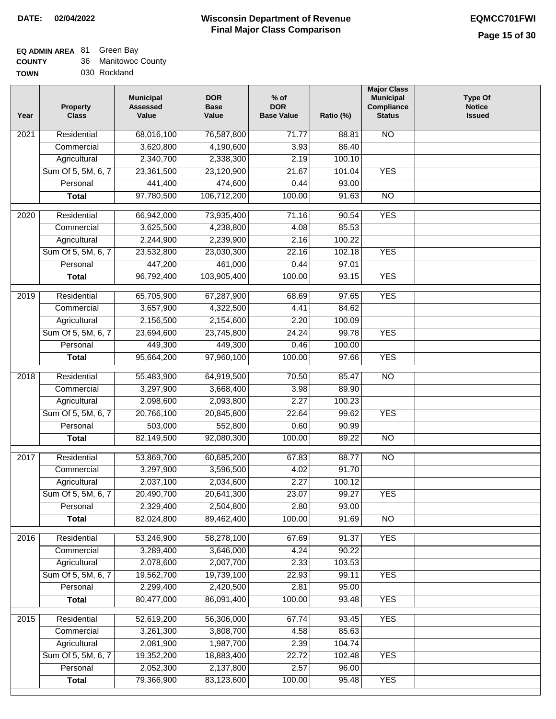| <b>COUNTY</b> | 36 Manitowoc County |
|---------------|---------------------|
|---------------|---------------------|

| 030 Rockland<br><b>TOWN</b> |
|-----------------------------|
|-----------------------------|

| Year              | <b>Property</b><br><b>Class</b> | <b>Municipal</b><br><b>Assessed</b><br>Value | <b>DOR</b><br><b>Base</b><br>Value | $%$ of<br><b>DOR</b><br><b>Base Value</b> | Ratio (%) | <b>Major Class</b><br><b>Municipal</b><br>Compliance<br><b>Status</b> | <b>Type Of</b><br><b>Notice</b><br><b>Issued</b> |
|-------------------|---------------------------------|----------------------------------------------|------------------------------------|-------------------------------------------|-----------|-----------------------------------------------------------------------|--------------------------------------------------|
| 2021              | Residential                     | 68,016,100                                   | 76,587,800                         | 71.77                                     | 88.81     | $\overline{NO}$                                                       |                                                  |
|                   | Commercial                      | 3,620,800                                    | 4,190,600                          | 3.93                                      | 86.40     |                                                                       |                                                  |
|                   | Agricultural                    | 2,340,700                                    | 2,338,300                          | 2.19                                      | 100.10    |                                                                       |                                                  |
|                   | Sum Of 5, 5M, 6, 7              | 23,361,500                                   | 23,120,900                         | 21.67                                     | 101.04    | <b>YES</b>                                                            |                                                  |
|                   | Personal                        | 441,400                                      | 474,600                            | 0.44                                      | 93.00     |                                                                       |                                                  |
|                   | <b>Total</b>                    | 97,780,500                                   | 106,712,200                        | 100.00                                    | 91.63     | $\overline{NO}$                                                       |                                                  |
| $\overline{2020}$ | Residential                     | 66,942,000                                   | 73,935,400                         | 71.16                                     | 90.54     | <b>YES</b>                                                            |                                                  |
|                   | Commercial                      | 3,625,500                                    | 4,238,800                          | 4.08                                      | 85.53     |                                                                       |                                                  |
|                   | Agricultural                    | 2,244,900                                    | 2,239,900                          | 2.16                                      | 100.22    |                                                                       |                                                  |
|                   | Sum Of 5, 5M, 6, 7              | 23,532,800                                   | 23,030,300                         | 22.16                                     | 102.18    | <b>YES</b>                                                            |                                                  |
|                   | Personal                        | 447,200                                      | 461,000                            | 0.44                                      | 97.01     |                                                                       |                                                  |
|                   | <b>Total</b>                    | 96,792,400                                   | 103,905,400                        | 100.00                                    | 93.15     | <b>YES</b>                                                            |                                                  |
| $\frac{1}{2019}$  | Residential                     | 65,705,900                                   | 67,287,900                         | 68.69                                     | 97.65     | <b>YES</b>                                                            |                                                  |
|                   | Commercial                      | 3,657,900                                    | 4,322,500                          | 4.41                                      | 84.62     |                                                                       |                                                  |
|                   | Agricultural                    | 2,156,500                                    | 2,154,600                          | 2.20                                      | 100.09    |                                                                       |                                                  |
|                   | Sum Of 5, 5M, 6, 7              | 23,694,600                                   | 23,745,800                         | 24.24                                     | 99.78     | <b>YES</b>                                                            |                                                  |
|                   | Personal                        | 449,300                                      | 449,300                            | 0.46                                      | 100.00    |                                                                       |                                                  |
|                   | <b>Total</b>                    | 95,664,200                                   | 97,960,100                         | 100.00                                    | 97.66     | <b>YES</b>                                                            |                                                  |
| 2018              | Residential                     | 55,483,900                                   | 64,919,500                         | 70.50                                     | 85.47     | $\overline{NO}$                                                       |                                                  |
|                   | Commercial                      | 3,297,900                                    | 3,668,400                          | 3.98                                      | 89.90     |                                                                       |                                                  |
|                   | Agricultural                    | 2,098,600                                    | 2,093,800                          | 2.27                                      | 100.23    |                                                                       |                                                  |
|                   | Sum Of 5, 5M, 6, 7              | 20,766,100                                   | 20,845,800                         | 22.64                                     | 99.62     | <b>YES</b>                                                            |                                                  |
|                   | Personal                        | 503,000                                      | 552,800                            | 0.60                                      | 90.99     |                                                                       |                                                  |
|                   | <b>Total</b>                    | 82,149,500                                   | 92,080,300                         | 100.00                                    | 89.22     | <b>NO</b>                                                             |                                                  |
|                   |                                 |                                              |                                    |                                           |           |                                                                       |                                                  |
| 2017              | Residential                     | 53,869,700                                   | 60,685,200                         | 67.83                                     | 88.77     | $\overline{NO}$                                                       |                                                  |
|                   | Commercial                      | 3,297,900                                    | 3,596,500                          | 4.02                                      | 91.70     |                                                                       |                                                  |
|                   | Agricultural                    | 2,037,100                                    | 2,034,600                          | 2.27                                      | 100.12    |                                                                       |                                                  |
|                   | Sum Of 5, 5M, 6, 7              | 20,490,700                                   | 20,641,300                         | 23.07                                     | 99.27     | <b>YES</b>                                                            |                                                  |
|                   | Personal                        | 2,329,400                                    | 2,504,800                          | 2.80                                      | 93.00     |                                                                       |                                                  |
|                   | <b>Total</b>                    | 82,024,800                                   | 89,462,400                         | 100.00                                    | 91.69     | <b>NO</b>                                                             |                                                  |
| 2016              | Residential                     | 53,246,900                                   | 58,278,100                         | 67.69                                     | 91.37     | <b>YES</b>                                                            |                                                  |
|                   | Commercial                      | 3,289,400                                    | 3,646,000                          | 4.24                                      | 90.22     |                                                                       |                                                  |
|                   | Agricultural                    | 2,078,600                                    | 2,007,700                          | 2.33                                      | 103.53    |                                                                       |                                                  |
|                   | Sum Of 5, 5M, 6, 7              | 19,562,700                                   | 19,739,100                         | 22.93                                     | 99.11     | <b>YES</b>                                                            |                                                  |
|                   | Personal                        | 2,299,400                                    | 2,420,500                          | 2.81                                      | 95.00     |                                                                       |                                                  |
|                   | <b>Total</b>                    | 80,477,000                                   | 86,091,400                         | 100.00                                    | 93.48     | <b>YES</b>                                                            |                                                  |
| 2015              | Residential                     | 52,619,200                                   | 56,306,000                         | 67.74                                     | 93.45     | <b>YES</b>                                                            |                                                  |
|                   | Commercial                      | 3,261,300                                    | 3,808,700                          | 4.58                                      | 85.63     |                                                                       |                                                  |
|                   | Agricultural                    | 2,081,900                                    | 1,987,700                          | 2.39                                      | 104.74    |                                                                       |                                                  |
|                   | Sum Of 5, 5M, 6, 7              | 19,352,200                                   | 18,883,400                         | 22.72                                     | 102.48    | <b>YES</b>                                                            |                                                  |
|                   | Personal                        | 2,052,300                                    | 2,137,800                          | 2.57                                      | 96.00     |                                                                       |                                                  |
|                   | <b>Total</b>                    | 79,366,900                                   | 83,123,600                         | 100.00                                    | 95.48     | <b>YES</b>                                                            |                                                  |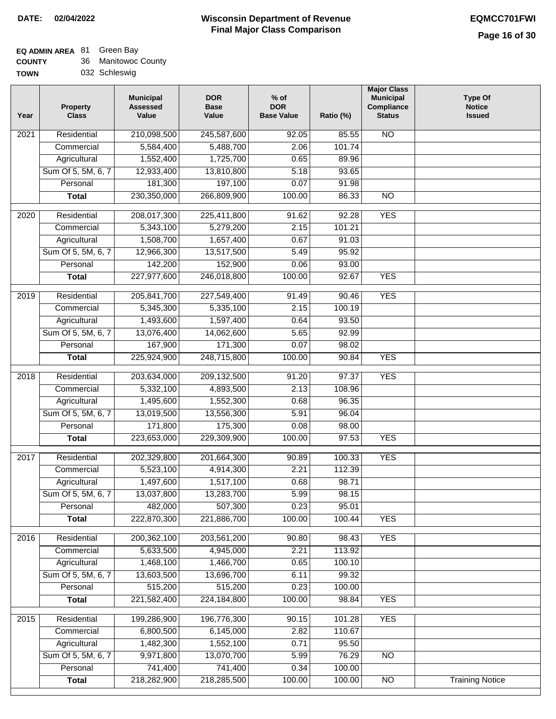#### **Wisconsin Department of Revenue Final Major Class Comparison DATE: 02/04/2022 EQMCC701FWI**

#### **EQ ADMIN AREA** 81 Green Bay

| <b>COUNTY</b> | 36 Manitowoc County |
|---------------|---------------------|
| <b>TOWN</b>   | 032 Schleswig       |

| 210,098,500<br>245,587,600<br>N <sub>O</sub><br>Residential<br>92.05<br>85.55<br>2021 |                        |
|---------------------------------------------------------------------------------------|------------------------|
|                                                                                       |                        |
| 5,584,400<br>101.74<br>Commercial<br>5,488,700<br>2.06                                |                        |
| Agricultural<br>1,552,400<br>1,725,700<br>0.65<br>89.96                               |                        |
| Sum Of 5, 5M, 6, 7<br>12,933,400<br>13,810,800<br>5.18<br>93.65                       |                        |
| 181,300<br>197,100<br>0.07<br>91.98<br>Personal                                       |                        |
| 230,350,000<br>266,809,900<br>100.00<br>86.33<br>$\overline{NO}$<br><b>Total</b>      |                        |
| <b>YES</b><br>Residential<br>208,017,300<br>225,411,800<br>91.62<br>92.28<br>2020     |                        |
| 5,279,200<br>2.15<br>101.21<br>Commercial<br>5,343,100                                |                        |
| 1,508,700<br>1,657,400<br>0.67<br>91.03<br>Agricultural                               |                        |
| Sum Of 5, 5M, 6, 7<br>12,966,300<br>13,517,500<br>5.49<br>95.92                       |                        |
| 142,200<br>152,900<br>Personal<br>0.06<br>93.00                                       |                        |
| 227,977,600<br>246,018,800<br>100.00<br><b>YES</b><br><b>Total</b><br>92.67           |                        |
|                                                                                       |                        |
| <b>YES</b><br>Residential<br>205,841,700<br>227,549,400<br>90.46<br>2019<br>91.49     |                        |
| Commercial<br>5,345,300<br>5,335,100<br>2.15<br>100.19                                |                        |
| Agricultural<br>1,493,600<br>1,597,400<br>93.50<br>0.64                               |                        |
| Sum Of 5, 5M, 6, 7<br>13,076,400<br>14,062,600<br>5.65<br>92.99                       |                        |
| 167,900<br>Personal<br>171,300<br>0.07<br>98.02                                       |                        |
| 225,924,900<br>248,715,800<br>100.00<br>90.84<br><b>YES</b><br><b>Total</b>           |                        |
| 2018<br>Residential<br>203,634,000<br>209,132,500<br>91.20<br>97.37<br><b>YES</b>     |                        |
| Commercial<br>5,332,100<br>4,893,500<br>2.13<br>108.96                                |                        |
| Agricultural<br>1,495,600<br>1,552,300<br>0.68<br>96.35                               |                        |
| Sum Of 5, 5M, 6, 7<br>13,019,500<br>96.04<br>13,556,300<br>5.91                       |                        |
| 171,800<br>175,300<br>Personal<br>0.08<br>98.00                                       |                        |
| <b>YES</b><br><b>Total</b><br>223,653,000<br>229,309,900<br>100.00<br>97.53           |                        |
| <b>YES</b><br>Residential<br>202,329,800<br>201,664,300<br>2017<br>90.89<br>100.33    |                        |
| 2.21<br>5,523,100<br>4,914,300<br>112.39<br>Commercial                                |                        |
| 1,497,600<br>1,517,100<br>Agricultural<br>0.68<br>98.71                               |                        |
| Sum Of 5, 5M, 6, 7<br>13,037,800<br>13,283,700<br>5.99<br>98.15                       |                        |
| 507,300<br>0.23<br>482,000<br>95.01<br>Personal                                       |                        |
| 221,886,700<br><b>YES</b><br>222,870,300<br>100.00<br>100.44<br><b>Total</b>          |                        |
| <b>YES</b><br>Residential<br>200, 362, 100<br>203,561,200<br>90.80<br>98.43<br>2016   |                        |
| 5,633,500<br>4,945,000<br>2.21<br>113.92<br>Commercial                                |                        |
| 1,466,700<br>Agricultural<br>1,468,100<br>0.65<br>100.10                              |                        |
| Sum Of 5, 5M, 6, 7<br>13,603,500<br>13,696,700<br>6.11<br>99.32                       |                        |
| 515,200<br>515,200<br>0.23<br>Personal<br>100.00                                      |                        |
| 221,582,400<br>224, 184, 800<br>100.00<br>98.84<br><b>Total</b><br><b>YES</b>         |                        |
| 199,286,900<br>196,776,300<br><b>YES</b><br>2015<br>Residential<br>90.15<br>101.28    |                        |
| Commercial<br>6,800,500<br>6,145,000<br>2.82<br>110.67                                |                        |
| 1,482,300<br>1,552,100<br>Agricultural<br>0.71<br>95.50                               |                        |
| Sum Of 5, 5M, 6, 7<br>13,070,700<br>76.29<br>9,971,800<br>5.99<br>NO                  |                        |
| Personal<br>741,400<br>741,400<br>0.34<br>100.00                                      |                        |
| 218,282,900<br>218,285,500<br>100.00<br>$\overline{NO}$<br><b>Total</b><br>100.00     | <b>Training Notice</b> |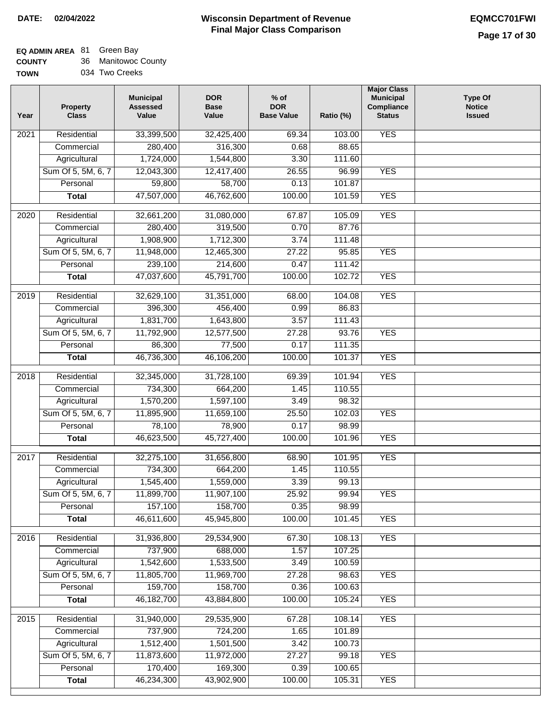### **EQ ADMIN AREA** 81 Green Bay

| <b>COUNTY</b> | Manitowoc County |
|---------------|------------------|
|---------------|------------------|

| <b>TOWN</b> | 034 Two Creeks |
|-------------|----------------|
|             |                |

| Year              | <b>Property</b><br><b>Class</b> | <b>Municipal</b><br><b>Assessed</b><br>Value | <b>DOR</b><br><b>Base</b><br>Value | $%$ of<br><b>DOR</b><br><b>Base Value</b> | Ratio (%) | <b>Major Class</b><br><b>Municipal</b><br>Compliance<br><b>Status</b> | <b>Type Of</b><br><b>Notice</b><br><b>Issued</b> |
|-------------------|---------------------------------|----------------------------------------------|------------------------------------|-------------------------------------------|-----------|-----------------------------------------------------------------------|--------------------------------------------------|
| 2021              | Residential                     | 33,399,500                                   | 32,425,400                         | 69.34                                     | 103.00    | <b>YES</b>                                                            |                                                  |
|                   | Commercial                      | 280,400                                      | 316,300                            | 0.68                                      | 88.65     |                                                                       |                                                  |
|                   | Agricultural                    | 1,724,000                                    | 1,544,800                          | 3.30                                      | 111.60    |                                                                       |                                                  |
|                   | Sum Of 5, 5M, 6, 7              | 12,043,300                                   | 12,417,400                         | 26.55                                     | 96.99     | <b>YES</b>                                                            |                                                  |
|                   | Personal                        | 59,800                                       | 58,700                             | 0.13                                      | 101.87    |                                                                       |                                                  |
|                   | <b>Total</b>                    | 47,507,000                                   | 46,762,600                         | 100.00                                    | 101.59    | <b>YES</b>                                                            |                                                  |
| $\overline{2020}$ | Residential                     | 32,661,200                                   | 31,080,000                         | 67.87                                     | 105.09    | <b>YES</b>                                                            |                                                  |
|                   | Commercial                      | 280,400                                      | 319,500                            | 0.70                                      | 87.76     |                                                                       |                                                  |
|                   | Agricultural                    | 1,908,900                                    | 1,712,300                          | 3.74                                      | 111.48    |                                                                       |                                                  |
|                   | Sum Of 5, 5M, 6, 7              | 11,948,000                                   | 12,465,300                         | 27.22                                     | 95.85     | <b>YES</b>                                                            |                                                  |
|                   | Personal                        | 239,100                                      | 214,600                            | 0.47                                      | 111.42    |                                                                       |                                                  |
|                   | <b>Total</b>                    | 47,037,600                                   | 45,791,700                         | 100.00                                    | 102.72    | <b>YES</b>                                                            |                                                  |
|                   |                                 |                                              |                                    |                                           |           |                                                                       |                                                  |
| $\frac{1}{2019}$  | Residential                     | 32,629,100                                   | 31,351,000                         | 68.00                                     | 104.08    | <b>YES</b>                                                            |                                                  |
|                   | Commercial                      | 396,300                                      | 456,400                            | 0.99                                      | 86.83     |                                                                       |                                                  |
|                   | Agricultural                    | 1,831,700                                    | 1,643,800                          | 3.57                                      | 111.43    |                                                                       |                                                  |
|                   | Sum Of 5, 5M, 6, 7              | 11,792,900                                   | 12,577,500                         | 27.28                                     | 93.76     | <b>YES</b>                                                            |                                                  |
|                   | Personal                        | 86,300                                       | 77,500                             | 0.17                                      | 111.35    |                                                                       |                                                  |
|                   | <b>Total</b>                    | 46,736,300                                   | 46,106,200                         | 100.00                                    | 101.37    | <b>YES</b>                                                            |                                                  |
| $\overline{2018}$ | Residential                     | 32,345,000                                   | 31,728,100                         | 69.39                                     | 101.94    | <b>YES</b>                                                            |                                                  |
|                   | Commercial                      | 734,300                                      | 664,200                            | 1.45                                      | 110.55    |                                                                       |                                                  |
|                   | Agricultural                    | 1,570,200                                    | 1,597,100                          | 3.49                                      | 98.32     |                                                                       |                                                  |
|                   | Sum Of 5, 5M, 6, 7              | 11,895,900                                   | 11,659,100                         | 25.50                                     | 102.03    | <b>YES</b>                                                            |                                                  |
|                   | Personal                        | 78,100                                       | 78,900                             | 0.17                                      | 98.99     |                                                                       |                                                  |
|                   | <b>Total</b>                    | 46,623,500                                   | 45,727,400                         | 100.00                                    | 101.96    | <b>YES</b>                                                            |                                                  |
| 2017              | Residential                     | 32,275,100                                   | 31,656,800                         | 68.90                                     | 101.95    | <b>YES</b>                                                            |                                                  |
|                   | Commercial                      | 734,300                                      | 664,200                            | 1.45                                      | 110.55    |                                                                       |                                                  |
|                   | Agricultural                    | 1,545,400                                    | 1,559,000                          | 3.39                                      | 99.13     |                                                                       |                                                  |
|                   | Sum Of 5, 5M, 6, 7              | 11,899,700                                   | 11,907,100                         | 25.92                                     | 99.94     | <b>YES</b>                                                            |                                                  |
|                   | Personal                        | 157,100                                      | 158,700                            | 0.35                                      | 98.99     |                                                                       |                                                  |
|                   | <b>Total</b>                    | 46,611,600                                   | 45,945,800                         | 100.00                                    | 101.45    | <b>YES</b>                                                            |                                                  |
|                   |                                 |                                              |                                    |                                           |           |                                                                       |                                                  |
| 2016              | Residential                     | 31,936,800                                   | 29,534,900                         | 67.30                                     | 108.13    | <b>YES</b>                                                            |                                                  |
|                   | Commercial                      | 737,900                                      | 688,000                            | 1.57                                      | 107.25    |                                                                       |                                                  |
|                   | Agricultural                    | 1,542,600                                    | 1,533,500                          | 3.49                                      | 100.59    |                                                                       |                                                  |
|                   | Sum Of 5, 5M, 6, 7              | 11,805,700                                   | 11,969,700                         | 27.28                                     | 98.63     | <b>YES</b>                                                            |                                                  |
|                   | Personal                        | 159,700                                      | 158,700                            | 0.36                                      | 100.63    |                                                                       |                                                  |
|                   | <b>Total</b>                    | 46, 182, 700                                 | 43,884,800                         | 100.00                                    | 105.24    | <b>YES</b>                                                            |                                                  |
| 2015              | Residential                     | 31,940,000                                   | 29,535,900                         | 67.28                                     | 108.14    | <b>YES</b>                                                            |                                                  |
|                   | Commercial                      | 737,900                                      | 724,200                            | 1.65                                      | 101.89    |                                                                       |                                                  |
|                   | Agricultural                    | 1,512,400                                    | 1,501,500                          | 3.42                                      | 100.73    |                                                                       |                                                  |
|                   | Sum Of 5, 5M, 6, 7              | 11,873,600                                   | 11,972,000                         | 27.27                                     | 99.18     | <b>YES</b>                                                            |                                                  |
|                   | Personal                        | 170,400                                      | 169,300                            | 0.39                                      | 100.65    |                                                                       |                                                  |
|                   | <b>Total</b>                    | 46,234,300                                   | 43,902,900                         | 100.00                                    | 105.31    | <b>YES</b>                                                            |                                                  |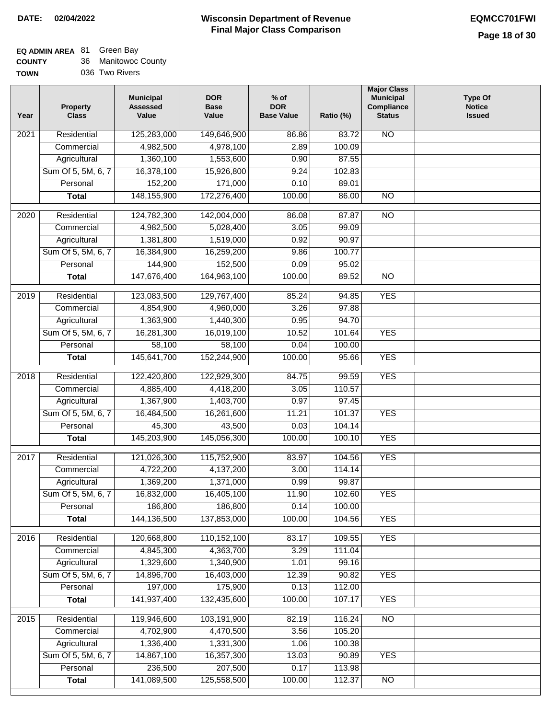#### **Wisconsin Department of Revenue Final Major Class Comparison DATE: 02/04/2022 EQMCC701FWI**

٦

# **EQ ADMIN AREA** 81 Green Bay

| <b>COUNTY</b> | 36 Manitowoc County |
|---------------|---------------------|
| <b>TOWN</b>   | 036 Two Rivers      |

| Year | <b>Property</b><br><b>Class</b> | <b>Municipal</b><br><b>Assessed</b><br>Value | <b>DOR</b><br><b>Base</b><br>Value | $%$ of<br><b>DOR</b><br><b>Base Value</b> | Ratio (%)        | <b>Major Class</b><br><b>Municipal</b><br>Compliance<br><b>Status</b> | <b>Type Of</b><br><b>Notice</b><br><b>Issued</b> |
|------|---------------------------------|----------------------------------------------|------------------------------------|-------------------------------------------|------------------|-----------------------------------------------------------------------|--------------------------------------------------|
| 2021 | Residential                     | 125,283,000                                  | 149,646,900                        | 86.86                                     | 83.72            | <b>NO</b>                                                             |                                                  |
|      | Commercial                      | 4,982,500                                    | 4,978,100                          | 2.89                                      | 100.09           |                                                                       |                                                  |
|      | Agricultural                    | 1,360,100                                    | 1,553,600                          | 0.90                                      | 87.55            |                                                                       |                                                  |
|      | Sum Of 5, 5M, 6, 7              | 16,378,100                                   | 15,926,800                         | 9.24                                      | 102.83           |                                                                       |                                                  |
|      | Personal                        | 152,200                                      | 171,000                            | 0.10                                      | 89.01            |                                                                       |                                                  |
|      | <b>Total</b>                    | 148, 155, 900                                | 172,276,400                        | 100.00                                    | 86.00            | $\overline{NO}$                                                       |                                                  |
| 2020 | Residential                     | 124,782,300                                  | 142,004,000                        | 86.08                                     | 87.87            | $\overline{NO}$                                                       |                                                  |
|      | Commercial                      | 4,982,500                                    | 5,028,400                          | 3.05                                      | 99.09            |                                                                       |                                                  |
|      | Agricultural                    | 1,381,800                                    | 1,519,000                          | 0.92                                      | 90.97            |                                                                       |                                                  |
|      | Sum Of 5, 5M, 6, 7              | 16,384,900                                   | 16,259,200                         | 9.86                                      | 100.77           |                                                                       |                                                  |
|      | Personal                        | 144,900                                      | 152,500                            | 0.09                                      | 95.02            |                                                                       |                                                  |
|      | <b>Total</b>                    | 147,676,400                                  | 164,963,100                        | 100.00                                    | 89.52            | $\overline{NO}$                                                       |                                                  |
|      |                                 |                                              |                                    |                                           |                  |                                                                       |                                                  |
| 2019 | Residential                     | 123,083,500                                  | 129,767,400                        | 85.24                                     | 94.85            | <b>YES</b>                                                            |                                                  |
|      | Commercial                      | 4,854,900                                    | 4,960,000                          | 3.26                                      | 97.88            |                                                                       |                                                  |
|      | Agricultural                    | 1,363,900                                    | 1,440,300                          | 0.95                                      | 94.70            |                                                                       |                                                  |
|      | Sum Of 5, 5M, 6, 7              | 16,281,300                                   | 16,019,100                         | 10.52                                     | 101.64           | <b>YES</b>                                                            |                                                  |
|      | Personal                        | 58,100                                       | 58,100                             | 0.04                                      | 100.00           |                                                                       |                                                  |
|      | <b>Total</b>                    | 145,641,700                                  | 152,244,900                        | 100.00                                    | 95.66            | <b>YES</b>                                                            |                                                  |
| 2018 | Residential                     | 122,420,800                                  | 122,929,300                        | 84.75                                     | 99.59            | <b>YES</b>                                                            |                                                  |
|      | Commercial                      | 4,885,400                                    | 4,418,200                          | 3.05                                      | 110.57           |                                                                       |                                                  |
|      | Agricultural                    | 1,367,900                                    | 1,403,700                          | 0.97                                      | 97.45            |                                                                       |                                                  |
|      | Sum Of 5, 5M, 6, 7              | 16,484,500                                   | 16,261,600                         | 11.21                                     | 101.37           | <b>YES</b>                                                            |                                                  |
|      | Personal                        | 45,300                                       | 43,500                             | 0.03                                      | 104.14           |                                                                       |                                                  |
|      | <b>Total</b>                    | 145,203,900                                  | 145,056,300                        | 100.00                                    | 100.10           | <b>YES</b>                                                            |                                                  |
| 2017 | Residential                     | 121,026,300                                  | 115,752,900                        | 83.97                                     | 104.56           | <b>YES</b>                                                            |                                                  |
|      | Commercial                      | 4,722,200                                    | 4,137,200                          | 3.00                                      | 114.14           |                                                                       |                                                  |
|      |                                 | 1,369,200                                    | 1,371,000                          | 0.99                                      | 99.87            |                                                                       |                                                  |
|      | Agricultural                    | 16,832,000                                   |                                    |                                           |                  | <b>YES</b>                                                            |                                                  |
|      | Sum Of 5, 5M, 6, 7              | 186,800                                      | 16,405,100<br>186,800              | 11.90<br>0.14                             | 102.60<br>100.00 |                                                                       |                                                  |
|      | Personal                        | 144,136,500                                  | 137,853,000                        | 100.00                                    | 104.56           | <b>YES</b>                                                            |                                                  |
|      | <b>Total</b>                    |                                              |                                    |                                           |                  |                                                                       |                                                  |
| 2016 | Residential                     | 120,668,800                                  | 110,152,100                        | 83.17                                     | 109.55           | <b>YES</b>                                                            |                                                  |
|      | Commercial                      | 4,845,300                                    | 4,363,700                          | 3.29                                      | 111.04           |                                                                       |                                                  |
|      | Agricultural                    | 1,329,600                                    | 1,340,900                          | 1.01                                      | 99.16            |                                                                       |                                                  |
|      | Sum Of 5, 5M, 6, 7              | 14,896,700                                   | 16,403,000                         | 12.39                                     | 90.82            | <b>YES</b>                                                            |                                                  |
|      | Personal                        | 197,000                                      | 175,900                            | 0.13                                      | 112.00           |                                                                       |                                                  |
|      | <b>Total</b>                    | 141,937,400                                  | 132,435,600                        | 100.00                                    | 107.17           | <b>YES</b>                                                            |                                                  |
| 2015 | Residential                     | 119,946,600                                  | 103,191,900                        | 82.19                                     | 116.24           | N <sub>O</sub>                                                        |                                                  |
|      | Commercial                      | 4,702,900                                    | 4,470,500                          | 3.56                                      | 105.20           |                                                                       |                                                  |
|      | Agricultural                    | 1,336,400                                    | 1,331,300                          | 1.06                                      | 100.38           |                                                                       |                                                  |
|      | Sum Of 5, 5M, 6, 7              | 14,867,100                                   | 16,357,300                         | 13.03                                     | 90.89            | <b>YES</b>                                                            |                                                  |
|      | Personal                        | 236,500                                      | 207,500                            | 0.17                                      | 113.98           |                                                                       |                                                  |
|      | <b>Total</b>                    | 141,089,500                                  | 125,558,500                        | 100.00                                    | 112.37           | $\overline{NO}$                                                       |                                                  |
|      |                                 |                                              |                                    |                                           |                  |                                                                       |                                                  |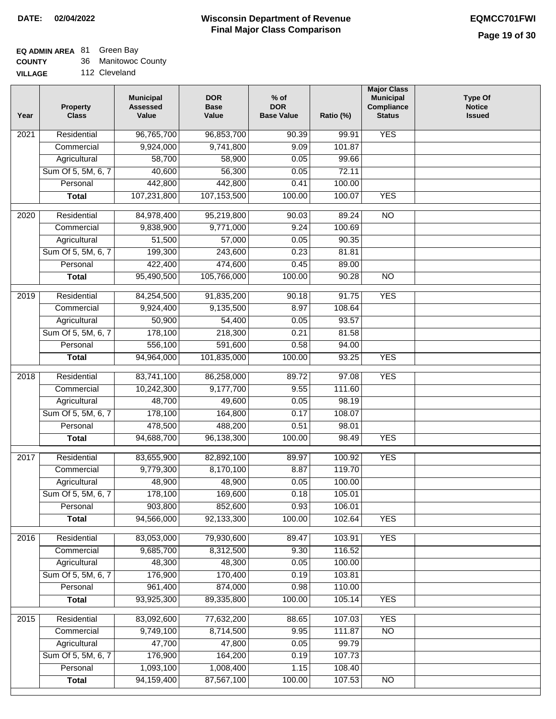| <b>COUNTY</b> |  | Manitowoc County |
|---------------|--|------------------|
|---------------|--|------------------|

| Year | <b>Property</b><br><b>Class</b> | <b>Municipal</b><br><b>Assessed</b><br>Value | <b>DOR</b><br><b>Base</b><br>Value | % of<br><b>DOR</b><br><b>Base Value</b> | Ratio (%) | <b>Major Class</b><br><b>Municipal</b><br>Compliance<br><b>Status</b> | <b>Type Of</b><br><b>Notice</b><br><b>Issued</b> |
|------|---------------------------------|----------------------------------------------|------------------------------------|-----------------------------------------|-----------|-----------------------------------------------------------------------|--------------------------------------------------|
| 2021 | Residential                     | 96,765,700                                   | 96,853,700                         | 90.39                                   | 99.91     | <b>YES</b>                                                            |                                                  |
|      | Commercial                      | 9,924,000                                    | 9,741,800                          | 9.09                                    | 101.87    |                                                                       |                                                  |
|      | Agricultural                    | 58,700                                       | 58,900                             | 0.05                                    | 99.66     |                                                                       |                                                  |
|      | Sum Of 5, 5M, 6, 7              | 40,600                                       | 56,300                             | 0.05                                    | 72.11     |                                                                       |                                                  |
|      | Personal                        | 442,800                                      | 442,800                            | 0.41                                    | 100.00    |                                                                       |                                                  |
|      | <b>Total</b>                    | 107,231,800                                  | 107,153,500                        | 100.00                                  | 100.07    | <b>YES</b>                                                            |                                                  |
| 2020 | Residential                     | 84,978,400                                   | 95,219,800                         | 90.03                                   | 89.24     | $\overline{NO}$                                                       |                                                  |
|      | Commercial                      | 9,838,900                                    | 9,771,000                          | 9.24                                    | 100.69    |                                                                       |                                                  |
|      | Agricultural                    | 51,500                                       | 57,000                             | 0.05                                    | 90.35     |                                                                       |                                                  |
|      | Sum Of 5, 5M, 6, 7              | 199,300                                      | 243,600                            | 0.23                                    | 81.81     |                                                                       |                                                  |
|      | Personal                        | 422,400                                      | 474,600                            | 0.45                                    | 89.00     |                                                                       |                                                  |
|      | <b>Total</b>                    | 95,490,500                                   | 105,766,000                        | 100.00                                  | 90.28     | $\overline{NO}$                                                       |                                                  |
| 2019 | Residential                     | 84,254,500                                   | 91,835,200                         | 90.18                                   | 91.75     | <b>YES</b>                                                            |                                                  |
|      | Commercial                      | 9,924,400                                    | 9,135,500                          | 8.97                                    | 108.64    |                                                                       |                                                  |
|      | Agricultural                    | 50,900                                       | 54,400                             | 0.05                                    | 93.57     |                                                                       |                                                  |
|      | Sum Of 5, 5M, 6, 7              | 178,100                                      | 218,300                            | 0.21                                    | 81.58     |                                                                       |                                                  |
|      | Personal                        | 556,100                                      | 591,600                            | 0.58                                    | 94.00     |                                                                       |                                                  |
|      | <b>Total</b>                    | 94,964,000                                   | 101,835,000                        | 100.00                                  | 93.25     | <b>YES</b>                                                            |                                                  |
| 2018 | Residential                     | 83,741,100                                   | 86,258,000                         | 89.72                                   | 97.08     | <b>YES</b>                                                            |                                                  |
|      | Commercial                      | 10,242,300                                   | 9,177,700                          | 9.55                                    | 111.60    |                                                                       |                                                  |
|      | Agricultural                    | 48,700                                       | 49,600                             | 0.05                                    | 98.19     |                                                                       |                                                  |
|      | Sum Of 5, 5M, 6, 7              | 178,100                                      | 164,800                            | 0.17                                    | 108.07    |                                                                       |                                                  |
|      | Personal                        | 478,500                                      | 488,200                            | 0.51                                    | 98.01     |                                                                       |                                                  |
|      | <b>Total</b>                    | 94,688,700                                   | 96,138,300                         | 100.00                                  | 98.49     | <b>YES</b>                                                            |                                                  |
| 2017 | Residential                     | 83,655,900                                   | 82,892,100                         | 89.97                                   | 100.92    | <b>YES</b>                                                            |                                                  |
|      | Commercial                      | 9,779,300                                    | 8,170,100                          | 8.87                                    | 119.70    |                                                                       |                                                  |
|      | Agricultural                    | 48,900                                       | 48,900                             | 0.05                                    | 100.00    |                                                                       |                                                  |
|      | Sum Of 5, 5M, 6, 7              | 178,100                                      | 169,600                            | 0.18                                    | 105.01    |                                                                       |                                                  |
|      | Personal                        | 903,800                                      | 852,600                            | 0.93                                    | 106.01    |                                                                       |                                                  |
|      | <b>Total</b>                    | 94,566,000                                   | 92,133,300                         | 100.00                                  | 102.64    | <b>YES</b>                                                            |                                                  |
| 2016 | Residential                     | 83,053,000                                   | 79,930,600                         | 89.47                                   | 103.91    | <b>YES</b>                                                            |                                                  |
|      | Commercial                      | 9,685,700                                    | 8,312,500                          | 9.30                                    | 116.52    |                                                                       |                                                  |
|      | Agricultural                    | 48,300                                       | 48,300                             | 0.05                                    | 100.00    |                                                                       |                                                  |
|      | Sum Of 5, 5M, 6, 7              | 176,900                                      | 170,400                            | 0.19                                    | 103.81    |                                                                       |                                                  |
|      | Personal                        | 961,400                                      | 874,000                            | 0.98                                    | 110.00    |                                                                       |                                                  |
|      | <b>Total</b>                    | 93,925,300                                   | 89,335,800                         | 100.00                                  | 105.14    | <b>YES</b>                                                            |                                                  |
| 2015 | Residential                     | 83,092,600                                   | 77,632,200                         | 88.65                                   | 107.03    | <b>YES</b>                                                            |                                                  |
|      | Commercial                      | 9,749,100                                    | 8,714,500                          | 9.95                                    | 111.87    | $\overline{NO}$                                                       |                                                  |
|      | Agricultural                    | 47,700                                       | 47,800                             | 0.05                                    | 99.79     |                                                                       |                                                  |
|      | Sum Of 5, 5M, 6, 7              | 176,900                                      | 164,200                            | 0.19                                    | 107.73    |                                                                       |                                                  |
|      | Personal                        | 1,093,100                                    | 1,008,400                          | 1.15                                    | 108.40    |                                                                       |                                                  |
|      | <b>Total</b>                    | 94,159,400                                   | 87,567,100                         | 100.00                                  | 107.53    | NO                                                                    |                                                  |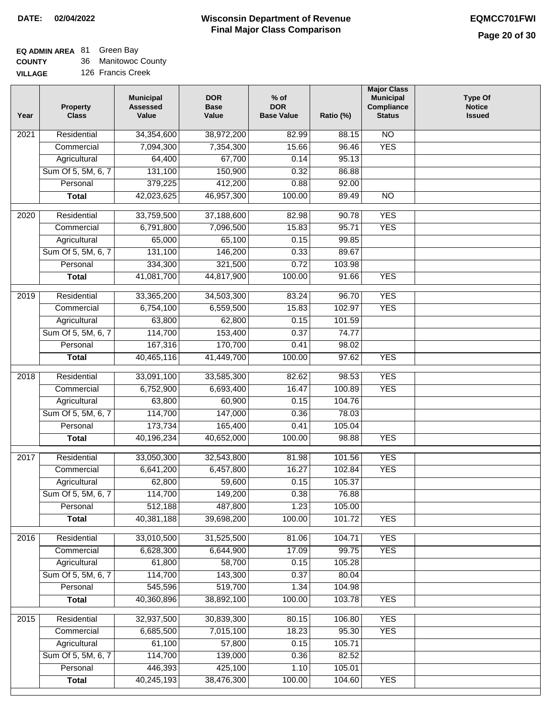٦

## **EQ ADMIN AREA** 81 Green Bay

**COUNTY VILLAGE** 36 Manitowoc County

| <b>\GE</b> | 126 Francis Creek |  |
|------------|-------------------|--|
|            |                   |  |

| Year             | Property<br><b>Class</b> | <b>Municipal</b><br><b>Assessed</b><br>Value | <b>DOR</b><br><b>Base</b><br>Value | $%$ of<br><b>DOR</b><br><b>Base Value</b> | Ratio (%) | <b>Major Class</b><br><b>Municipal</b><br>Compliance<br><b>Status</b> | <b>Type Of</b><br><b>Notice</b><br><b>Issued</b> |
|------------------|--------------------------|----------------------------------------------|------------------------------------|-------------------------------------------|-----------|-----------------------------------------------------------------------|--------------------------------------------------|
| 2021             | Residential              | 34,354,600                                   | 38,972,200                         | 82.99                                     | 88.15     | $\overline{NO}$                                                       |                                                  |
|                  | Commercial               | 7,094,300                                    | 7,354,300                          | 15.66                                     | 96.46     | <b>YES</b>                                                            |                                                  |
|                  | Agricultural             | 64,400                                       | 67,700                             | 0.14                                      | 95.13     |                                                                       |                                                  |
|                  | Sum Of 5, 5M, 6, 7       | 131,100                                      | 150,900                            | 0.32                                      | 86.88     |                                                                       |                                                  |
|                  | Personal                 | 379,225                                      | 412,200                            | 0.88                                      | 92.00     |                                                                       |                                                  |
|                  | <b>Total</b>             | 42,023,625                                   | 46,957,300                         | 100.00                                    | 89.49     | $\overline{NO}$                                                       |                                                  |
| 2020             | Residential              | 33,759,500                                   | 37,188,600                         | 82.98                                     | 90.78     | <b>YES</b>                                                            |                                                  |
|                  | Commercial               | 6,791,800                                    | 7,096,500                          | 15.83                                     | 95.71     | <b>YES</b>                                                            |                                                  |
|                  | Agricultural             | 65,000                                       | 65,100                             | 0.15                                      | 99.85     |                                                                       |                                                  |
|                  | Sum Of 5, 5M, 6, 7       | 131,100                                      | 146,200                            | 0.33                                      | 89.67     |                                                                       |                                                  |
|                  | Personal                 | 334,300                                      | 321,500                            | 0.72                                      | 103.98    |                                                                       |                                                  |
|                  | <b>Total</b>             | 41,081,700                                   | 44,817,900                         | 100.00                                    | 91.66     | <b>YES</b>                                                            |                                                  |
|                  |                          |                                              |                                    |                                           |           |                                                                       |                                                  |
| $\frac{1}{2019}$ | Residential              | 33,365,200                                   | 34,503,300                         | 83.24                                     | 96.70     | <b>YES</b>                                                            |                                                  |
|                  | Commercial               | 6,754,100                                    | 6,559,500                          | 15.83                                     | 102.97    | <b>YES</b>                                                            |                                                  |
|                  | Agricultural             | 63,800                                       | 62,800                             | 0.15                                      | 101.59    |                                                                       |                                                  |
|                  | Sum Of 5, 5M, 6, 7       | 114,700                                      | 153,400                            | 0.37                                      | 74.77     |                                                                       |                                                  |
|                  | Personal                 | 167,316                                      | 170,700                            | 0.41                                      | 98.02     |                                                                       |                                                  |
|                  | <b>Total</b>             | 40,465,116                                   | 41,449,700                         | 100.00                                    | 97.62     | <b>YES</b>                                                            |                                                  |
| 2018             | Residential              | 33,091,100                                   | 33,585,300                         | 82.62                                     | 98.53     | <b>YES</b>                                                            |                                                  |
|                  | Commercial               | 6,752,900                                    | 6,693,400                          | 16.47                                     | 100.89    | <b>YES</b>                                                            |                                                  |
|                  | Agricultural             | 63,800                                       | 60,900                             | 0.15                                      | 104.76    |                                                                       |                                                  |
|                  | Sum Of 5, 5M, 6, 7       | 114,700                                      | 147,000                            | 0.36                                      | 78.03     |                                                                       |                                                  |
|                  | Personal                 | 173,734                                      | 165,400                            | 0.41                                      | 105.04    |                                                                       |                                                  |
|                  | <b>Total</b>             | 40,196,234                                   | 40,652,000                         | 100.00                                    | 98.88     | <b>YES</b>                                                            |                                                  |
| 2017             | Residential              | 33,050,300                                   | 32,543,800                         | 81.98                                     | 101.56    | <b>YES</b>                                                            |                                                  |
|                  | Commercial               | 6,641,200                                    | 6,457,800                          | 16.27                                     | 102.84    | <b>YES</b>                                                            |                                                  |
|                  | Agricultural             | 62,800                                       | 59,600                             | 0.15                                      | 105.37    |                                                                       |                                                  |
|                  | Sum Of 5, 5M, 6, 7       | 114,700                                      | 149,200                            | 0.38                                      | 76.88     |                                                                       |                                                  |
|                  | Personal                 | 512,188                                      | 487,800                            | 1.23                                      | 105.00    |                                                                       |                                                  |
|                  | <b>Total</b>             | 40,381,188                                   | 39,698,200                         | 100.00                                    | 101.72    | <b>YES</b>                                                            |                                                  |
| 2016             | Residential              | 33,010,500                                   | 31,525,500                         | 81.06                                     | 104.71    | <b>YES</b>                                                            |                                                  |
|                  | Commercial               | 6,628,300                                    | 6,644,900                          | 17.09                                     | 99.75     | <b>YES</b>                                                            |                                                  |
|                  | Agricultural             | 61,800                                       | 58,700                             | 0.15                                      | 105.28    |                                                                       |                                                  |
|                  | Sum Of 5, 5M, 6, 7       | 114,700                                      | 143,300                            | 0.37                                      | 80.04     |                                                                       |                                                  |
|                  | Personal                 | 545,596                                      | 519,700                            | 1.34                                      | 104.98    |                                                                       |                                                  |
|                  | <b>Total</b>             | 40,360,896                                   | 38,892,100                         | 100.00                                    | 103.78    | <b>YES</b>                                                            |                                                  |
|                  |                          |                                              |                                    |                                           |           |                                                                       |                                                  |
| 2015             | Residential              | 32,937,500                                   | 30,839,300                         | 80.15                                     | 106.80    | <b>YES</b>                                                            |                                                  |
|                  | Commercial               | 6,685,500                                    | 7,015,100                          | 18.23                                     | 95.30     | <b>YES</b>                                                            |                                                  |
|                  | Agricultural             | 61,100                                       | 57,800                             | 0.15                                      | 105.71    |                                                                       |                                                  |
|                  | Sum Of 5, 5M, 6, 7       | 114,700                                      | 139,000                            | 0.36                                      | 82.52     |                                                                       |                                                  |
|                  | Personal                 | 446,393                                      | 425,100                            | 1.10                                      | 105.01    |                                                                       |                                                  |
|                  | <b>Total</b>             | 40,245,193                                   | 38,476,300                         | 100.00                                    | 104.60    | <b>YES</b>                                                            |                                                  |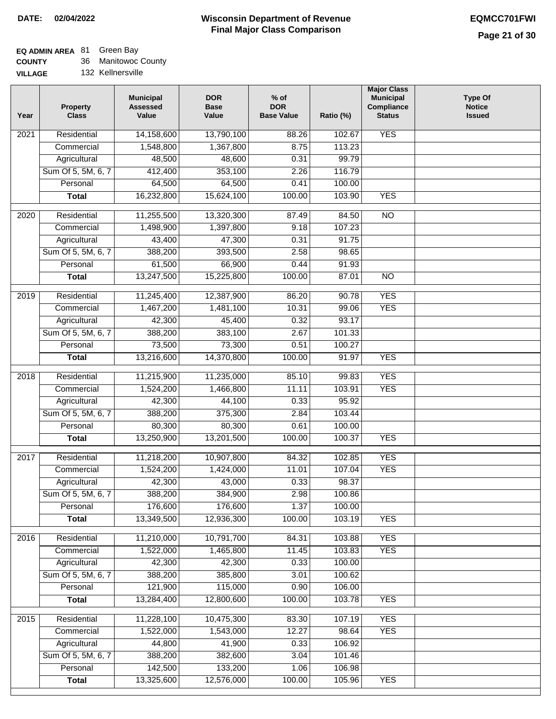٦

| <b>COUNTY</b> |  | 36 Manitowoc County |
|---------------|--|---------------------|
|---------------|--|---------------------|

| <b>VILLAGE</b> | 132 Kellnersville |
|----------------|-------------------|
|                |                   |

| Year              | <b>Property</b><br><b>Class</b> | <b>Municipal</b><br><b>Assessed</b><br>Value | <b>DOR</b><br><b>Base</b><br>Value | $%$ of<br><b>DOR</b><br><b>Base Value</b> | Ratio (%) | <b>Major Class</b><br><b>Municipal</b><br>Compliance<br><b>Status</b> | <b>Type Of</b><br><b>Notice</b><br><b>Issued</b> |
|-------------------|---------------------------------|----------------------------------------------|------------------------------------|-------------------------------------------|-----------|-----------------------------------------------------------------------|--------------------------------------------------|
| 2021              | Residential                     | 14,158,600                                   | 13,790,100                         | 88.26                                     | 102.67    | <b>YES</b>                                                            |                                                  |
|                   | Commercial                      | 1,548,800                                    | 1,367,800                          | 8.75                                      | 113.23    |                                                                       |                                                  |
|                   | Agricultural                    | 48,500                                       | 48,600                             | 0.31                                      | 99.79     |                                                                       |                                                  |
|                   | Sum Of 5, 5M, 6, 7              | 412,400                                      | 353,100                            | 2.26                                      | 116.79    |                                                                       |                                                  |
|                   | Personal                        | 64,500                                       | 64,500                             | 0.41                                      | 100.00    |                                                                       |                                                  |
|                   | <b>Total</b>                    | 16,232,800                                   | 15,624,100                         | 100.00                                    | 103.90    | <b>YES</b>                                                            |                                                  |
| 2020              | Residential                     | 11,255,500                                   | 13,320,300                         | 87.49                                     | 84.50     | NO                                                                    |                                                  |
|                   | Commercial                      | 1,498,900                                    | 1,397,800                          | 9.18                                      | 107.23    |                                                                       |                                                  |
|                   | Agricultural                    | 43,400                                       | 47,300                             | 0.31                                      | 91.75     |                                                                       |                                                  |
|                   | Sum Of 5, 5M, 6, 7              | 388,200                                      | 393,500                            | 2.58                                      | 98.65     |                                                                       |                                                  |
|                   | Personal                        | 61,500                                       | 66,900                             | 0.44                                      | 91.93     |                                                                       |                                                  |
|                   | <b>Total</b>                    | 13,247,500                                   | 15,225,800                         | 100.00                                    | 87.01     | $\overline{NO}$                                                       |                                                  |
|                   |                                 |                                              |                                    |                                           |           |                                                                       |                                                  |
| 2019              | Residential                     | 11,245,400                                   | 12,387,900                         | 86.20                                     | 90.78     | <b>YES</b>                                                            |                                                  |
|                   | Commercial                      | 1,467,200                                    | 1,481,100                          | 10.31                                     | 99.06     | <b>YES</b>                                                            |                                                  |
|                   | Agricultural                    | 42,300                                       | 45,400                             | 0.32                                      | 93.17     |                                                                       |                                                  |
|                   | Sum Of 5, 5M, 6, 7              | 388,200                                      | 383,100                            | 2.67                                      | 101.33    |                                                                       |                                                  |
|                   | Personal                        | 73,500                                       | 73,300                             | 0.51                                      | 100.27    |                                                                       |                                                  |
|                   | <b>Total</b>                    | 13,216,600                                   | 14,370,800                         | 100.00                                    | 91.97     | <b>YES</b>                                                            |                                                  |
| $\overline{2018}$ | Residential                     | 11,215,900                                   | 11,235,000                         | 85.10                                     | 99.83     | <b>YES</b>                                                            |                                                  |
|                   | Commercial                      | 1,524,200                                    | 1,466,800                          | 11.11                                     | 103.91    | <b>YES</b>                                                            |                                                  |
|                   | Agricultural                    | 42,300                                       | 44,100                             | 0.33                                      | 95.92     |                                                                       |                                                  |
|                   | Sum Of 5, 5M, 6, 7              | 388,200                                      | 375,300                            | 2.84                                      | 103.44    |                                                                       |                                                  |
|                   | Personal                        | 80,300                                       | 80,300                             | 0.61                                      | 100.00    |                                                                       |                                                  |
|                   | <b>Total</b>                    | 13,250,900                                   | 13,201,500                         | 100.00                                    | 100.37    | <b>YES</b>                                                            |                                                  |
| 2017              | Residential                     | 11,218,200                                   | 10,907,800                         | 84.32                                     | 102.85    | <b>YES</b>                                                            |                                                  |
|                   | Commercial                      | 1,524,200                                    | 1,424,000                          | 11.01                                     | 107.04    | <b>YES</b>                                                            |                                                  |
|                   | Agricultural                    | 42,300                                       | 43,000                             | 0.33                                      | 98.37     |                                                                       |                                                  |
|                   | Sum Of 5, 5M, 6, 7              | 388,200                                      | 384,900                            | 2.98                                      | 100.86    |                                                                       |                                                  |
|                   | Personal                        | 176,600                                      | 176,600                            | 1.37                                      | 100.00    |                                                                       |                                                  |
|                   | <b>Total</b>                    | 13,349,500                                   | 12,936,300                         | 100.00                                    | 103.19    | <b>YES</b>                                                            |                                                  |
| 2016              | Residential                     | 11,210,000                                   | 10,791,700                         | 84.31                                     | 103.88    | <b>YES</b>                                                            |                                                  |
|                   | Commercial                      | 1,522,000                                    | 1,465,800                          | 11.45                                     | 103.83    | <b>YES</b>                                                            |                                                  |
|                   | Agricultural                    | 42,300                                       | 42,300                             | 0.33                                      | 100.00    |                                                                       |                                                  |
|                   | Sum Of 5, 5M, 6, 7              | 388,200                                      | 385,800                            | 3.01                                      | 100.62    |                                                                       |                                                  |
|                   | Personal                        | 121,900                                      | 115,000                            | 0.90                                      | 106.00    |                                                                       |                                                  |
|                   | <b>Total</b>                    | 13,284,400                                   | 12,800,600                         | 100.00                                    | 103.78    | <b>YES</b>                                                            |                                                  |
|                   |                                 |                                              |                                    |                                           |           |                                                                       |                                                  |
| 2015              | Residential                     | 11,228,100                                   | 10,475,300                         | 83.30                                     | 107.19    | <b>YES</b>                                                            |                                                  |
|                   | Commercial                      | 1,522,000                                    | 1,543,000                          | 12.27                                     | 98.64     | <b>YES</b>                                                            |                                                  |
|                   | Agricultural                    | 44,800                                       | 41,900                             | 0.33                                      | 106.92    |                                                                       |                                                  |
|                   | Sum Of 5, 5M, 6, 7              | 388,200                                      | 382,600                            | 3.04                                      | 101.46    |                                                                       |                                                  |
|                   | Personal                        | 142,500                                      | 133,200                            | 1.06                                      | 106.98    |                                                                       |                                                  |
|                   | <b>Total</b>                    | 13,325,600                                   | 12,576,000                         | 100.00                                    | 105.96    | <b>YES</b>                                                            |                                                  |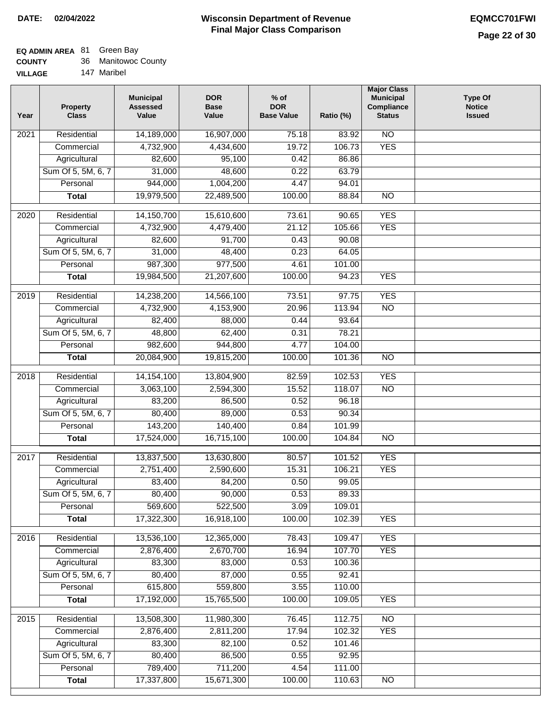### **EQ ADMIN AREA** 81 Green Bay

| <b>COUNTY</b> |  | 36 Manitowoc County |
|---------------|--|---------------------|
|---------------|--|---------------------|

**VILLAGE** 147 Maribel

| Year             | <b>Property</b><br><b>Class</b> | <b>Municipal</b><br><b>Assessed</b><br>Value | <b>DOR</b><br><b>Base</b><br>Value | $%$ of<br><b>DOR</b><br><b>Base Value</b> | Ratio (%) | <b>Major Class</b><br><b>Municipal</b><br>Compliance<br><b>Status</b> | <b>Type Of</b><br><b>Notice</b><br><b>Issued</b> |
|------------------|---------------------------------|----------------------------------------------|------------------------------------|-------------------------------------------|-----------|-----------------------------------------------------------------------|--------------------------------------------------|
| 2021             | Residential                     | 14,189,000                                   | 16,907,000                         | 75.18                                     | 83.92     | $\overline{NO}$                                                       |                                                  |
|                  | Commercial                      | 4,732,900                                    | 4,434,600                          | 19.72                                     | 106.73    | <b>YES</b>                                                            |                                                  |
|                  | Agricultural                    | 82,600                                       | 95,100                             | 0.42                                      | 86.86     |                                                                       |                                                  |
|                  | Sum Of 5, 5M, 6, 7              | 31,000                                       | 48,600                             | 0.22                                      | 63.79     |                                                                       |                                                  |
|                  | Personal                        | 944,000                                      | 1,004,200                          | 4.47                                      | 94.01     |                                                                       |                                                  |
|                  | <b>Total</b>                    | 19,979,500                                   | 22,489,500                         | 100.00                                    | 88.84     | $\overline{NO}$                                                       |                                                  |
| 2020             | Residential                     | 14,150,700                                   | 15,610,600                         | 73.61                                     | 90.65     | <b>YES</b>                                                            |                                                  |
|                  | Commercial                      | 4,732,900                                    | 4,479,400                          | 21.12                                     | 105.66    | <b>YES</b>                                                            |                                                  |
|                  | Agricultural                    | 82,600                                       | 91,700                             | 0.43                                      | 90.08     |                                                                       |                                                  |
|                  | Sum Of 5, 5M, 6, 7              | 31,000                                       | 48,400                             | 0.23                                      | 64.05     |                                                                       |                                                  |
|                  | Personal                        | 987,300                                      | 977,500                            | 4.61                                      | 101.00    |                                                                       |                                                  |
|                  | <b>Total</b>                    | 19,984,500                                   | 21,207,600                         | 100.00                                    | 94.23     | <b>YES</b>                                                            |                                                  |
|                  |                                 |                                              |                                    |                                           |           |                                                                       |                                                  |
| $\frac{1}{2019}$ | Residential                     | 14,238,200                                   | 14,566,100                         | 73.51                                     | 97.75     | <b>YES</b>                                                            |                                                  |
|                  | Commercial                      | 4,732,900                                    | 4,153,900                          | 20.96                                     | 113.94    | $\overline{NO}$                                                       |                                                  |
|                  | Agricultural                    | 82,400                                       | 88,000                             | 0.44                                      | 93.64     |                                                                       |                                                  |
|                  | Sum Of 5, 5M, 6, 7              | 48,800                                       | 62,400                             | 0.31                                      | 78.21     |                                                                       |                                                  |
|                  | Personal                        | 982,600                                      | 944,800                            | 4.77                                      | 104.00    |                                                                       |                                                  |
|                  | <b>Total</b>                    | 20,084,900                                   | 19,815,200                         | 100.00                                    | 101.36    | $\overline{NO}$                                                       |                                                  |
| 2018             | Residential                     | 14,154,100                                   | 13,804,900                         | 82.59                                     | 102.53    | <b>YES</b>                                                            |                                                  |
|                  | Commercial                      | 3,063,100                                    | 2,594,300                          | 15.52                                     | 118.07    | <b>NO</b>                                                             |                                                  |
|                  | Agricultural                    | 83,200                                       | 86,500                             | 0.52                                      | 96.18     |                                                                       |                                                  |
|                  | Sum Of 5, 5M, 6, 7              | 80,400                                       | 89,000                             | 0.53                                      | 90.34     |                                                                       |                                                  |
|                  | Personal                        | 143,200                                      | 140,400                            | 0.84                                      | 101.99    |                                                                       |                                                  |
|                  | <b>Total</b>                    | 17,524,000                                   | 16,715,100                         | 100.00                                    | 104.84    | $\overline{NO}$                                                       |                                                  |
| 2017             | Residential                     | 13,837,500                                   | 13,630,800                         | 80.57                                     | 101.52    | <b>YES</b>                                                            |                                                  |
|                  | Commercial                      | 2,751,400                                    | 2,590,600                          | 15.31                                     | 106.21    | <b>YES</b>                                                            |                                                  |
|                  | Agricultural                    | 83,400                                       | 84,200                             | 0.50                                      | 99.05     |                                                                       |                                                  |
|                  | Sum Of 5, 5M, 6, 7              | 80,400                                       | 90,000                             | 0.53                                      | 89.33     |                                                                       |                                                  |
|                  | Personal                        | 569,600                                      | 522,500                            | 3.09                                      | 109.01    |                                                                       |                                                  |
|                  | <b>Total</b>                    | 17,322,300                                   | 16,918,100                         | 100.00                                    | 102.39    | <b>YES</b>                                                            |                                                  |
| 2016             | Residential                     | 13,536,100                                   | 12,365,000                         | 78.43                                     | 109.47    | <b>YES</b>                                                            |                                                  |
|                  | Commercial                      | 2,876,400                                    | 2,670,700                          | 16.94                                     | 107.70    | <b>YES</b>                                                            |                                                  |
|                  | Agricultural                    | 83,300                                       | 83,000                             | 0.53                                      | 100.36    |                                                                       |                                                  |
|                  | Sum Of 5, 5M, 6, 7              | 80,400                                       | 87,000                             | 0.55                                      | 92.41     |                                                                       |                                                  |
|                  | Personal                        | 615,800                                      | 559,800                            | 3.55                                      | 110.00    |                                                                       |                                                  |
|                  | <b>Total</b>                    | 17,192,000                                   | 15,765,500                         | 100.00                                    | 109.05    | <b>YES</b>                                                            |                                                  |
| 2015             | Residential                     | 13,508,300                                   | 11,980,300                         | 76.45                                     | 112.75    | <b>NO</b>                                                             |                                                  |
|                  | Commercial                      | 2,876,400                                    | 2,811,200                          | 17.94                                     | 102.32    | <b>YES</b>                                                            |                                                  |
|                  | Agricultural                    | 83,300                                       | 82,100                             | 0.52                                      | 101.46    |                                                                       |                                                  |
|                  | Sum Of 5, 5M, 6, 7              | 80,400                                       | 86,500                             | 0.55                                      | 92.95     |                                                                       |                                                  |
|                  | Personal                        | 789,400                                      | 711,200                            | 4.54                                      | 111.00    |                                                                       |                                                  |
|                  | <b>Total</b>                    | 17,337,800                                   | 15,671,300                         | 100.00                                    | 110.63    | N <sub>O</sub>                                                        |                                                  |
|                  |                                 |                                              |                                    |                                           |           |                                                                       |                                                  |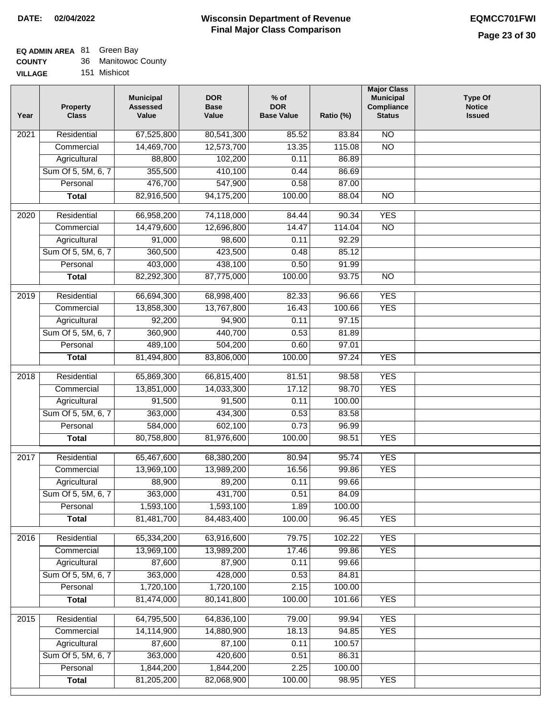# **EQ ADMIN AREA** 81 Green Bay

| <b>COUNTY</b> | 36 Manitowoc County |
|---------------|---------------------|
|               |                     |

**VILLAGE** 151 Mishicot

| Year | <b>Property</b><br><b>Class</b> | <b>Municipal</b><br><b>Assessed</b><br>Value | <b>DOR</b><br><b>Base</b><br>Value | $%$ of<br><b>DOR</b><br><b>Base Value</b> | Ratio (%) | <b>Major Class</b><br><b>Municipal</b><br>Compliance<br><b>Status</b> | <b>Type Of</b><br><b>Notice</b><br><b>Issued</b> |
|------|---------------------------------|----------------------------------------------|------------------------------------|-------------------------------------------|-----------|-----------------------------------------------------------------------|--------------------------------------------------|
| 2021 | Residential                     | 67,525,800                                   | 80,541,300                         | 85.52                                     | 83.84     | $\overline{NO}$                                                       |                                                  |
|      | Commercial                      | 14,469,700                                   | 12,573,700                         | 13.35                                     | 115.08    | $\overline{NO}$                                                       |                                                  |
|      | Agricultural                    | 88,800                                       | 102,200                            | 0.11                                      | 86.89     |                                                                       |                                                  |
|      | Sum Of 5, 5M, 6, 7              | 355,500                                      | 410,100                            | 0.44                                      | 86.69     |                                                                       |                                                  |
|      | Personal                        | 476,700                                      | 547,900                            | 0.58                                      | 87.00     |                                                                       |                                                  |
|      | <b>Total</b>                    | 82,916,500                                   | 94,175,200                         | 100.00                                    | 88.04     | $\overline{NO}$                                                       |                                                  |
| 2020 | Residential                     | 66,958,200                                   | 74,118,000                         | 84.44                                     | 90.34     | <b>YES</b>                                                            |                                                  |
|      | Commercial                      | 14,479,600                                   | 12,696,800                         | 14.47                                     | 114.04    | $\overline{NO}$                                                       |                                                  |
|      | Agricultural                    | 91,000                                       | 98,600                             | 0.11                                      | 92.29     |                                                                       |                                                  |
|      | Sum Of 5, 5M, 6, 7              | 360,500                                      | 423,500                            | 0.48                                      | 85.12     |                                                                       |                                                  |
|      | Personal                        | 403,000                                      | 438,100                            | 0.50                                      | 91.99     |                                                                       |                                                  |
|      | <b>Total</b>                    | 82,292,300                                   | 87,775,000                         | 100.00                                    | 93.75     | N <sub>O</sub>                                                        |                                                  |
| 2019 | Residential                     | 66,694,300                                   | 68,998,400                         | 82.33                                     | 96.66     | <b>YES</b>                                                            |                                                  |
|      | Commercial                      | 13,858,300                                   | 13,767,800                         | 16.43                                     | 100.66    | <b>YES</b>                                                            |                                                  |
|      | Agricultural                    | 92,200                                       | 94,900                             | 0.11                                      | 97.15     |                                                                       |                                                  |
|      | Sum Of 5, 5M, 6, 7              | 360,900                                      | 440,700                            | 0.53                                      | 81.89     |                                                                       |                                                  |
|      | Personal                        | 489,100                                      | 504,200                            | 0.60                                      | 97.01     |                                                                       |                                                  |
|      | <b>Total</b>                    | 81,494,800                                   | 83,806,000                         | 100.00                                    | 97.24     | <b>YES</b>                                                            |                                                  |
|      |                                 |                                              |                                    |                                           |           |                                                                       |                                                  |
| 2018 | Residential                     | 65,869,300                                   | 66,815,400                         | 81.51                                     | 98.58     | <b>YES</b>                                                            |                                                  |
|      | Commercial                      | 13,851,000                                   | 14,033,300                         | 17.12                                     | 98.70     | <b>YES</b>                                                            |                                                  |
|      | Agricultural                    | 91,500                                       | 91,500                             | 0.11                                      | 100.00    |                                                                       |                                                  |
|      | Sum Of 5, 5M, 6, 7              | 363,000                                      | 434,300                            | 0.53                                      | 83.58     |                                                                       |                                                  |
|      | Personal                        | 584,000                                      | 602,100                            | 0.73                                      | 96.99     |                                                                       |                                                  |
|      | <b>Total</b>                    | 80,758,800                                   | 81,976,600                         | 100.00                                    | 98.51     | <b>YES</b>                                                            |                                                  |
| 2017 | Residential                     | 65,467,600                                   | 68,380,200                         | 80.94                                     | 95.74     | <b>YES</b>                                                            |                                                  |
|      | Commercial                      | 13,969,100                                   | 13,989,200                         | 16.56                                     | 99.86     | <b>YES</b>                                                            |                                                  |
|      | Agricultural                    | 88,900                                       | 89,200                             | 0.11                                      | 99.66     |                                                                       |                                                  |
|      | Sum Of 5, 5M, 6, 7              | 363,000                                      | 431,700                            | 0.51                                      | 84.09     |                                                                       |                                                  |
|      | Personal                        | 1,593,100                                    | 1,593,100                          | 1.89                                      | 100.00    |                                                                       |                                                  |
|      | <b>Total</b>                    | 81,481,700                                   | 84,483,400                         | 100.00                                    | 96.45     | <b>YES</b>                                                            |                                                  |
| 2016 | Residential                     | 65,334,200                                   | 63,916,600                         | 79.75                                     | 102.22    | <b>YES</b>                                                            |                                                  |
|      | Commercial                      | 13,969,100                                   | 13,989,200                         | 17.46                                     | 99.86     | <b>YES</b>                                                            |                                                  |
|      | Agricultural                    | 87,600                                       | 87,900                             | 0.11                                      | 99.66     |                                                                       |                                                  |
|      | Sum Of 5, 5M, 6, 7              | 363,000                                      | 428,000                            | 0.53                                      | 84.81     |                                                                       |                                                  |
|      | Personal                        | 1,720,100                                    | 1,720,100                          | 2.15                                      | 100.00    |                                                                       |                                                  |
|      | <b>Total</b>                    | 81,474,000                                   | 80,141,800                         | 100.00                                    | 101.66    | <b>YES</b>                                                            |                                                  |
| 2015 | Residential                     | 64,795,500                                   | 64,836,100                         | 79.00                                     | 99.94     | <b>YES</b>                                                            |                                                  |
|      | Commercial                      | 14,114,900                                   | 14,880,900                         | 18.13                                     | 94.85     | <b>YES</b>                                                            |                                                  |
|      | Agricultural                    | 87,600                                       | 87,100                             | 0.11                                      | 100.57    |                                                                       |                                                  |
|      | Sum Of 5, 5M, 6, 7              | 363,000                                      | 420,600                            | 0.51                                      | 86.31     |                                                                       |                                                  |
|      | Personal                        | 1,844,200                                    | 1,844,200                          | 2.25                                      | 100.00    |                                                                       |                                                  |
|      | <b>Total</b>                    | 81,205,200                                   | 82,068,900                         | 100.00                                    | 98.95     | <b>YES</b>                                                            |                                                  |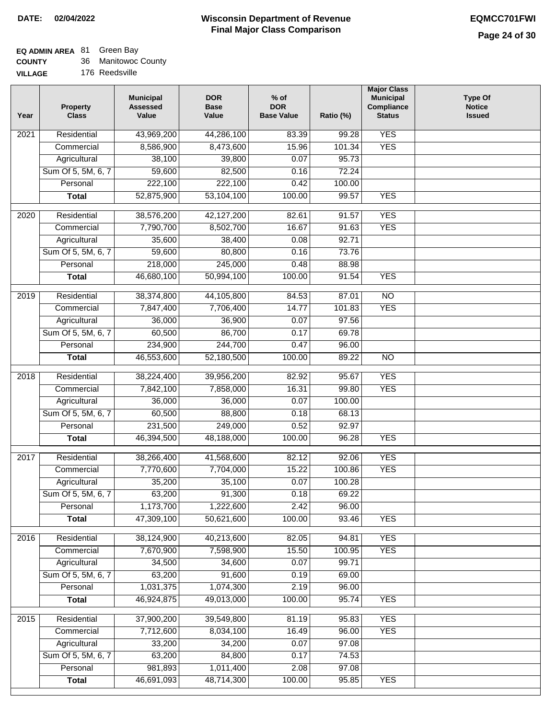| <b>COUNTY</b> | 36 Manitowoc County |
|---------------|---------------------|
|---------------|---------------------|

| <b>VILLAGE</b> |  | 176 Reedsville |
|----------------|--|----------------|
|----------------|--|----------------|

| Year             | <b>Property</b><br><b>Class</b> | <b>Municipal</b><br><b>Assessed</b><br>Value | <b>DOR</b><br><b>Base</b><br>Value | $%$ of<br><b>DOR</b><br><b>Base Value</b> | Ratio (%)         | <b>Major Class</b><br><b>Municipal</b><br>Compliance<br><b>Status</b> | <b>Type Of</b><br><b>Notice</b><br><b>Issued</b> |
|------------------|---------------------------------|----------------------------------------------|------------------------------------|-------------------------------------------|-------------------|-----------------------------------------------------------------------|--------------------------------------------------|
| 2021             | Residential                     | 43,969,200                                   | 44,286,100                         | 83.39                                     | $\frac{1}{99.28}$ | <b>YES</b>                                                            |                                                  |
|                  | Commercial                      | 8,586,900                                    | 8,473,600                          | 15.96                                     | 101.34            | <b>YES</b>                                                            |                                                  |
|                  | Agricultural                    | 38,100                                       | 39,800                             | 0.07                                      | 95.73             |                                                                       |                                                  |
|                  | Sum Of 5, 5M, 6, 7              | 59,600                                       | 82,500                             | 0.16                                      | 72.24             |                                                                       |                                                  |
|                  | Personal                        | 222,100                                      | 222,100                            | 0.42                                      | 100.00            |                                                                       |                                                  |
|                  | <b>Total</b>                    | 52,875,900                                   | 53,104,100                         | 100.00                                    | 99.57             | <b>YES</b>                                                            |                                                  |
| $\frac{1}{2020}$ | Residential                     | 38,576,200                                   | 42,127,200                         | 82.61                                     | 91.57             | <b>YES</b>                                                            |                                                  |
|                  | Commercial                      | 7,790,700                                    | 8,502,700                          | 16.67                                     | 91.63             | <b>YES</b>                                                            |                                                  |
|                  | Agricultural                    | 35,600                                       | 38,400                             | 0.08                                      | 92.71             |                                                                       |                                                  |
|                  | Sum Of 5, 5M, 6, 7              | 59,600                                       | 80,800                             | 0.16                                      | 73.76             |                                                                       |                                                  |
|                  | Personal                        | 218,000                                      | 245,000                            | 0.48                                      | 88.98             |                                                                       |                                                  |
|                  | <b>Total</b>                    | 46,680,100                                   | 50,994,100                         | 100.00                                    | 91.54             | <b>YES</b>                                                            |                                                  |
|                  |                                 |                                              |                                    |                                           |                   |                                                                       |                                                  |
| $\frac{1}{2019}$ | Residential                     | 38,374,800                                   | 44,105,800                         | 84.53                                     | 87.01             | $\overline{NO}$                                                       |                                                  |
|                  | Commercial                      | 7,847,400                                    | 7,706,400                          | 14.77                                     | 101.83            | <b>YES</b>                                                            |                                                  |
|                  | Agricultural                    | 36,000                                       | 36,900                             | 0.07                                      | 97.56             |                                                                       |                                                  |
|                  | Sum Of 5, 5M, 6, 7              | 60,500                                       | 86,700                             | 0.17                                      | 69.78             |                                                                       |                                                  |
|                  | Personal                        | 234,900                                      | 244,700                            | 0.47                                      | 96.00             |                                                                       |                                                  |
|                  | <b>Total</b>                    | 46,553,600                                   | 52,180,500                         | 100.00                                    | 89.22             | $\overline{NO}$                                                       |                                                  |
| 2018             | Residential                     | 38,224,400                                   | 39,956,200                         | 82.92                                     | 95.67             | <b>YES</b>                                                            |                                                  |
|                  | Commercial                      | 7,842,100                                    | 7,858,000                          | 16.31                                     | 99.80             | <b>YES</b>                                                            |                                                  |
|                  | Agricultural                    | 36,000                                       | 36,000                             | 0.07                                      | 100.00            |                                                                       |                                                  |
|                  | Sum Of 5, 5M, 6, 7              | 60,500                                       | 88,800                             | 0.18                                      | 68.13             |                                                                       |                                                  |
|                  | Personal                        | 231,500                                      | 249,000                            | 0.52                                      | 92.97             |                                                                       |                                                  |
|                  | <b>Total</b>                    | 46,394,500                                   | 48,188,000                         | 100.00                                    | 96.28             | <b>YES</b>                                                            |                                                  |
| 2017             | Residential                     | 38,266,400                                   | 41,568,600                         | 82.12                                     | 92.06             | <b>YES</b>                                                            |                                                  |
|                  | Commercial                      | 7,770,600                                    | 7,704,000                          | 15.22                                     | 100.86            | <b>YES</b>                                                            |                                                  |
|                  | Agricultural                    | 35,200                                       | 35,100                             | 0.07                                      | 100.28            |                                                                       |                                                  |
|                  | Sum Of 5, 5M, 6, 7              | 63,200                                       | 91,300                             | 0.18                                      | 69.22             |                                                                       |                                                  |
|                  | Personal                        | 1,173,700                                    | 1,222,600                          | 2.42                                      | 96.00             |                                                                       |                                                  |
|                  | <b>Total</b>                    | 47,309,100                                   | 50,621,600                         | 100.00                                    | 93.46             | <b>YES</b>                                                            |                                                  |
| 2016             | Residential                     | 38,124,900                                   | 40,213,600                         | 82.05                                     | 94.81             | <b>YES</b>                                                            |                                                  |
|                  | Commercial                      | 7,670,900                                    | 7,598,900                          | 15.50                                     | 100.95            | <b>YES</b>                                                            |                                                  |
|                  | Agricultural                    | 34,500                                       | 34,600                             | 0.07                                      | 99.71             |                                                                       |                                                  |
|                  | Sum Of 5, 5M, 6, 7              | 63,200                                       | 91,600                             | 0.19                                      | 69.00             |                                                                       |                                                  |
|                  | Personal                        | 1,031,375                                    | 1,074,300                          | 2.19                                      | 96.00             |                                                                       |                                                  |
|                  | <b>Total</b>                    | 46,924,875                                   | 49,013,000                         | 100.00                                    | 95.74             | <b>YES</b>                                                            |                                                  |
| 2015             | Residential                     | 37,900,200                                   | 39,549,800                         | 81.19                                     | 95.83             | <b>YES</b>                                                            |                                                  |
|                  | Commercial                      | 7,712,600                                    | 8,034,100                          | 16.49                                     | 96.00             | <b>YES</b>                                                            |                                                  |
|                  | Agricultural                    | 33,200                                       | 34,200                             | 0.07                                      | 97.08             |                                                                       |                                                  |
|                  | Sum Of 5, 5M, 6, 7              | 63,200                                       | 84,800                             | 0.17                                      | 74.53             |                                                                       |                                                  |
|                  | Personal                        | 981,893                                      | 1,011,400                          | 2.08                                      | 97.08             |                                                                       |                                                  |
|                  | <b>Total</b>                    | 46,691,093                                   | 48,714,300                         | 100.00                                    | 95.85             | <b>YES</b>                                                            |                                                  |
|                  |                                 |                                              |                                    |                                           |                   |                                                                       |                                                  |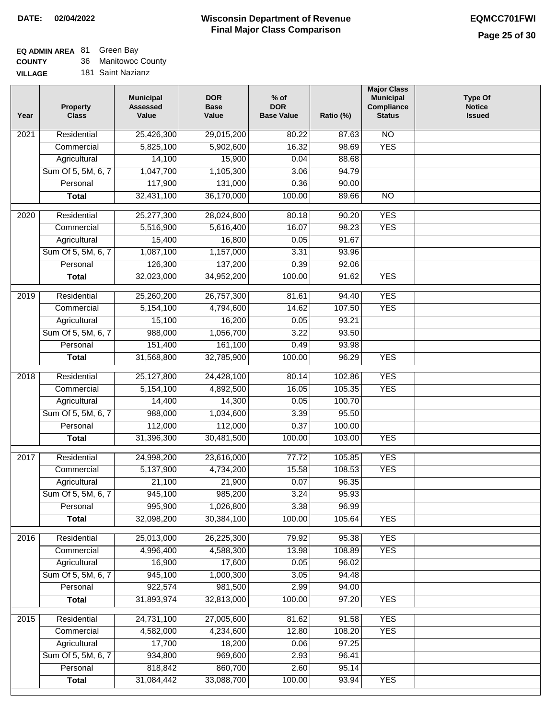#### **Wisconsin Department of Revenue Final Major Class Comparison DATE: 02/04/2022 EQMCC701FWI**

٦

# **EQ ADMIN AREA** 81 Green Bay

**COUNTY VILLAGE** 36 Manitowoc County

| Year              | <b>Property</b><br><b>Class</b> | <b>Municipal</b><br><b>Assessed</b><br>Value | <b>DOR</b><br><b>Base</b><br>Value | $%$ of<br><b>DOR</b><br><b>Base Value</b> | Ratio (%) | <b>Major Class</b><br><b>Municipal</b><br>Compliance<br><b>Status</b> | <b>Type Of</b><br><b>Notice</b><br><b>Issued</b> |
|-------------------|---------------------------------|----------------------------------------------|------------------------------------|-------------------------------------------|-----------|-----------------------------------------------------------------------|--------------------------------------------------|
| 2021              | Residential                     | 25,426,300                                   | 29,015,200                         | 80.22                                     | 87.63     | $\overline{NO}$                                                       |                                                  |
|                   | Commercial                      | 5,825,100                                    | 5,902,600                          | 16.32                                     | 98.69     | <b>YES</b>                                                            |                                                  |
|                   | Agricultural                    | 14,100                                       | 15,900                             | 0.04                                      | 88.68     |                                                                       |                                                  |
|                   | Sum Of 5, 5M, 6, 7              | 1,047,700                                    | 1,105,300                          | 3.06                                      | 94.79     |                                                                       |                                                  |
|                   | Personal                        | 117,900                                      | 131,000                            | 0.36                                      | 90.00     |                                                                       |                                                  |
|                   | <b>Total</b>                    | 32,431,100                                   | 36,170,000                         | 100.00                                    | 89.66     | $\overline{NO}$                                                       |                                                  |
| $\overline{2020}$ | Residential                     | 25,277,300                                   | 28,024,800                         | 80.18                                     | 90.20     | <b>YES</b>                                                            |                                                  |
|                   | Commercial                      | 5,516,900                                    | 5,616,400                          | 16.07                                     | 98.23     | <b>YES</b>                                                            |                                                  |
|                   | Agricultural                    | 15,400                                       | 16,800                             | 0.05                                      | 91.67     |                                                                       |                                                  |
|                   | Sum Of 5, 5M, 6, 7              | 1,087,100                                    | 1,157,000                          | 3.31                                      | 93.96     |                                                                       |                                                  |
|                   | Personal                        | 126,300                                      | 137,200                            | 0.39                                      | 92.06     |                                                                       |                                                  |
|                   | <b>Total</b>                    | 32,023,000                                   | 34,952,200                         | 100.00                                    | 91.62     | <b>YES</b>                                                            |                                                  |
|                   |                                 |                                              |                                    |                                           |           |                                                                       |                                                  |
| $\frac{1}{2019}$  | Residential                     | 25,260,200                                   | 26,757,300                         | 81.61                                     | 94.40     | <b>YES</b>                                                            |                                                  |
|                   | Commercial                      | 5,154,100                                    | 4,794,600                          | 14.62                                     | 107.50    | <b>YES</b>                                                            |                                                  |
|                   | Agricultural                    | 15,100                                       | 16,200                             | 0.05                                      | 93.21     |                                                                       |                                                  |
|                   | Sum Of 5, 5M, 6, 7              | 988,000                                      | 1,056,700                          | 3.22                                      | 93.50     |                                                                       |                                                  |
|                   | Personal                        | 151,400                                      | 161,100                            | 0.49                                      | 93.98     |                                                                       |                                                  |
|                   | <b>Total</b>                    | 31,568,800                                   | 32,785,900                         | 100.00                                    | 96.29     | <b>YES</b>                                                            |                                                  |
| 2018              | Residential                     | 25,127,800                                   | 24,428,100                         | 80.14                                     | 102.86    | <b>YES</b>                                                            |                                                  |
|                   | Commercial                      | 5,154,100                                    | 4,892,500                          | 16.05                                     | 105.35    | <b>YES</b>                                                            |                                                  |
|                   | Agricultural                    | 14,400                                       | 14,300                             | 0.05                                      | 100.70    |                                                                       |                                                  |
|                   | Sum Of 5, 5M, 6, 7              | 988,000                                      | 1,034,600                          | 3.39                                      | 95.50     |                                                                       |                                                  |
|                   | Personal                        | 112,000                                      | 112,000                            | 0.37                                      | 100.00    |                                                                       |                                                  |
|                   | <b>Total</b>                    | 31,396,300                                   | 30,481,500                         | 100.00                                    | 103.00    | <b>YES</b>                                                            |                                                  |
| 2017              | Residential                     | 24,998,200                                   | 23,616,000                         | 77.72                                     | 105.85    | <b>YES</b>                                                            |                                                  |
|                   | Commercial                      | 5,137,900                                    | 4,734,200                          | 15.58                                     | 108.53    | <b>YES</b>                                                            |                                                  |
|                   | Agricultural                    | 21,100                                       | 21,900                             | 0.07                                      | 96.35     |                                                                       |                                                  |
|                   | Sum Of 5, 5M, 6, 7              | 945,100                                      | 985,200                            | 3.24                                      | 95.93     |                                                                       |                                                  |
|                   | Personal                        | 995,900                                      | 1,026,800                          | 3.38                                      | 96.99     |                                                                       |                                                  |
|                   | <b>Total</b>                    | 32,098,200                                   | 30,384,100                         | 100.00                                    | 105.64    | <b>YES</b>                                                            |                                                  |
|                   |                                 |                                              |                                    |                                           |           |                                                                       |                                                  |
| 2016              | Residential                     | 25,013,000                                   | 26,225,300                         | 79.92                                     | 95.38     | <b>YES</b>                                                            |                                                  |
|                   | Commercial                      | 4,996,400                                    | 4,588,300                          | 13.98                                     | 108.89    | <b>YES</b>                                                            |                                                  |
|                   | Agricultural                    | 16,900                                       | 17,600                             | 0.05                                      | 96.02     |                                                                       |                                                  |
|                   | Sum Of 5, 5M, 6, 7              | 945,100                                      | 1,000,300                          | 3.05                                      | 94.48     |                                                                       |                                                  |
|                   | Personal                        | 922,574                                      | 981,500                            | 2.99                                      | 94.00     |                                                                       |                                                  |
|                   | <b>Total</b>                    | 31,893,974                                   | 32,813,000                         | 100.00                                    | 97.20     | <b>YES</b>                                                            |                                                  |
| 2015              | Residential                     | 24,731,100                                   | 27,005,600                         | 81.62                                     | 91.58     | <b>YES</b>                                                            |                                                  |
|                   | Commercial                      | 4,582,000                                    | 4,234,600                          | 12.80                                     | 108.20    | <b>YES</b>                                                            |                                                  |
|                   | Agricultural                    | 17,700                                       | 18,200                             | 0.06                                      | 97.25     |                                                                       |                                                  |
|                   | Sum Of 5, 5M, 6, 7              | 934,800                                      | 969,600                            | 2.93                                      | 96.41     |                                                                       |                                                  |
|                   | Personal                        | 818,842                                      | 860,700                            | 2.60                                      | 95.14     |                                                                       |                                                  |
|                   | <b>Total</b>                    | 31,084,442                                   | 33,088,700                         | 100.00                                    | 93.94     | <b>YES</b>                                                            |                                                  |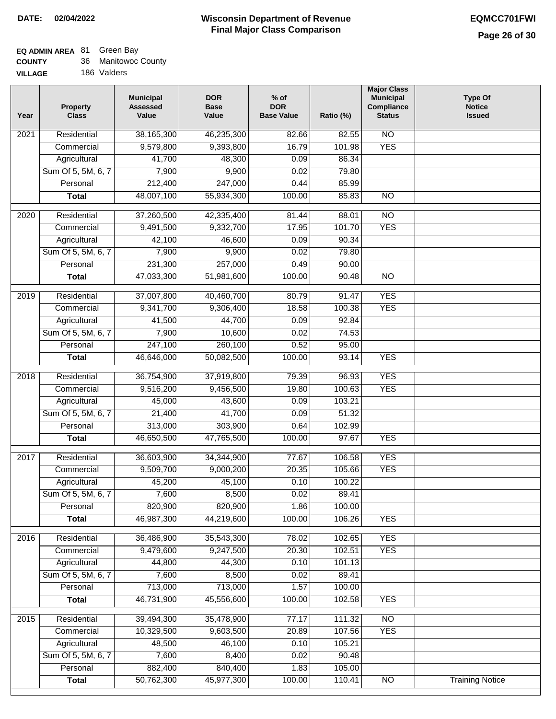#### **Wisconsin Department of Revenue Final Major Class Comparison DATE: 02/04/2022 EQMCC701FWI**

#### **EQ ADMIN AREA** 81 Green Bay

| <b>COUNTY</b>  | 36 Manitowoc County |
|----------------|---------------------|
| <b>VILLAGE</b> | 186 Valders         |

| Year              | <b>Property</b><br><b>Class</b> | <b>Municipal</b><br><b>Assessed</b><br>Value | <b>DOR</b><br><b>Base</b><br>Value | $%$ of<br><b>DOR</b><br><b>Base Value</b> | Ratio (%) | <b>Major Class</b><br><b>Municipal</b><br>Compliance<br><b>Status</b> | <b>Type Of</b><br><b>Notice</b><br><b>Issued</b> |
|-------------------|---------------------------------|----------------------------------------------|------------------------------------|-------------------------------------------|-----------|-----------------------------------------------------------------------|--------------------------------------------------|
| 2021              | Residential                     | 38,165,300                                   | 46,235,300                         | 82.66                                     | 82.55     | $\overline{NO}$                                                       |                                                  |
|                   | Commercial                      | 9,579,800                                    | 9,393,800                          | 16.79                                     | 101.98    | <b>YES</b>                                                            |                                                  |
|                   | Agricultural                    | 41,700                                       | 48,300                             | 0.09                                      | 86.34     |                                                                       |                                                  |
|                   | Sum Of 5, 5M, 6, 7              | 7,900                                        | 9,900                              | 0.02                                      | 79.80     |                                                                       |                                                  |
|                   | Personal                        | 212,400                                      | 247,000                            | 0.44                                      | 85.99     |                                                                       |                                                  |
|                   | <b>Total</b>                    | 48,007,100                                   | 55,934,300                         | 100.00                                    | 85.83     | <b>NO</b>                                                             |                                                  |
| 2020              | Residential                     | 37,260,500                                   | 42,335,400                         | 81.44                                     | 88.01     | $\overline{NO}$                                                       |                                                  |
|                   | Commercial                      | 9,491,500                                    | 9,332,700                          | 17.95                                     | 101.70    | <b>YES</b>                                                            |                                                  |
|                   | Agricultural                    | 42,100                                       | 46,600                             | 0.09                                      | 90.34     |                                                                       |                                                  |
|                   | Sum Of 5, 5M, 6, 7              | 7,900                                        | 9,900                              | 0.02                                      | 79.80     |                                                                       |                                                  |
|                   | Personal                        | 231,300                                      | 257,000                            | 0.49                                      | 90.00     |                                                                       |                                                  |
|                   | <b>Total</b>                    | 47,033,300                                   | 51,981,600                         | 100.00                                    | 90.48     | $\overline{NO}$                                                       |                                                  |
|                   |                                 |                                              |                                    |                                           |           |                                                                       |                                                  |
| $\frac{1}{2019}$  | Residential                     | 37,007,800                                   | 40,460,700                         | 80.79                                     | 91.47     | <b>YES</b>                                                            |                                                  |
|                   | Commercial                      | 9,341,700                                    | 9,306,400                          | 18.58                                     | 100.38    | <b>YES</b>                                                            |                                                  |
|                   | Agricultural                    | 41,500                                       | 44,700                             | 0.09                                      | 92.84     |                                                                       |                                                  |
|                   | Sum Of 5, 5M, 6, 7              | 7,900                                        | 10,600                             | 0.02                                      | 74.53     |                                                                       |                                                  |
|                   | Personal                        | 247,100                                      | 260,100                            | 0.52                                      | 95.00     |                                                                       |                                                  |
|                   | <b>Total</b>                    | 46,646,000                                   | 50,082,500                         | 100.00                                    | 93.14     | <b>YES</b>                                                            |                                                  |
| 2018              | Residential                     | 36,754,900                                   | 37,919,800                         | 79.39                                     | 96.93     | <b>YES</b>                                                            |                                                  |
|                   | Commercial                      | 9,516,200                                    | 9,456,500                          | 19.80                                     | 100.63    | <b>YES</b>                                                            |                                                  |
|                   | Agricultural                    | 45,000                                       | 43,600                             | 0.09                                      | 103.21    |                                                                       |                                                  |
|                   | Sum Of 5, 5M, 6, 7              | 21,400                                       | 41,700                             | 0.09                                      | 51.32     |                                                                       |                                                  |
|                   | Personal                        | 313,000                                      | 303,900                            | 0.64                                      | 102.99    |                                                                       |                                                  |
|                   | <b>Total</b>                    | 46,650,500                                   | 47,765,500                         | 100.00                                    | 97.67     | <b>YES</b>                                                            |                                                  |
|                   |                                 |                                              |                                    |                                           |           |                                                                       |                                                  |
| 2017              | Residential                     | 36,603,900                                   | 34,344,900                         | 77.67                                     | 106.58    | <b>YES</b>                                                            |                                                  |
|                   | Commercial                      | 9,509,700                                    | 9,000,200                          | 20.35                                     | 105.66    | <b>YES</b>                                                            |                                                  |
|                   | Agricultural                    | 45,200                                       | 45,100                             | 0.10                                      | 100.22    |                                                                       |                                                  |
|                   | Sum Of 5, 5M, 6, 7              | 7,600                                        | 8,500                              | 0.02                                      | 89.41     |                                                                       |                                                  |
|                   | Personal                        | 820,900                                      | 820,900                            | 1.86                                      | 100.00    |                                                                       |                                                  |
|                   | <b>Total</b>                    | 46,987,300                                   | 44,219,600                         | 100.00                                    | 106.26    | <b>YES</b>                                                            |                                                  |
| 2016              | Residential                     | 36,486,900                                   | 35,543,300                         | 78.02                                     | 102.65    | <b>YES</b>                                                            |                                                  |
|                   | Commercial                      | 9,479,600                                    | 9,247,500                          | 20.30                                     | 102.51    | <b>YES</b>                                                            |                                                  |
|                   | Agricultural                    | 44,800                                       | 44,300                             | 0.10                                      | 101.13    |                                                                       |                                                  |
|                   | Sum Of 5, 5M, 6, 7              | 7,600                                        | 8,500                              | 0.02                                      | 89.41     |                                                                       |                                                  |
|                   | Personal                        | 713,000                                      | 713,000                            | 1.57                                      | 100.00    |                                                                       |                                                  |
|                   | <b>Total</b>                    | 46,731,900                                   | 45,556,600                         | 100.00                                    | 102.58    | <b>YES</b>                                                            |                                                  |
| $\overline{2015}$ | Residential                     | 39,494,300                                   | 35,478,900                         | 77.17                                     | 111.32    | <b>NO</b>                                                             |                                                  |
|                   | Commercial                      | 10,329,500                                   | 9,603,500                          | 20.89                                     | 107.56    | <b>YES</b>                                                            |                                                  |
|                   | Agricultural                    | 48,500                                       | 46,100                             | 0.10                                      | 105.21    |                                                                       |                                                  |
|                   | Sum Of 5, 5M, 6, 7              | 7,600                                        | 8,400                              | 0.02                                      | 90.48     |                                                                       |                                                  |
|                   | Personal                        | 882,400                                      | 840,400                            | 1.83                                      | 105.00    |                                                                       |                                                  |
|                   | <b>Total</b>                    | 50,762,300                                   | 45,977,300                         | 100.00                                    | 110.41    | N <sub>O</sub>                                                        | <b>Training Notice</b>                           |
|                   |                                 |                                              |                                    |                                           |           |                                                                       |                                                  |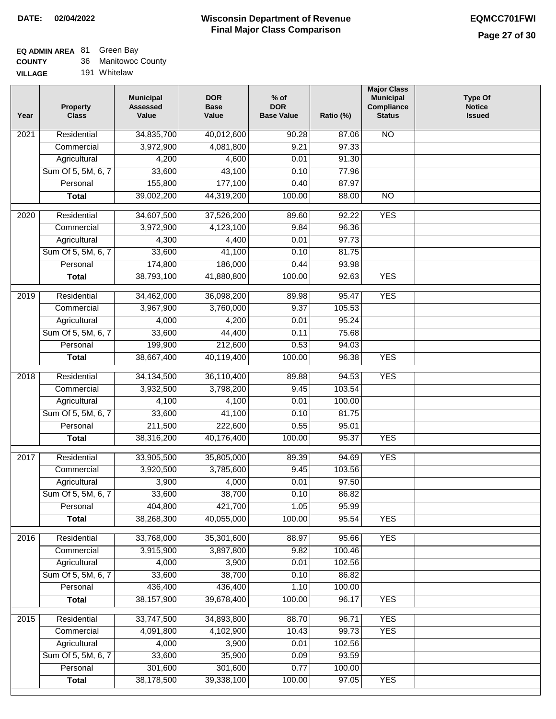# **EQ ADMIN AREA** 81 Green Bay

|  | <b>COUNTY</b> |  | 36 Manitowoc County |
|--|---------------|--|---------------------|
|--|---------------|--|---------------------|

**VILLAGE** 191 Whitelaw

| Year | <b>Property</b><br><b>Class</b>    | <b>Municipal</b><br><b>Assessed</b><br>Value | <b>DOR</b><br><b>Base</b><br>Value | $%$ of<br><b>DOR</b><br><b>Base Value</b> | Ratio (%)      | <b>Major Class</b><br><b>Municipal</b><br>Compliance<br><b>Status</b> | <b>Type Of</b><br><b>Notice</b><br><b>Issued</b> |
|------|------------------------------------|----------------------------------------------|------------------------------------|-------------------------------------------|----------------|-----------------------------------------------------------------------|--------------------------------------------------|
| 2021 | Residential                        | 34,835,700                                   | 40,012,600                         | 90.28                                     | 87.06          | N <sub>O</sub>                                                        |                                                  |
|      | Commercial                         | 3,972,900                                    | 4,081,800                          | 9.21                                      | 97.33          |                                                                       |                                                  |
|      | Agricultural                       | 4,200                                        | 4,600                              | 0.01                                      | 91.30          |                                                                       |                                                  |
|      | Sum Of 5, 5M, 6, 7                 | 33,600                                       | 43,100                             | 0.10                                      | 77.96          |                                                                       |                                                  |
|      | Personal                           | 155,800                                      | 177,100                            | 0.40                                      | 87.97          |                                                                       |                                                  |
|      | <b>Total</b>                       | 39,002,200                                   | 44,319,200                         | 100.00                                    | 88.00          | $\overline{NO}$                                                       |                                                  |
|      |                                    |                                              |                                    |                                           |                |                                                                       |                                                  |
| 2020 | Residential<br>Commercial          | 34,607,500                                   | 37,526,200                         | 89.60<br>9.84                             | 92.22<br>96.36 | <b>YES</b>                                                            |                                                  |
|      |                                    | 3,972,900<br>4,300                           | 4,123,100                          | 0.01                                      | 97.73          |                                                                       |                                                  |
|      | Agricultural<br>Sum Of 5, 5M, 6, 7 | 33,600                                       | 4,400<br>41,100                    | 0.10                                      | 81.75          |                                                                       |                                                  |
|      | Personal                           | 174,800                                      | 186,000                            | 0.44                                      | 93.98          |                                                                       |                                                  |
|      | <b>Total</b>                       | 38,793,100                                   | 41,880,800                         | 100.00                                    | 92.63          | <b>YES</b>                                                            |                                                  |
|      |                                    |                                              |                                    |                                           |                |                                                                       |                                                  |
| 2019 | Residential                        | 34,462,000                                   | 36,098,200                         | 89.98                                     | 95.47          | <b>YES</b>                                                            |                                                  |
|      | Commercial                         | 3,967,900                                    | 3,760,000                          | 9.37                                      | 105.53         |                                                                       |                                                  |
|      | Agricultural                       | 4,000                                        | 4,200                              | 0.01                                      | 95.24          |                                                                       |                                                  |
|      | Sum Of 5, 5M, 6, 7                 | 33,600                                       | 44,400                             | 0.11                                      | 75.68          |                                                                       |                                                  |
|      | Personal                           | 199,900                                      | 212,600                            | 0.53                                      | 94.03          |                                                                       |                                                  |
|      | <b>Total</b>                       | 38,667,400                                   | 40,119,400                         | 100.00                                    | 96.38          | <b>YES</b>                                                            |                                                  |
| 2018 | Residential                        | 34, 134, 500                                 | 36,110,400                         | 89.88                                     | 94.53          | <b>YES</b>                                                            |                                                  |
|      | Commercial                         | 3,932,500                                    | 3,798,200                          | 9.45                                      | 103.54         |                                                                       |                                                  |
|      | Agricultural                       | 4,100                                        | 4,100                              | 0.01                                      | 100.00         |                                                                       |                                                  |
|      | Sum Of 5, 5M, 6, 7                 | 33,600                                       | 41,100                             | 0.10                                      | 81.75          |                                                                       |                                                  |
|      | Personal                           | 211,500                                      | 222,600                            | 0.55                                      | 95.01          |                                                                       |                                                  |
|      | <b>Total</b>                       | 38,316,200                                   | 40,176,400                         | 100.00                                    | 95.37          | <b>YES</b>                                                            |                                                  |
| 2017 | Residential                        | 33,905,500                                   | 35,805,000                         | 89.39                                     | 94.69          | <b>YES</b>                                                            |                                                  |
|      | Commercial                         | 3,920,500                                    | 3,785,600                          | 9.45                                      | 103.56         |                                                                       |                                                  |
|      | Agricultural                       | 3,900                                        | 4,000                              | 0.01                                      | 97.50          |                                                                       |                                                  |
|      | Sum Of 5, 5M, 6, 7                 | 33,600                                       | 38,700                             | 0.10                                      | 86.82          |                                                                       |                                                  |
|      | Personal                           | 404,800                                      | 421,700                            | 1.05                                      | 95.99          |                                                                       |                                                  |
|      | <b>Total</b>                       | 38,268,300                                   | 40,055,000                         | 100.00                                    | 95.54          | <b>YES</b>                                                            |                                                  |
| 2016 | Residential                        | 33,768,000                                   | 35,301,600                         | 88.97                                     | 95.66          | <b>YES</b>                                                            |                                                  |
|      | Commercial                         | 3,915,900                                    | 3,897,800                          | 9.82                                      | 100.46         |                                                                       |                                                  |
|      | Agricultural                       | 4,000                                        | 3,900                              | 0.01                                      | 102.56         |                                                                       |                                                  |
|      | Sum Of 5, 5M, 6, 7                 | 33,600                                       | 38,700                             | 0.10                                      | 86.82          |                                                                       |                                                  |
|      | Personal                           | 436,400                                      | 436,400                            | 1.10                                      | 100.00         |                                                                       |                                                  |
|      | <b>Total</b>                       | 38, 157, 900                                 | 39,678,400                         | 100.00                                    | 96.17          | <b>YES</b>                                                            |                                                  |
| 2015 | Residential                        | 33,747,500                                   | 34,893,800                         | 88.70                                     | 96.71          | <b>YES</b>                                                            |                                                  |
|      | Commercial                         | 4,091,800                                    | 4,102,900                          | 10.43                                     | 99.73          | <b>YES</b>                                                            |                                                  |
|      | Agricultural                       | 4,000                                        | 3,900                              | 0.01                                      | 102.56         |                                                                       |                                                  |
|      | Sum Of 5, 5M, 6, 7                 | 33,600                                       | 35,900                             | 0.09                                      | 93.59          |                                                                       |                                                  |
|      | Personal                           | 301,600                                      | 301,600                            | 0.77                                      | 100.00         |                                                                       |                                                  |
|      | <b>Total</b>                       | 38,178,500                                   | 39,338,100                         | 100.00                                    | 97.05          | <b>YES</b>                                                            |                                                  |
|      |                                    |                                              |                                    |                                           |                |                                                                       |                                                  |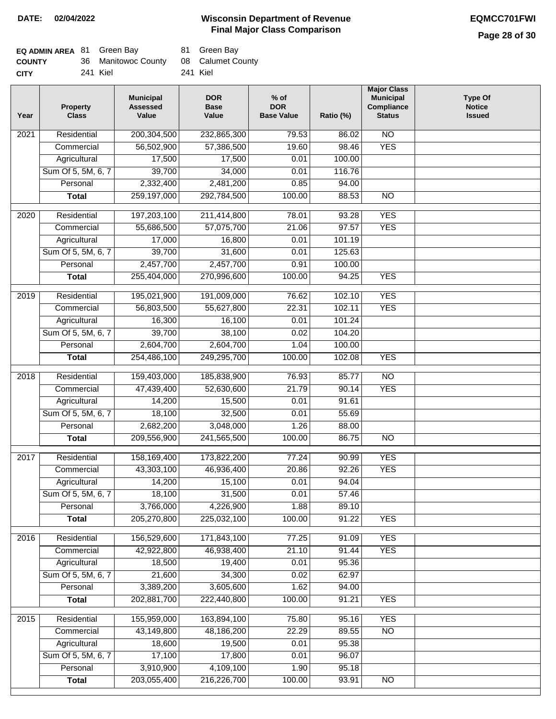| <b>EQ ADMIN AREA 81 Green Bay</b> |                     |          | 81 Green Bay      |
|-----------------------------------|---------------------|----------|-------------------|
| <b>COUNTY</b>                     | 36 Manitowoc County |          | 08 Calumet County |
| <b>CITY</b>                       | 241 Kiel            | 241 Kiel |                   |

| Year | <b>Property</b><br><b>Class</b> | <b>Municipal</b><br><b>Assessed</b><br>Value | <b>DOR</b><br><b>Base</b><br>Value | $%$ of<br><b>DOR</b><br><b>Base Value</b> | Ratio (%)         | <b>Major Class</b><br><b>Municipal</b><br>Compliance<br><b>Status</b> | <b>Type Of</b><br><b>Notice</b><br><b>Issued</b> |
|------|---------------------------------|----------------------------------------------|------------------------------------|-------------------------------------------|-------------------|-----------------------------------------------------------------------|--------------------------------------------------|
| 2021 | Residential                     | 200,304,500                                  | 232,865,300                        | 79.53                                     | 86.02             | $\overline{NO}$                                                       |                                                  |
|      | Commercial                      | 56,502,900                                   | 57,386,500                         | 19.60                                     | 98.46             | <b>YES</b>                                                            |                                                  |
|      | Agricultural                    | 17,500                                       | 17,500                             | 0.01                                      | 100.00            |                                                                       |                                                  |
|      | Sum Of 5, 5M, 6, 7              | 39,700                                       | 34,000                             | 0.01                                      | 116.76            |                                                                       |                                                  |
|      | Personal                        | 2,332,400                                    | 2,481,200                          | 0.85                                      | 94.00             |                                                                       |                                                  |
|      | <b>Total</b>                    | 259,197,000                                  | 292,784,500                        | 100.00                                    | 88.53             | $\overline{NO}$                                                       |                                                  |
| 2020 | Residential                     | 197,203,100                                  | 211,414,800                        | 78.01                                     | $\frac{1}{93.28}$ | <b>YES</b>                                                            |                                                  |
|      | Commercial                      | 55,686,500                                   | 57,075,700                         | 21.06                                     | 97.57             | <b>YES</b>                                                            |                                                  |
|      |                                 |                                              |                                    | 0.01                                      | 101.19            |                                                                       |                                                  |
|      | Agricultural                    | 17,000                                       | 16,800<br>31,600                   |                                           |                   |                                                                       |                                                  |
|      | Sum Of 5, 5M, 6, 7<br>Personal  | 39,700                                       |                                    | 0.01                                      | 125.63            |                                                                       |                                                  |
|      |                                 | 2,457,700                                    | 2,457,700                          | 0.91                                      | 100.00            |                                                                       |                                                  |
|      | <b>Total</b>                    | 255,404,000                                  | 270,996,600                        | 100.00                                    | 94.25             | <b>YES</b>                                                            |                                                  |
| 2019 | Residential                     | 195,021,900                                  | 191,009,000                        | 76.62                                     | 102.10            | <b>YES</b>                                                            |                                                  |
|      | Commercial                      | 56,803,500                                   | 55,627,800                         | 22.31                                     | 102.11            | <b>YES</b>                                                            |                                                  |
|      | Agricultural                    | 16,300                                       | 16,100                             | 0.01                                      | 101.24            |                                                                       |                                                  |
|      | Sum Of 5, 5M, 6, 7              | 39,700                                       | 38,100                             | 0.02                                      | 104.20            |                                                                       |                                                  |
|      | Personal                        | 2,604,700                                    | 2,604,700                          | 1.04                                      | 100.00            |                                                                       |                                                  |
|      | <b>Total</b>                    | 254,486,100                                  | 249,295,700                        | 100.00                                    | 102.08            | <b>YES</b>                                                            |                                                  |
| 2018 | Residential                     | 159,403,000                                  | 185,838,900                        | 76.93                                     | 85.77             | $\overline{NO}$                                                       |                                                  |
|      | Commercial                      | 47,439,400                                   | 52,630,600                         | 21.79                                     | 90.14             | <b>YES</b>                                                            |                                                  |
|      | Agricultural                    | 14,200                                       | 15,500                             | 0.01                                      | 91.61             |                                                                       |                                                  |
|      | Sum Of 5, 5M, 6, 7              | 18,100                                       | 32,500                             | 0.01                                      | 55.69             |                                                                       |                                                  |
|      | Personal                        | 2,682,200                                    | 3,048,000                          | 1.26                                      | 88.00             |                                                                       |                                                  |
|      | <b>Total</b>                    | 209,556,900                                  | 241,565,500                        | 100.00                                    | 86.75             | <b>NO</b>                                                             |                                                  |
|      |                                 |                                              |                                    |                                           |                   |                                                                       |                                                  |
| 2017 | Residential                     | 158,169,400                                  | 173,822,200                        | 77.24                                     | 90.99             | <b>YES</b>                                                            |                                                  |
|      | Commercial                      | 43,303,100                                   | 46,936,400                         | 20.86                                     | 92.26             | <b>YES</b>                                                            |                                                  |
|      | Agricultural                    | 14,200                                       | 15,100                             | 0.01                                      | 94.04             |                                                                       |                                                  |
|      | Sum Of 5, 5M, 6, 7              | 18,100                                       | 31,500                             | 0.01                                      | 57.46             |                                                                       |                                                  |
|      | Personal                        | 3,766,000                                    | 4,226,900                          | 1.88                                      | 89.10             |                                                                       |                                                  |
|      | <b>Total</b>                    | 205,270,800                                  | 225,032,100                        | 100.00                                    | 91.22             | <b>YES</b>                                                            |                                                  |
| 2016 | Residential                     | 156,529,600                                  | 171,843,100                        | 77.25                                     | 91.09             | <b>YES</b>                                                            |                                                  |
|      | Commercial                      | 42,922,800                                   | 46,938,400                         | 21.10                                     | 91.44             | <b>YES</b>                                                            |                                                  |
|      | Agricultural                    | 18,500                                       | 19,400                             | 0.01                                      | 95.36             |                                                                       |                                                  |
|      | Sum Of 5, 5M, 6, 7              | 21,600                                       | 34,300                             | 0.02                                      | 62.97             |                                                                       |                                                  |
|      | Personal                        | 3,389,200                                    | 3,605,600                          | 1.62                                      | 94.00             |                                                                       |                                                  |
|      | <b>Total</b>                    | 202,881,700                                  | 222,440,800                        | 100.00                                    | 91.21             | <b>YES</b>                                                            |                                                  |
| 2015 | Residential                     | 155,959,000                                  | 163,894,100                        | 75.80                                     | 95.16             | <b>YES</b>                                                            |                                                  |
|      | Commercial                      | 43,149,800                                   | 48,186,200                         | 22.29                                     | 89.55             | $\overline{NO}$                                                       |                                                  |
|      | Agricultural                    | 18,600                                       | 19,500                             | 0.01                                      | 95.38             |                                                                       |                                                  |
|      | Sum Of 5, 5M, 6, 7              | 17,100                                       | 17,800                             | 0.01                                      | 96.07             |                                                                       |                                                  |
|      | Personal                        | 3,910,900                                    | 4,109,100                          | 1.90                                      | 95.18             |                                                                       |                                                  |
|      | <b>Total</b>                    | 203,055,400                                  | 216,226,700                        | 100.00                                    | 93.91             | NO                                                                    |                                                  |
|      |                                 |                                              |                                    |                                           |                   |                                                                       |                                                  |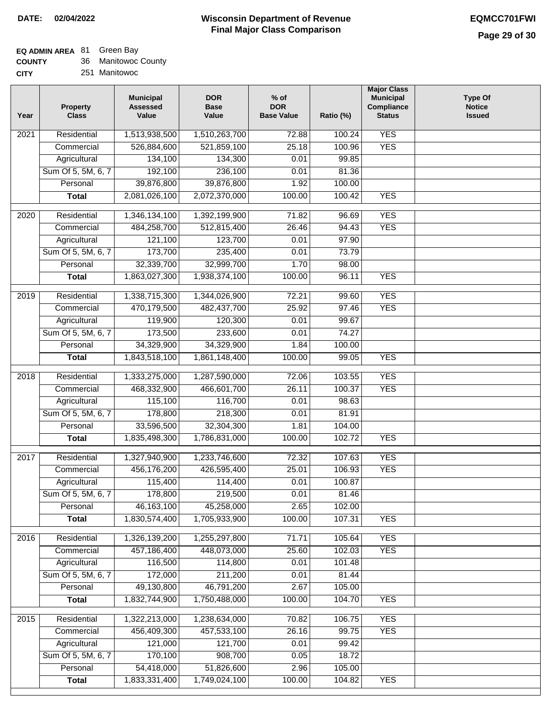| <b>COUNTY</b> |  | 36 Manitowoc County |  |
|---------------|--|---------------------|--|
|---------------|--|---------------------|--|

| <b>CITY</b> |  | 251 Manitowoc |
|-------------|--|---------------|
|-------------|--|---------------|

| Year | <b>Property</b><br><b>Class</b> | <b>Municipal</b><br><b>Assessed</b><br>Value | <b>DOR</b><br><b>Base</b><br>Value | $%$ of<br><b>DOR</b><br><b>Base Value</b> | Ratio (%) | <b>Major Class</b><br><b>Municipal</b><br>Compliance<br><b>Status</b> | <b>Type Of</b><br><b>Notice</b><br><b>Issued</b> |
|------|---------------------------------|----------------------------------------------|------------------------------------|-------------------------------------------|-----------|-----------------------------------------------------------------------|--------------------------------------------------|
| 2021 | Residential                     | 1,513,938,500                                | 1,510,263,700                      | 72.88                                     | 100.24    | <b>YES</b>                                                            |                                                  |
|      | Commercial                      | 526,884,600                                  | 521,859,100                        | 25.18                                     | 100.96    | <b>YES</b>                                                            |                                                  |
|      | Agricultural                    | 134,100                                      | 134,300                            | 0.01                                      | 99.85     |                                                                       |                                                  |
|      | Sum Of 5, 5M, 6, 7              | 192,100                                      | 236,100                            | 0.01                                      | 81.36     |                                                                       |                                                  |
|      | Personal                        | 39,876,800                                   | 39,876,800                         | 1.92                                      | 100.00    |                                                                       |                                                  |
|      | <b>Total</b>                    | 2,081,026,100                                | 2,072,370,000                      | 100.00                                    | 100.42    | <b>YES</b>                                                            |                                                  |
| 2020 | Residential                     | 1,346,134,100                                | 1,392,199,900                      | 71.82                                     | 96.69     | <b>YES</b>                                                            |                                                  |
|      | Commercial                      | 484,258,700                                  | 512,815,400                        | 26.46                                     | 94.43     | <b>YES</b>                                                            |                                                  |
|      | Agricultural                    | 121,100                                      | 123,700                            | 0.01                                      | 97.90     |                                                                       |                                                  |
|      | Sum Of 5, 5M, 6, 7              | 173,700                                      | 235,400                            | 0.01                                      | 73.79     |                                                                       |                                                  |
|      | Personal                        | 32,339,700                                   | 32,999,700                         | 1.70                                      | 98.00     |                                                                       |                                                  |
|      | <b>Total</b>                    | 1,863,027,300                                | 1,938,374,100                      | 100.00                                    | 96.11     | <b>YES</b>                                                            |                                                  |
|      |                                 |                                              |                                    |                                           |           |                                                                       |                                                  |
| 2019 | Residential                     | 1,338,715,300                                | 1,344,026,900                      | 72.21                                     | 99.60     | <b>YES</b>                                                            |                                                  |
|      | Commercial                      | 470,179,500                                  | 482, 437, 700                      | 25.92                                     | 97.46     | <b>YES</b>                                                            |                                                  |
|      | Agricultural                    | 119,900                                      | 120,300                            | 0.01                                      | 99.67     |                                                                       |                                                  |
|      | Sum Of 5, 5M, 6, 7              | 173,500                                      | 233,600                            | 0.01                                      | 74.27     |                                                                       |                                                  |
|      | Personal                        | 34,329,900                                   | 34,329,900                         | 1.84                                      | 100.00    |                                                                       |                                                  |
|      | <b>Total</b>                    | 1,843,518,100                                | 1,861,148,400                      | 100.00                                    | 99.05     | <b>YES</b>                                                            |                                                  |
| 2018 | Residential                     | 1,333,275,000                                | 1,287,590,000                      | 72.06                                     | 103.55    | <b>YES</b>                                                            |                                                  |
|      | Commercial                      | 468,332,900                                  | 466,601,700                        | 26.11                                     | 100.37    | <b>YES</b>                                                            |                                                  |
|      | Agricultural                    | 115,100                                      | 116,700                            | 0.01                                      | 98.63     |                                                                       |                                                  |
|      | Sum Of 5, 5M, 6, 7              | 178,800                                      | 218,300                            | 0.01                                      | 81.91     |                                                                       |                                                  |
|      | Personal                        | 33,596,500                                   | 32,304,300                         | 1.81                                      | 104.00    |                                                                       |                                                  |
|      | <b>Total</b>                    | 1,835,498,300                                | 1,786,831,000                      | 100.00                                    | 102.72    | <b>YES</b>                                                            |                                                  |
| 2017 | Residential                     | 1,327,940,900                                | 1,233,746,600                      | 72.32                                     | 107.63    | <b>YES</b>                                                            |                                                  |
|      | Commercial                      | 456,176,200                                  | 426,595,400                        | 25.01                                     | 106.93    | <b>YES</b>                                                            |                                                  |
|      | Agricultural                    | 115,400                                      | 114,400                            | 0.01                                      | 100.87    |                                                                       |                                                  |
|      | Sum Of 5, 5M, 6, 7              | 178,800                                      | 219,500                            | 0.01                                      | 81.46     |                                                                       |                                                  |
|      | Personal                        | 46, 163, 100                                 | 45,258,000                         | 2.65                                      | 102.00    |                                                                       |                                                  |
|      | <b>Total</b>                    | 1,830,574,400                                | 1,705,933,900                      | 100.00                                    | 107.31    | <b>YES</b>                                                            |                                                  |
| 2016 | Residential                     | 1,326,139,200                                | 1,255,297,800                      | 71.71                                     | 105.64    | <b>YES</b>                                                            |                                                  |
|      | Commercial                      | 457,186,400                                  | 448,073,000                        | 25.60                                     | 102.03    | <b>YES</b>                                                            |                                                  |
|      | Agricultural                    | 116,500                                      | 114,800                            | 0.01                                      | 101.48    |                                                                       |                                                  |
|      | Sum Of 5, 5M, 6, 7              | 172,000                                      | 211,200                            | 0.01                                      | 81.44     |                                                                       |                                                  |
|      | Personal                        | 49,130,800                                   | 46,791,200                         | 2.67                                      | 105.00    |                                                                       |                                                  |
|      | <b>Total</b>                    | 1,832,744,900                                | 1,750,488,000                      | 100.00                                    | 104.70    | <b>YES</b>                                                            |                                                  |
|      |                                 |                                              |                                    |                                           |           |                                                                       |                                                  |
| 2015 | Residential                     | 1,322,213,000                                | 1,238,634,000                      | 70.82                                     | 106.75    | <b>YES</b>                                                            |                                                  |
|      | Commercial                      | 456,409,300                                  | 457,533,100                        | 26.16                                     | 99.75     | <b>YES</b>                                                            |                                                  |
|      | Agricultural                    | 121,000                                      | 121,700                            | 0.01                                      | 99.42     |                                                                       |                                                  |
|      | Sum Of 5, 5M, 6, 7              | 170,100                                      | 908,700                            | 0.05                                      | 18.72     |                                                                       |                                                  |
|      | Personal                        | 54,418,000                                   | 51,826,600                         | 2.96                                      | 105.00    |                                                                       |                                                  |
|      | <b>Total</b>                    | 1,833,331,400                                | 1,749,024,100                      | 100.00                                    | 104.82    | <b>YES</b>                                                            |                                                  |